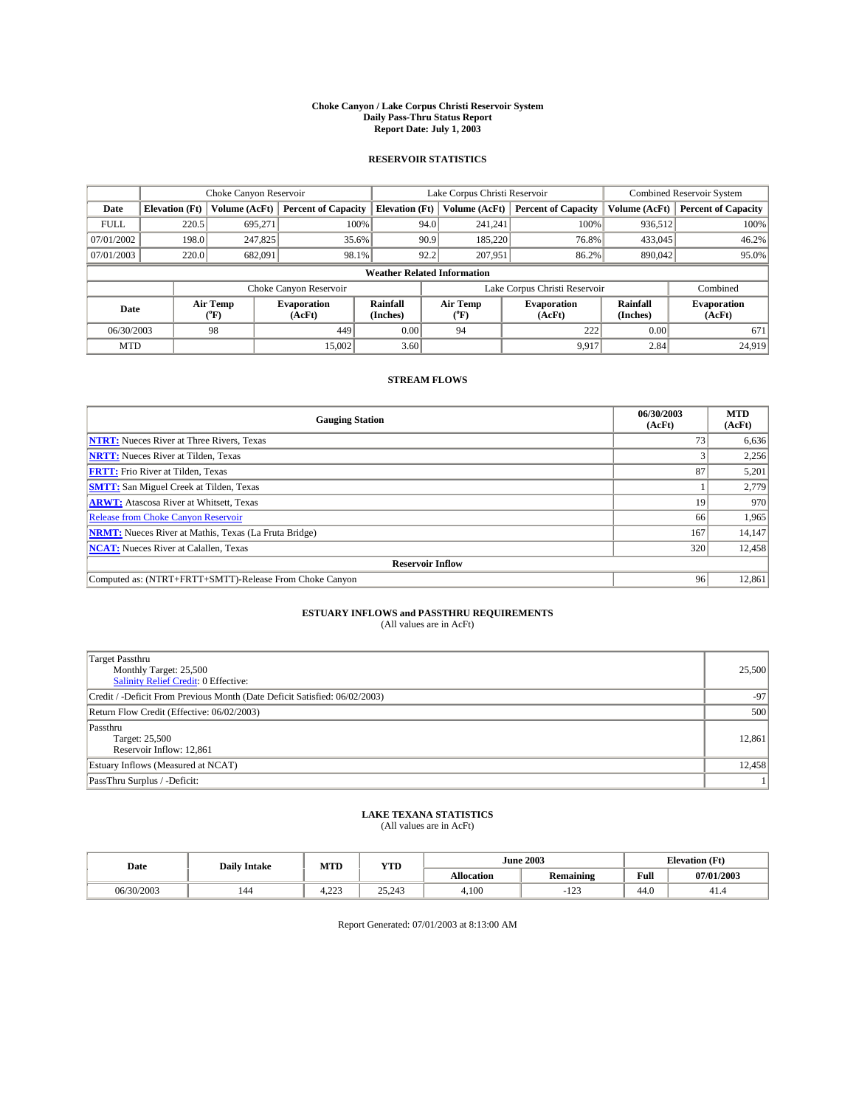#### **Choke Canyon / Lake Corpus Christi Reservoir System Daily Pass-Thru Status Report Report Date: July 1, 2003**

### **RESERVOIR STATISTICS**

|                                    | Choke Canyon Reservoir |                  |                              |                       | Lake Corpus Christi Reservoir |                  |                               |                      | <b>Combined Reservoir System</b> |  |  |
|------------------------------------|------------------------|------------------|------------------------------|-----------------------|-------------------------------|------------------|-------------------------------|----------------------|----------------------------------|--|--|
| Date                               | <b>Elevation</b> (Ft)  | Volume (AcFt)    | <b>Percent of Capacity</b>   | <b>Elevation (Ft)</b> |                               | Volume (AcFt)    | <b>Percent of Capacity</b>    | Volume (AcFt)        | <b>Percent of Capacity</b>       |  |  |
| <b>FULL</b>                        | 220.5                  | 695,271          |                              | 100%                  | 94.0                          | 241,241          | 100%                          | 936.512              | 100%                             |  |  |
| 07/01/2002                         | 198.0                  | 247,825          | 35.6%                        |                       | 90.9                          | 185,220          | 76.8%                         | 433,045              | 46.2%                            |  |  |
| 07/01/2003                         | 220.0                  | 682,091          | 98.1%                        |                       | 92.2                          | 207,951          | 86.2%                         | 890,042              | 95.0%                            |  |  |
| <b>Weather Related Information</b> |                        |                  |                              |                       |                               |                  |                               |                      |                                  |  |  |
|                                    |                        |                  | Choke Canyon Reservoir       |                       |                               |                  | Lake Corpus Christi Reservoir |                      | Combined                         |  |  |
| Date                               |                        | Air Temp<br>(°F) | <b>Evaporation</b><br>(AcFt) | Rainfall<br>(Inches)  |                               | Air Temp<br>("F) | <b>Evaporation</b><br>(AcFt)  | Rainfall<br>(Inches) | <b>Evaporation</b><br>(AcFt)     |  |  |
| 06/30/2003                         |                        | 98               | 449                          | 0.00                  |                               | 94               | 222                           | 0.00                 | 671                              |  |  |
| <b>MTD</b>                         |                        |                  | 15,002                       | 3.60                  |                               |                  | 9.917                         | 2.84                 | 24,919                           |  |  |

## **STREAM FLOWS**

| <b>Gauging Station</b>                                       | 06/30/2003<br>(AcFt) | <b>MTD</b><br>(AcFt) |
|--------------------------------------------------------------|----------------------|----------------------|
| <b>NTRT:</b> Nueces River at Three Rivers, Texas             | 73                   | 6,636                |
| <b>NRTT:</b> Nueces River at Tilden, Texas                   |                      | 2,256                |
| <b>FRTT:</b> Frio River at Tilden, Texas                     | 87                   | 5,201                |
| <b>SMTT:</b> San Miguel Creek at Tilden, Texas               |                      | 2,779                |
| <b>ARWT:</b> Atascosa River at Whitsett, Texas               | 19                   | 970                  |
| <b>Release from Choke Canyon Reservoir</b>                   | 66                   | 1,965                |
| <b>NRMT:</b> Nueces River at Mathis, Texas (La Fruta Bridge) | 167                  | 14,147               |
| <b>NCAT:</b> Nueces River at Calallen, Texas                 | 320                  | 12,458               |
| <b>Reservoir Inflow</b>                                      |                      |                      |
| Computed as: (NTRT+FRTT+SMTT)-Release From Choke Canyon      | 96                   | 12,861               |

# **ESTUARY INFLOWS and PASSTHRU REQUIREMENTS**<br>(All values are in AcFt)

| Target Passthru                                                            |        |
|----------------------------------------------------------------------------|--------|
| Monthly Target: 25,500                                                     | 25,500 |
| Salinity Relief Credit: 0 Effective:                                       |        |
| Credit / -Deficit From Previous Month (Date Deficit Satisfied: 06/02/2003) | $-97$  |
| Return Flow Credit (Effective: 06/02/2003)                                 | 500    |
| Passthru                                                                   |        |
| Target: 25,500                                                             | 12,861 |
| Reservoir Inflow: 12,861                                                   |        |
| Estuary Inflows (Measured at NCAT)                                         | 12,458 |
| PassThru Surplus / -Deficit:                                               | 11     |

# **LAKE TEXANA STATISTICS** (All values are in AcFt)

| Date       | <b>Daily Intake</b> | MTD                   | <b>VTT</b><br>1 I.D |            | <b>June 2003</b> | $\sigma$<br>$\sim$<br><b>Elevation</b> |            |
|------------|---------------------|-----------------------|---------------------|------------|------------------|----------------------------------------|------------|
|            |                     |                       |                     | Allocation | <b>Remaining</b> | T.<br>Full                             | 07/01/2003 |
| 06/30/2003 | 144                 | 222<br>. <del>.</del> | 25.212<br>25.245    | 4.100      | $\sim$<br>.      | 44.0                                   | 41.4       |

Report Generated: 07/01/2003 at 8:13:00 AM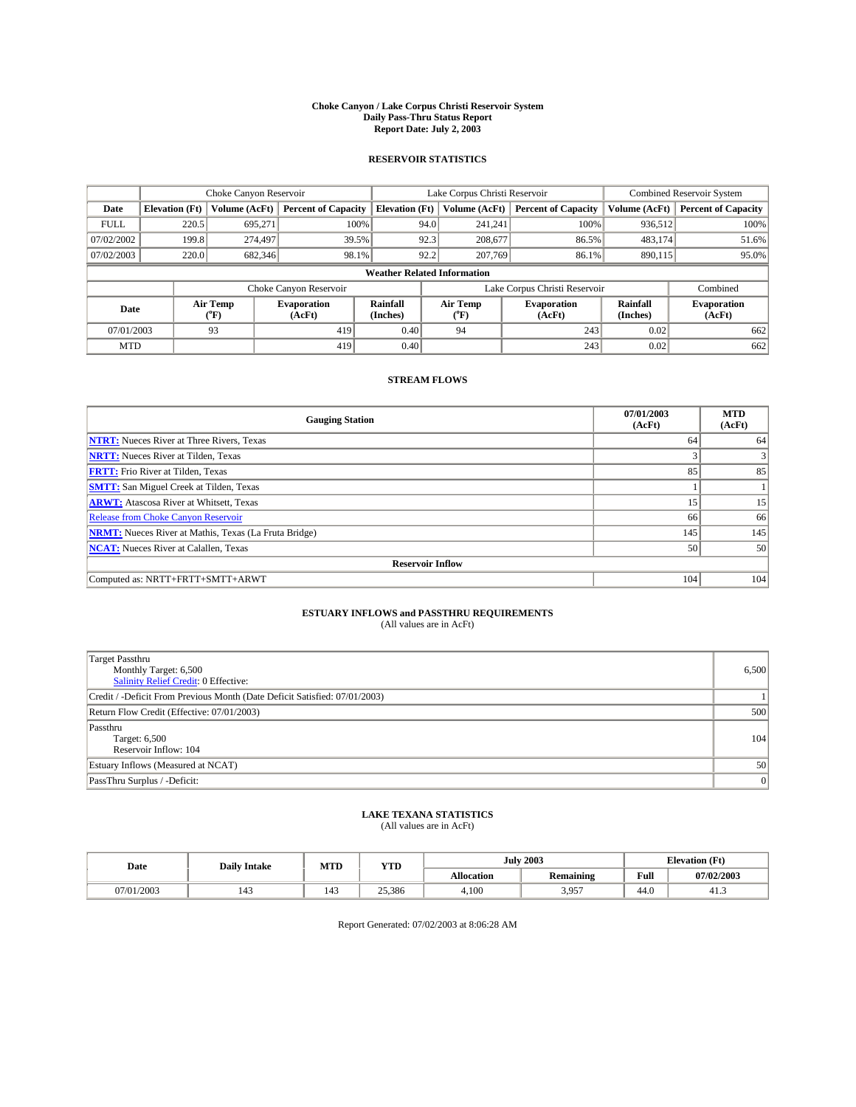#### **Choke Canyon / Lake Corpus Christi Reservoir System Daily Pass-Thru Status Report Report Date: July 2, 2003**

### **RESERVOIR STATISTICS**

|             | Choke Canyon Reservoir             |                  |                              |                       | Lake Corpus Christi Reservoir |                  |                               |                      | Combined Reservoir System    |  |  |
|-------------|------------------------------------|------------------|------------------------------|-----------------------|-------------------------------|------------------|-------------------------------|----------------------|------------------------------|--|--|
| Date        | <b>Elevation</b> (Ft)              | Volume (AcFt)    | <b>Percent of Capacity</b>   | <b>Elevation (Ft)</b> |                               | Volume (AcFt)    | <b>Percent of Capacity</b>    | Volume (AcFt)        | <b>Percent of Capacity</b>   |  |  |
| <b>FULL</b> | 220.5                              | 695,271          | 100%                         |                       | 94.0                          | 241,241          | 100%                          | 936.512              | 100%                         |  |  |
| 07/02/2002  | 199.8                              | 274,497          | 39.5%                        |                       | 92.3                          | 208,677          | 86.5%                         | 483.174              | 51.6%                        |  |  |
| 07/02/2003  | 220.0                              | 682,346          | 98.1%                        |                       | 92.2                          | 207,769          | 86.1%                         | 890.115              | 95.0%                        |  |  |
|             | <b>Weather Related Information</b> |                  |                              |                       |                               |                  |                               |                      |                              |  |  |
|             |                                    |                  | Choke Canyon Reservoir       |                       |                               |                  | Lake Corpus Christi Reservoir |                      | Combined                     |  |  |
| Date        |                                    | Air Temp<br>(°F) | <b>Evaporation</b><br>(AcFt) | Rainfall<br>(Inches)  |                               | Air Temp<br>("F) | <b>Evaporation</b><br>(AcFt)  | Rainfall<br>(Inches) | <b>Evaporation</b><br>(AcFt) |  |  |
| 07/01/2003  |                                    | 93               | 419                          | 0.40                  |                               | 94               | 243                           | 0.02                 | 662                          |  |  |
| <b>MTD</b>  |                                    |                  | 419                          | 0.40                  |                               |                  | 243                           | 0.02                 | 662                          |  |  |

## **STREAM FLOWS**

| <b>Gauging Station</b>                                       | 07/01/2003<br>(AcFt) | <b>MTD</b><br>(AcFt) |
|--------------------------------------------------------------|----------------------|----------------------|
| <b>NTRT:</b> Nueces River at Three Rivers, Texas             | 64                   | 64                   |
| <b>NRTT:</b> Nueces River at Tilden, Texas                   |                      |                      |
| <b>FRTT:</b> Frio River at Tilden, Texas                     | 85                   | 85                   |
| <b>SMTT:</b> San Miguel Creek at Tilden, Texas               |                      |                      |
| <b>ARWT:</b> Atascosa River at Whitsett, Texas               | 15                   | 15                   |
| <b>Release from Choke Canyon Reservoir</b>                   | 66                   | 66                   |
| <b>NRMT:</b> Nueces River at Mathis, Texas (La Fruta Bridge) | 145                  | 145                  |
| <b>NCAT:</b> Nueces River at Calallen, Texas                 | 50                   | 50                   |
| <b>Reservoir Inflow</b>                                      |                      |                      |
| Computed as: NRTT+FRTT+SMTT+ARWT                             | 104                  | 104                  |

## **ESTUARY INFLOWS and PASSTHRU REQUIREMENTS**

(All values are in AcFt)

| <b>Target Passthru</b><br>Monthly Target: 6,500<br><b>Salinity Relief Credit: 0 Effective:</b> | 6,500 |
|------------------------------------------------------------------------------------------------|-------|
| Credit / -Deficit From Previous Month (Date Deficit Satisfied: 07/01/2003)                     |       |
| Return Flow Credit (Effective: 07/01/2003)                                                     | 500   |
| Passthru<br>Target: 6,500<br>Reservoir Inflow: 104                                             | 104   |
| Estuary Inflows (Measured at NCAT)                                                             | 50    |
| PassThru Surplus / -Deficit:                                                                   | 0     |

# **LAKE TEXANA STATISTICS** (All values are in AcFt)

| Date       | <b>Daily Intake</b> | MTD                                       | <b>YTD</b> |                   | <b>July 2003</b> |      | <b>Elevation</b> (Ft) |
|------------|---------------------|-------------------------------------------|------------|-------------------|------------------|------|-----------------------|
|            |                     |                                           |            | <b>Allocation</b> | <b>Remaining</b> | Full | 07/02/2003            |
| 07/01/2003 | $\sim$<br>143       | $\overline{\phantom{a}}$<br>140<br>$\sim$ | 25,386     | 4,100             | 3,957            | 44.0 | 41.3                  |

Report Generated: 07/02/2003 at 8:06:28 AM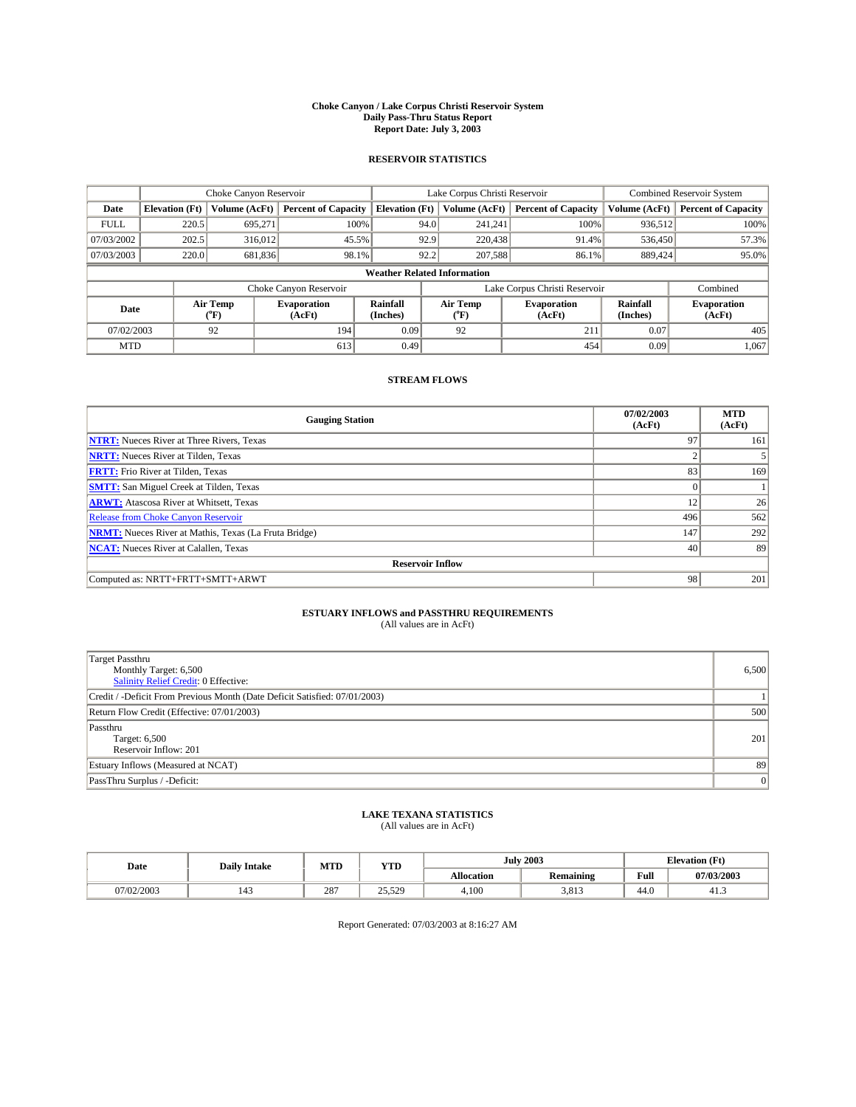#### **Choke Canyon / Lake Corpus Christi Reservoir System Daily Pass-Thru Status Report Report Date: July 3, 2003**

### **RESERVOIR STATISTICS**

|             | Choke Canyon Reservoir             |                  |                              |                       | Lake Corpus Christi Reservoir |                  |                               |                      | <b>Combined Reservoir System</b> |  |  |
|-------------|------------------------------------|------------------|------------------------------|-----------------------|-------------------------------|------------------|-------------------------------|----------------------|----------------------------------|--|--|
| Date        | <b>Elevation</b> (Ft)              | Volume (AcFt)    | <b>Percent of Capacity</b>   | <b>Elevation (Ft)</b> |                               | Volume (AcFt)    | <b>Percent of Capacity</b>    | Volume (AcFt)        | <b>Percent of Capacity</b>       |  |  |
| <b>FULL</b> | 220.5                              | 695,271          | 100%                         |                       | 94.0                          | 241,241          | 100%                          | 936.512              | 100%                             |  |  |
| 07/03/2002  | 202.5                              | 316,012          | 45.5%                        |                       | 92.9                          | 220,438          | 91.4%                         | 536,450              | 57.3%                            |  |  |
| 07/03/2003  | 220.0                              | 681,836          | 98.1%                        |                       | 92.2                          | 207,588          | 86.1%                         | 889.424              | 95.0%                            |  |  |
|             | <b>Weather Related Information</b> |                  |                              |                       |                               |                  |                               |                      |                                  |  |  |
|             |                                    |                  | Choke Canyon Reservoir       |                       |                               |                  | Lake Corpus Christi Reservoir |                      | Combined                         |  |  |
| Date        |                                    | Air Temp<br>(°F) | <b>Evaporation</b><br>(AcFt) | Rainfall<br>(Inches)  |                               | Air Temp<br>("F) | <b>Evaporation</b><br>(AcFt)  | Rainfall<br>(Inches) | <b>Evaporation</b><br>(AcFt)     |  |  |
| 07/02/2003  |                                    | 92               | 194                          | 0.09                  |                               | 92               | 211                           | 0.07                 | 405                              |  |  |
| <b>MTD</b>  |                                    |                  | 613                          | 0.49                  |                               |                  | 454                           | 0.09                 | 1,067                            |  |  |

## **STREAM FLOWS**

| <b>Gauging Station</b>                                       | 07/02/2003<br>(AcFt) | <b>MTD</b><br>(AcFt) |
|--------------------------------------------------------------|----------------------|----------------------|
| <b>NTRT:</b> Nueces River at Three Rivers, Texas             | 97                   | 161                  |
| <b>NRTT:</b> Nueces River at Tilden, Texas                   |                      |                      |
| <b>FRTT:</b> Frio River at Tilden, Texas                     | 83                   | 169                  |
| <b>SMTT:</b> San Miguel Creek at Tilden, Texas               |                      |                      |
| <b>ARWT:</b> Atascosa River at Whitsett, Texas               | 12                   | 26                   |
| <b>Release from Choke Canyon Reservoir</b>                   | 496                  | 562                  |
| <b>NRMT:</b> Nueces River at Mathis, Texas (La Fruta Bridge) | 147                  | 292                  |
| <b>NCAT:</b> Nueces River at Calallen, Texas                 | 40                   | 89                   |
| <b>Reservoir Inflow</b>                                      |                      |                      |
| Computed as: NRTT+FRTT+SMTT+ARWT                             | 98                   | 201                  |

## **ESTUARY INFLOWS and PASSTHRU REQUIREMENTS**

(All values are in AcFt)

| <b>Target Passthru</b><br>Monthly Target: 6,500<br><b>Salinity Relief Credit: 0 Effective:</b> | 6,500 |
|------------------------------------------------------------------------------------------------|-------|
| Credit / -Deficit From Previous Month (Date Deficit Satisfied: 07/01/2003)                     |       |
| Return Flow Credit (Effective: 07/01/2003)                                                     | 500   |
| Passthru<br>Target: 6,500<br>Reservoir Inflow: 201                                             | 201   |
| Estuary Inflows (Measured at NCAT)                                                             | 89    |
| PassThru Surplus / -Deficit:                                                                   | 0     |

# **LAKE TEXANA STATISTICS** (All values are in AcFt)

| Date      | <b>Daily Intake</b> | MTD      | <b>YTD</b>   |                   | <b>July 2003</b> | <b>Elevation</b> (Ft) |            |
|-----------|---------------------|----------|--------------|-------------------|------------------|-----------------------|------------|
|           |                     |          |              | <b>Allocation</b> | <b>Remaining</b> | Full                  | 07/03/2003 |
| 1/02/2003 | 143                 | $28^{-}$ | 2550<br>رے ب | 4,100             | 3.813            | $\sim$<br>44.U        | 41.3       |

Report Generated: 07/03/2003 at 8:16:27 AM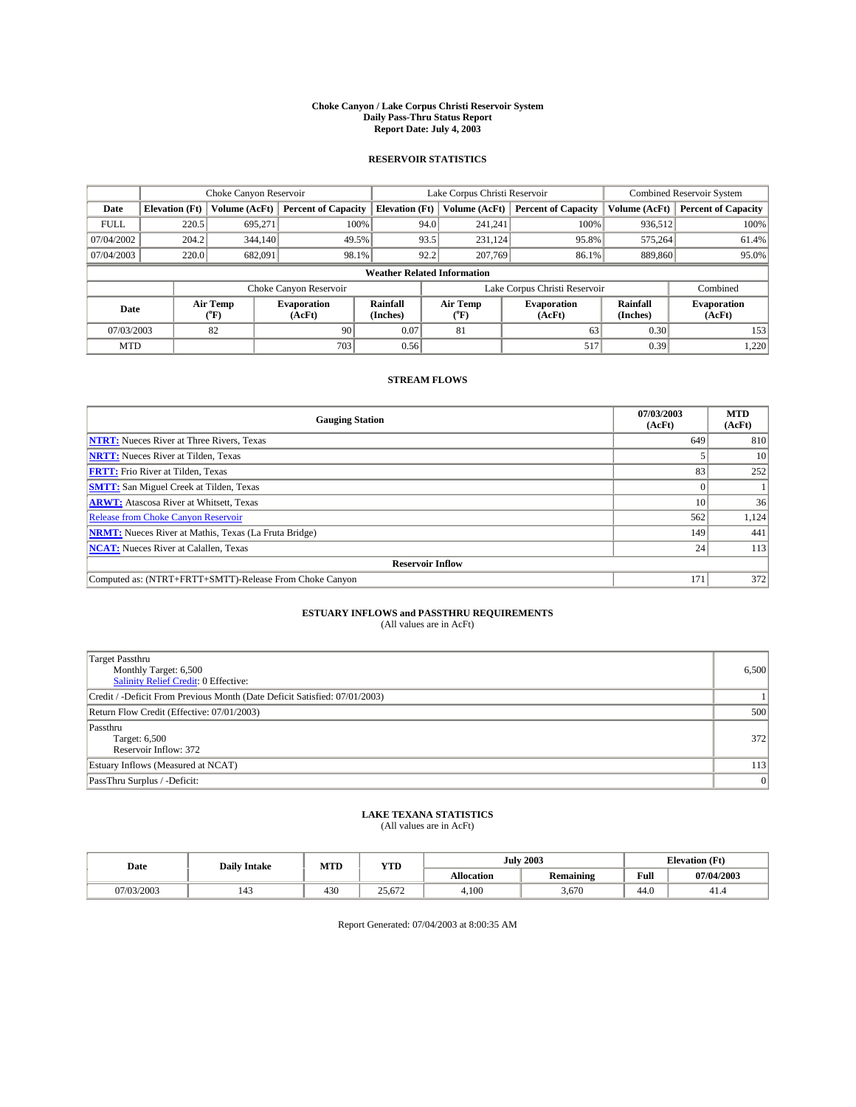#### **Choke Canyon / Lake Corpus Christi Reservoir System Daily Pass-Thru Status Report Report Date: July 4, 2003**

### **RESERVOIR STATISTICS**

|                                    | Choke Canyon Reservoir |                             |                              |                             | Lake Corpus Christi Reservoir |                  |                               |                      | Combined Reservoir System    |  |  |
|------------------------------------|------------------------|-----------------------------|------------------------------|-----------------------------|-------------------------------|------------------|-------------------------------|----------------------|------------------------------|--|--|
| Date                               | <b>Elevation</b> (Ft)  | Volume (AcFt)               | <b>Percent of Capacity</b>   | <b>Elevation</b> (Ft)       |                               | Volume (AcFt)    | <b>Percent of Capacity</b>    | Volume (AcFt)        | <b>Percent of Capacity</b>   |  |  |
| <b>FULL</b>                        | 220.5                  | 695,271                     |                              | 100%                        | 94.0                          | 241,241          | 100%                          | 936.512              | 100%                         |  |  |
| 07/04/2002                         | 204.2                  | 344,140                     | 49.5%                        |                             | 93.5                          | 231.124          | 95.8%                         | 575.264              | 61.4%                        |  |  |
| 07/04/2003                         | 220.0                  | 682,091                     | 98.1%                        |                             | 92.2                          | 207,769          | 86.1%                         | 889,860              | 95.0%                        |  |  |
| <b>Weather Related Information</b> |                        |                             |                              |                             |                               |                  |                               |                      |                              |  |  |
|                                    |                        |                             | Choke Canyon Reservoir       |                             |                               |                  | Lake Corpus Christi Reservoir |                      | Combined                     |  |  |
| Date                               |                        | Air Temp<br>${}^{\circ}$ F) | <b>Evaporation</b><br>(AcFt) | <b>Rainfall</b><br>(Inches) |                               | Air Temp<br>("F) | <b>Evaporation</b><br>(AcFt)  | Rainfall<br>(Inches) | <b>Evaporation</b><br>(AcFt) |  |  |
| 07/03/2003                         |                        | 82                          | 90                           | 0.07                        |                               | 81               | 63                            | 0.30                 | 153                          |  |  |
| <b>MTD</b>                         |                        |                             | 703                          | 0.56                        |                               |                  | 517                           | 0.39                 | 1,220                        |  |  |

## **STREAM FLOWS**

| <b>Gauging Station</b>                                       | 07/03/2003<br>(AcFt) | <b>MTD</b><br>(AcFt) |
|--------------------------------------------------------------|----------------------|----------------------|
| <b>NTRT:</b> Nueces River at Three Rivers, Texas             | 649                  | 810                  |
| <b>NRTT:</b> Nueces River at Tilden, Texas                   |                      | 10                   |
| <b>FRTT:</b> Frio River at Tilden, Texas                     | 83                   | 252                  |
| <b>SMTT:</b> San Miguel Creek at Tilden, Texas               |                      |                      |
| <b>ARWT:</b> Atascosa River at Whitsett, Texas               | 10                   | 36                   |
| <b>Release from Choke Canyon Reservoir</b>                   | 562                  | 1,124                |
| <b>NRMT:</b> Nueces River at Mathis, Texas (La Fruta Bridge) | 149                  | 441                  |
| <b>NCAT:</b> Nueces River at Calallen, Texas                 | 24 <sub>1</sub>      | 113                  |
| <b>Reservoir Inflow</b>                                      |                      |                      |
| Computed as: (NTRT+FRTT+SMTT)-Release From Choke Canyon      | 171                  | 372                  |

## **ESTUARY INFLOWS and PASSTHRU REQUIREMENTS**<br>(All values are in AcFt)

| <b>Target Passthru</b><br>Monthly Target: 6,500<br>Salinity Relief Credit: 0 Effective: | 6,500 |
|-----------------------------------------------------------------------------------------|-------|
| Credit / -Deficit From Previous Month (Date Deficit Satisfied: 07/01/2003)              |       |
| Return Flow Credit (Effective: 07/01/2003)                                              | 500   |
| Passthru<br>Target: 6,500<br>Reservoir Inflow: 372                                      | 372   |
| Estuary Inflows (Measured at NCAT)                                                      | 113   |
| PassThru Surplus / -Deficit:                                                            | 0     |

# **LAKE TEXANA STATISTICS** (All values are in AcFt)

| Date      | <b>Daily Intake</b> | MTD | <b>YTD</b>                                  |                   | <b>July 2003</b> | <b>Elevation</b> (Ft) |            |
|-----------|---------------------|-----|---------------------------------------------|-------------------|------------------|-----------------------|------------|
|           |                     |     |                                             | <b>Allocation</b> | <b>Remaining</b> | Full                  | 07/04/2003 |
| 7/03/2003 | 143                 | 430 | $\overline{\phantom{a}}$<br>$\sim$<br>2.012 | 4.100             | 3.670            | 44.0                  | 41.4       |

Report Generated: 07/04/2003 at 8:00:35 AM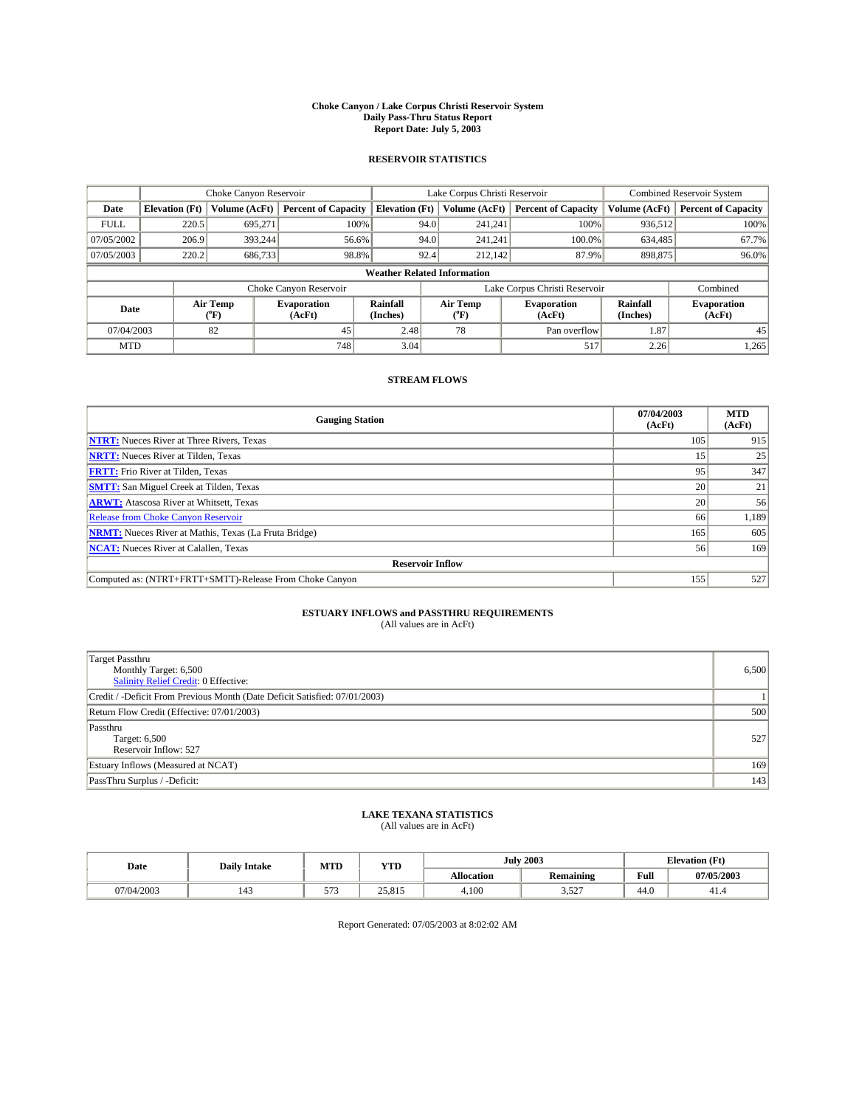#### **Choke Canyon / Lake Corpus Christi Reservoir System Daily Pass-Thru Status Report Report Date: July 5, 2003**

### **RESERVOIR STATISTICS**

|                                    |                       |                          | Lake Corpus Christi Reservoir |                       |      |                          | <b>Combined Reservoir System</b> |                      |                              |
|------------------------------------|-----------------------|--------------------------|-------------------------------|-----------------------|------|--------------------------|----------------------------------|----------------------|------------------------------|
| Date                               | <b>Elevation</b> (Ft) | Volume (AcFt)            | <b>Percent of Capacity</b>    | <b>Elevation</b> (Ft) |      | Volume (AcFt)            | <b>Percent of Capacity</b>       | Volume (AcFt)        | <b>Percent of Capacity</b>   |
| <b>FULL</b>                        | 220.5                 | 695.271                  |                               | 100%                  | 94.0 | 241,241                  | 100%                             | 936,512              | 100%                         |
| 07/05/2002                         | 206.9                 | 393.244                  |                               | 56.6%                 | 94.0 | 241.241                  | 100.0%                           | 634.485              | 67.7%                        |
| 07/05/2003                         | 220.2                 | 686,733                  |                               | 98.8%                 | 92.4 | 212,142                  | 87.9%                            | 898,875              | 96.0%                        |
| <b>Weather Related Information</b> |                       |                          |                               |                       |      |                          |                                  |                      |                              |
|                                    |                       |                          | Choke Canyon Reservoir        |                       |      |                          | Lake Corpus Christi Reservoir    |                      | Combined                     |
| Date                               |                       | Air Temp<br>$\rm ^{o}F)$ | <b>Evaporation</b><br>(AcFt)  | Rainfall<br>(Inches)  |      | Air Temp<br>$\rm ^{o}F)$ | <b>Evaporation</b><br>(AcFt)     | Rainfall<br>(Inches) | <b>Evaporation</b><br>(AcFt) |
| 07/04/2003                         |                       | 82                       | 45                            | 2.48                  |      | 78                       | Pan overflow                     | 1.87                 | 45                           |
| <b>MTD</b>                         |                       |                          | 748                           | 3.04                  |      |                          | 517                              | 2.26                 | 1,265                        |

## **STREAM FLOWS**

| <b>Gauging Station</b>                                       | 07/04/2003<br>(AcFt) | <b>MTD</b><br>(AcFt) |
|--------------------------------------------------------------|----------------------|----------------------|
| <b>NTRT:</b> Nueces River at Three Rivers, Texas             | 105                  | 915                  |
| <b>NRTT:</b> Nueces River at Tilden, Texas                   |                      | 25                   |
| <b>FRTT:</b> Frio River at Tilden, Texas                     | 95                   | 347                  |
| <b>SMTT:</b> San Miguel Creek at Tilden, Texas               | 20                   | 21                   |
| <b>ARWT:</b> Atascosa River at Whitsett, Texas               | 20 <sub>1</sub>      | 56                   |
| Release from Choke Canyon Reservoir                          | 66                   | 1,189                |
| <b>NRMT:</b> Nueces River at Mathis, Texas (La Fruta Bridge) | 165                  | 605                  |
| <b>NCAT:</b> Nueces River at Calallen, Texas                 | 56                   | 169                  |
| <b>Reservoir Inflow</b>                                      |                      |                      |
| Computed as: (NTRT+FRTT+SMTT)-Release From Choke Canyon      | 155                  | 527                  |

## **ESTUARY INFLOWS and PASSTHRU REQUIREMENTS**<br>(All values are in AcFt)

| <b>Target Passthru</b><br>Monthly Target: 6,500<br>Salinity Relief Credit: 0 Effective: | 6,500 |
|-----------------------------------------------------------------------------------------|-------|
| Credit / -Deficit From Previous Month (Date Deficit Satisfied: 07/01/2003)              |       |
| Return Flow Credit (Effective: 07/01/2003)                                              | 500   |
| Passthru<br>Target: 6,500<br>Reservoir Inflow: 527                                      | 527   |
| Estuary Inflows (Measured at NCAT)                                                      | 169   |
| PassThru Surplus / -Deficit:                                                            | 143   |

# **LAKE TEXANA STATISTICS** (All values are in AcFt)

| Date       | <b>Daily Intake</b> | MTD   | <b>YTD</b>      |                   | <b>July 2003</b> | <b>Elevation</b> (Ft) |            |
|------------|---------------------|-------|-----------------|-------------------|------------------|-----------------------|------------|
|            |                     |       |                 | <b>Allocation</b> | <b>Remaining</b> | Full                  | 07/05/2003 |
| 07/04/2003 | 143                 | $- -$ | 25015<br>25,815 | 4,100             | 527<br>3.JZ      | $\sim$<br>44.0        | 41.5       |

Report Generated: 07/05/2003 at 8:02:02 AM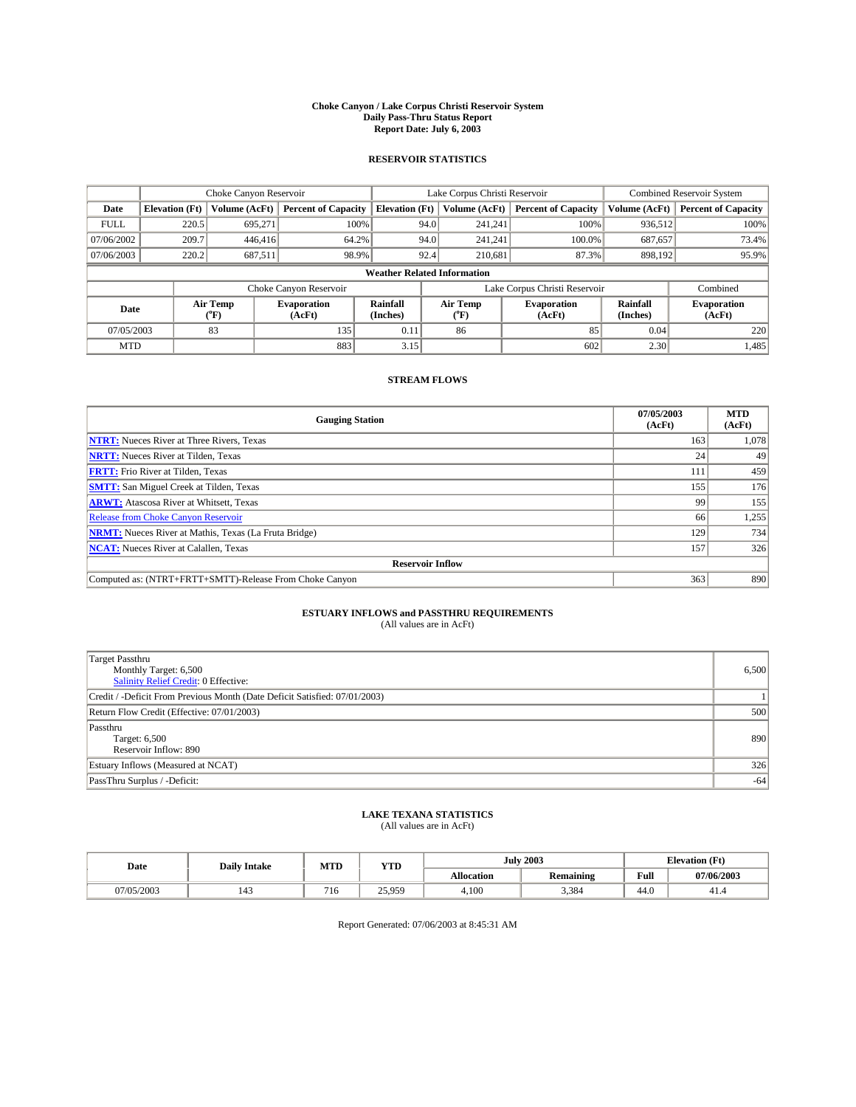#### **Choke Canyon / Lake Corpus Christi Reservoir System Daily Pass-Thru Status Report Report Date: July 6, 2003**

### **RESERVOIR STATISTICS**

|                                    | Choke Canyon Reservoir |                  |                              |                             | Lake Corpus Christi Reservoir |                  |                              |                      | Combined Reservoir System    |  |  |
|------------------------------------|------------------------|------------------|------------------------------|-----------------------------|-------------------------------|------------------|------------------------------|----------------------|------------------------------|--|--|
| Date                               | <b>Elevation</b> (Ft)  | Volume (AcFt)    | <b>Percent of Capacity</b>   | <b>Elevation (Ft)</b>       |                               | Volume (AcFt)    | <b>Percent of Capacity</b>   | Volume (AcFt)        | <b>Percent of Capacity</b>   |  |  |
| <b>FULL</b>                        | 220.5                  | 695,271          | 100%                         |                             | 94.0                          | 241,241          | 100%                         | 936.512              | 100%                         |  |  |
| 07/06/2002                         | 209.7                  | 446,416          | 64.2%                        |                             | 94.0                          | 241.241          | $100.0\%$                    | 687,657              | 73.4%                        |  |  |
| 07/06/2003                         | 220.2                  | 687,511          | 98.9%                        |                             | 92.4                          | 210.681          | 87.3%                        | 898,192              | 95.9%                        |  |  |
| <b>Weather Related Information</b> |                        |                  |                              |                             |                               |                  |                              |                      |                              |  |  |
|                                    |                        |                  | Choke Canyon Reservoir       |                             | Lake Corpus Christi Reservoir |                  |                              |                      | Combined                     |  |  |
| Date                               |                        | Air Temp<br>(°F) | <b>Evaporation</b><br>(AcFt) | <b>Rainfall</b><br>(Inches) |                               | Air Temp<br>("F) | <b>Evaporation</b><br>(AcFt) | Rainfall<br>(Inches) | <b>Evaporation</b><br>(AcFt) |  |  |
| 07/05/2003                         |                        | 83               | 135                          | 0.11                        |                               | 86               | 85                           | 0.04                 | 220                          |  |  |
| <b>MTD</b>                         |                        |                  | 883                          | 3.15                        |                               |                  | 602                          | 2.30                 | 1,485                        |  |  |

## **STREAM FLOWS**

| <b>Gauging Station</b>                                       | 07/05/2003<br>(AcFt) | <b>MTD</b><br>(AcFt) |
|--------------------------------------------------------------|----------------------|----------------------|
| <b>NTRT:</b> Nueces River at Three Rivers, Texas             | 163                  | 1,078                |
| <b>NRTT:</b> Nueces River at Tilden, Texas                   | 24 <sub>1</sub>      | 49                   |
| <b>FRTT:</b> Frio River at Tilden, Texas                     | 111                  | 459                  |
| <b>SMTT:</b> San Miguel Creek at Tilden, Texas               | 155                  | 176                  |
| <b>ARWT:</b> Atascosa River at Whitsett, Texas               | 99                   | 155                  |
| <b>Release from Choke Canyon Reservoir</b>                   | 66                   | 1,255                |
| <b>NRMT:</b> Nueces River at Mathis, Texas (La Fruta Bridge) | 129                  | 734                  |
| <b>NCAT:</b> Nueces River at Calallen, Texas                 | 157                  | 326                  |
| <b>Reservoir Inflow</b>                                      |                      |                      |
| Computed as: (NTRT+FRTT+SMTT)-Release From Choke Canyon      | 363                  | 890                  |

## **ESTUARY INFLOWS and PASSTHRU REQUIREMENTS**<br>(All values are in AcFt)

| <b>Target Passthru</b><br>Monthly Target: 6,500<br>Salinity Relief Credit: 0 Effective: | 6,500 |
|-----------------------------------------------------------------------------------------|-------|
| Credit / -Deficit From Previous Month (Date Deficit Satisfied: 07/01/2003)              |       |
| Return Flow Credit (Effective: 07/01/2003)                                              | 500   |
| Passthru<br>Target: 6,500<br>Reservoir Inflow: 890                                      | 890   |
| Estuary Inflows (Measured at NCAT)                                                      | 326   |
| PassThru Surplus / -Deficit:                                                            | $-64$ |

# **LAKE TEXANA STATISTICS** (All values are in AcFt)

| Date       | <b>Daily Intake</b> | MTD | <b>YTD</b>             |                   | <b>July 2003</b> | <b>Elevation</b> (Ft) |            |
|------------|---------------------|-----|------------------------|-------------------|------------------|-----------------------|------------|
|            |                     |     |                        | <b>Allocation</b> | Remaining        | Full                  | 07/06/2003 |
| 07/05/2003 | 143                 | 10  | 25.959<br><i>--</i> -- | 4.100             | 3.384            | 44.0                  | 71.T       |

Report Generated: 07/06/2003 at 8:45:31 AM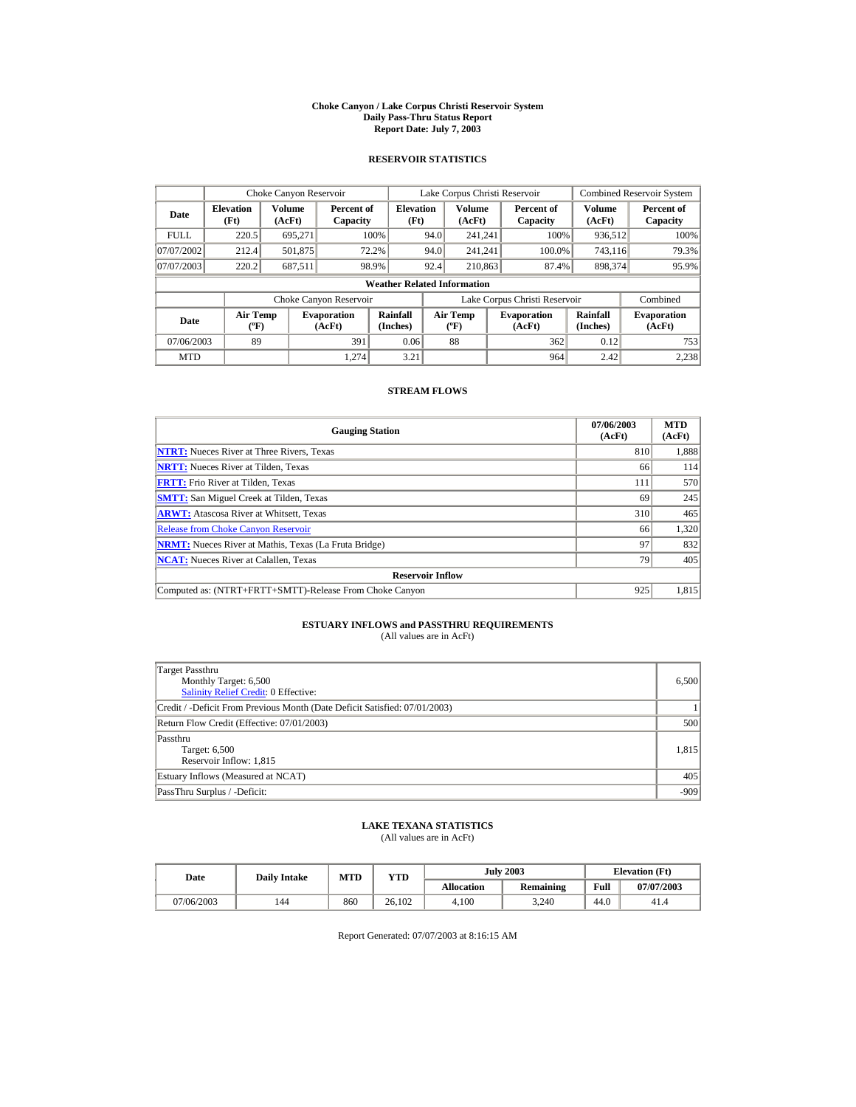#### **Choke Canyon / Lake Corpus Christi Reservoir System Daily Pass-Thru Status Report Report Date: July 7, 2003**

### **RESERVOIR STATISTICS**

|             | Choke Canyon Reservoir                      |                  |                              |                          | Lake Corpus Christi Reservoir |                                  |  |                               | <b>Combined Reservoir System</b> |                              |  |
|-------------|---------------------------------------------|------------------|------------------------------|--------------------------|-------------------------------|----------------------------------|--|-------------------------------|----------------------------------|------------------------------|--|
| Date        | <b>Elevation</b><br>(Ft)                    | Volume<br>(AcFt) | Percent of<br>Capacity       | <b>Elevation</b><br>(Ft) |                               | Volume<br>(AcFt)                 |  | Percent of<br>Capacity        | Volume<br>(AcFt)                 | Percent of<br>Capacity       |  |
| <b>FULL</b> | 220.5                                       | 695.271          |                              | 100%                     | 94.0                          | 241.241                          |  | 100%                          | 936,512                          | 100%                         |  |
| 07/07/2002  | 212.4                                       | 501,875          |                              | 72.2%                    | 94.0                          | 241.241                          |  | 100.0%                        | 743,116                          | 79.3%                        |  |
| 07/07/2003  | 220.2                                       | 687,511          |                              | 98.9%                    | 92.4                          | 210,863                          |  | 87.4%                         | 898.374                          | 95.9%                        |  |
|             | <b>Weather Related Information</b>          |                  |                              |                          |                               |                                  |  |                               |                                  |                              |  |
|             |                                             |                  | Choke Canyon Reservoir       |                          |                               |                                  |  | Lake Corpus Christi Reservoir |                                  | Combined                     |  |
| Date        | <b>Air Temp</b><br>$({}^{\circ}\mathrm{F})$ |                  | <b>Evaporation</b><br>(AcFt) | Rainfall<br>(Inches)     |                               | <b>Air Temp</b><br>$(^{\circ}F)$ |  | <b>Evaporation</b><br>(AcFt)  | Rainfall<br>(Inches)             | <b>Evaporation</b><br>(AcFt) |  |
| 07/06/2003  | 89                                          |                  | 391                          | 0.06                     |                               | 88                               |  | 362                           | 0.12                             | 753                          |  |
| <b>MTD</b>  |                                             |                  | 1.274                        | 3.21                     |                               |                                  |  | 964                           | 2.42                             | 2,238                        |  |

### **STREAM FLOWS**

| <b>Gauging Station</b>                                       | 07/06/2003<br>(AcFt) | <b>MTD</b><br>(AcFt) |
|--------------------------------------------------------------|----------------------|----------------------|
| <b>NTRT:</b> Nueces River at Three Rivers, Texas             | 810                  | 1,888                |
| <b>NRTT:</b> Nueces River at Tilden. Texas                   | 66                   | 114                  |
| <b>FRTT:</b> Frio River at Tilden, Texas                     | 111                  | 570                  |
| <b>SMTT:</b> San Miguel Creek at Tilden, Texas               | 69                   | 245                  |
| <b>ARWT:</b> Atascosa River at Whitsett, Texas               | 310                  | 465                  |
| <b>Release from Choke Canyon Reservoir</b>                   | 66                   | 1,320                |
| <b>NRMT:</b> Nueces River at Mathis, Texas (La Fruta Bridge) | 97                   | 832                  |
| <b>NCAT:</b> Nueces River at Calallen, Texas                 | 79                   | 405                  |
| <b>Reservoir Inflow</b>                                      |                      |                      |
| Computed as: (NTRT+FRTT+SMTT)-Release From Choke Canyon      | 925                  | 1,815                |

## **ESTUARY INFLOWS and PASSTHRU REQUIREMENTS**<br>(All values are in AcFt)

| Target Passthru<br>Monthly Target: 6,500<br><b>Salinity Relief Credit: 0 Effective:</b> | 6,500  |
|-----------------------------------------------------------------------------------------|--------|
| Credit / -Deficit From Previous Month (Date Deficit Satisfied: 07/01/2003)              |        |
| Return Flow Credit (Effective: 07/01/2003)                                              | 500    |
| Passthru<br>Target: 6,500<br>Reservoir Inflow: 1,815                                    | 1.815  |
| Estuary Inflows (Measured at NCAT)                                                      | 405    |
| PassThru Surplus / -Deficit:                                                            | $-909$ |

## **LAKE TEXANA STATISTICS**

(All values are in AcFt)

| Date       | <b>Daily Intake</b> | <b>MTD</b> | $v_{\rm TD}$ |            | <b>July 2003</b> | <b>Elevation</b> (Ft) |            |
|------------|---------------------|------------|--------------|------------|------------------|-----------------------|------------|
|            |                     |            |              | Allocation | Remaining        | Full                  | 07/07/2003 |
| 07/06/2003 | 144                 | 860        | 26.102       | 4.100      | 3.240            | 44.0                  | 41.4       |

Report Generated: 07/07/2003 at 8:16:15 AM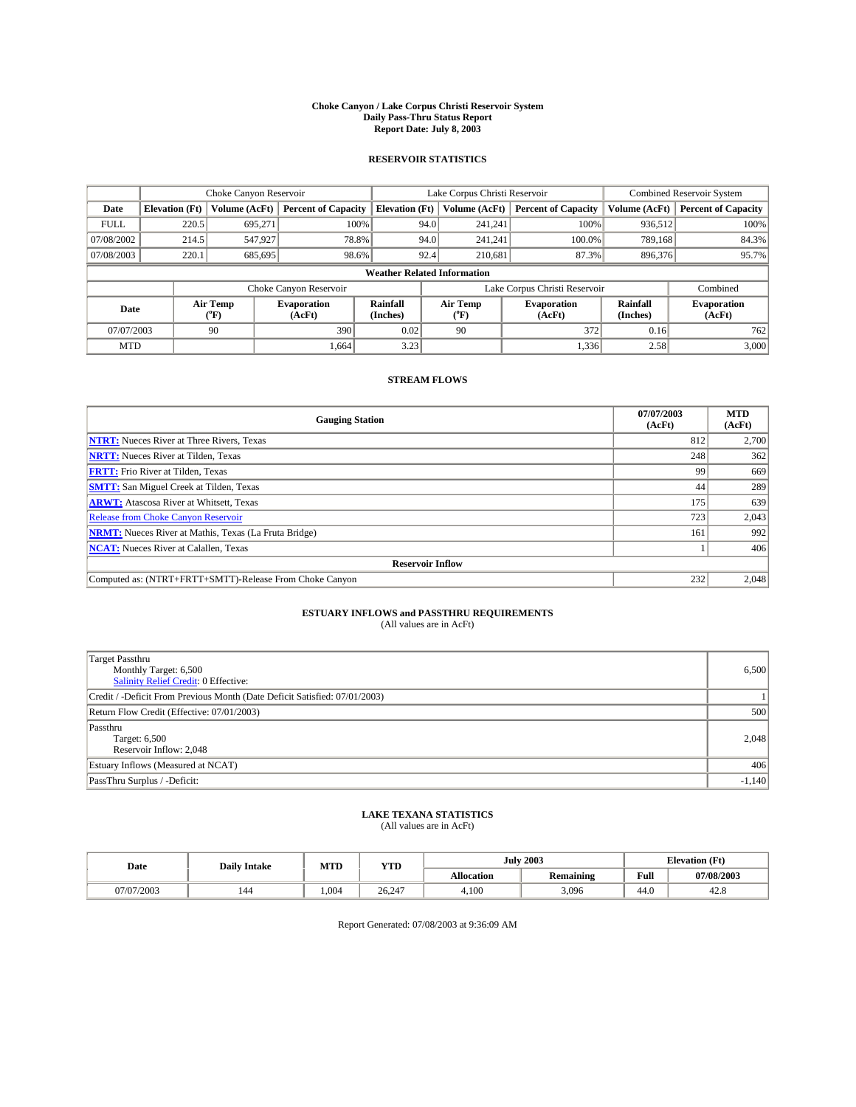#### **Choke Canyon / Lake Corpus Christi Reservoir System Daily Pass-Thru Status Report Report Date: July 8, 2003**

### **RESERVOIR STATISTICS**

|                                    | Choke Canyon Reservoir |                  | Lake Corpus Christi Reservoir |                             |                               |                  | <b>Combined Reservoir System</b> |                      |                              |
|------------------------------------|------------------------|------------------|-------------------------------|-----------------------------|-------------------------------|------------------|----------------------------------|----------------------|------------------------------|
| Date                               | <b>Elevation</b> (Ft)  | Volume (AcFt)    | <b>Percent of Capacity</b>    | <b>Elevation (Ft)</b>       |                               | Volume (AcFt)    | <b>Percent of Capacity</b>       | Volume (AcFt)        | <b>Percent of Capacity</b>   |
| <b>FULL</b>                        | 220.5                  | 695,271          |                               | 100%                        | 94.0                          | 241,241          | 100%                             | 936.512              | 100%                         |
| 07/08/2002                         | 214.5                  | 547,927          |                               | 78.8%                       | 94.0                          | 241.241          | $100.0\%$                        | 789.168              | 84.3%                        |
| 07/08/2003                         | 220.1                  | 685,695          | 98.6%                         |                             | 92.4                          | 210.681          | 87.3%                            | 896,376              | 95.7%                        |
| <b>Weather Related Information</b> |                        |                  |                               |                             |                               |                  |                                  |                      |                              |
|                                    |                        |                  | Choke Canyon Reservoir        |                             | Lake Corpus Christi Reservoir |                  |                                  |                      | Combined                     |
| Date                               |                        | Air Temp<br>(°F) | <b>Evaporation</b><br>(AcFt)  | <b>Rainfall</b><br>(Inches) |                               | Air Temp<br>("F) | <b>Evaporation</b><br>(AcFt)     | Rainfall<br>(Inches) | <b>Evaporation</b><br>(AcFt) |
| 07/07/2003                         |                        | 90               | 390                           | 0.02                        |                               | 90               | 372                              | 0.16                 | 762                          |
| <b>MTD</b>                         |                        |                  | 1,664                         | 3.23                        |                               |                  | 1,336                            | 2.58                 | 3,000                        |

## **STREAM FLOWS**

| <b>Gauging Station</b>                                       | 07/07/2003<br>(AcFt) | <b>MTD</b><br>(AcFt) |  |  |  |  |  |
|--------------------------------------------------------------|----------------------|----------------------|--|--|--|--|--|
| <b>NTRT:</b> Nueces River at Three Rivers, Texas             | 812                  | 2,700                |  |  |  |  |  |
| <b>NRTT:</b> Nueces River at Tilden, Texas                   | 248                  | 362                  |  |  |  |  |  |
| <b>FRTT:</b> Frio River at Tilden, Texas                     | 99                   | 669                  |  |  |  |  |  |
| <b>SMTT:</b> San Miguel Creek at Tilden, Texas               | 44                   | 289                  |  |  |  |  |  |
| <b>ARWT:</b> Atascosa River at Whitsett, Texas               | 175                  | 639                  |  |  |  |  |  |
| <b>Release from Choke Canyon Reservoir</b>                   | 723                  | 2,043                |  |  |  |  |  |
| <b>NRMT:</b> Nueces River at Mathis, Texas (La Fruta Bridge) | 161                  | 992                  |  |  |  |  |  |
| <b>NCAT:</b> Nueces River at Calallen, Texas                 |                      | 406                  |  |  |  |  |  |
| <b>Reservoir Inflow</b>                                      |                      |                      |  |  |  |  |  |
| Computed as: (NTRT+FRTT+SMTT)-Release From Choke Canyon      | 232                  | 2,048                |  |  |  |  |  |

# **ESTUARY INFLOWS and PASSTHRU REQUIREMENTS**<br>(All values are in AcFt)

| <b>Target Passthru</b><br>Monthly Target: 6,500<br>Salinity Relief Credit: 0 Effective: | 6,500    |
|-----------------------------------------------------------------------------------------|----------|
| Credit / -Deficit From Previous Month (Date Deficit Satisfied: 07/01/2003)              |          |
| Return Flow Credit (Effective: 07/01/2003)                                              | 500      |
| Passthru<br>Target: 6,500<br>Reservoir Inflow: 2,048                                    | 2,048    |
| Estuary Inflows (Measured at NCAT)                                                      | 406      |
| PassThru Surplus / -Deficit:                                                            | $-1,140$ |

# **LAKE TEXANA STATISTICS** (All values are in AcFt)

| Date       | <b>Daily Intake</b> | MTD   | <b>YTD</b> |                   | <b>July 2003</b> | <b>Elevation</b> (Ft) |            |
|------------|---------------------|-------|------------|-------------------|------------------|-----------------------|------------|
|            |                     |       |            | <b>Allocation</b> | <b>Remaining</b> | Full                  | 07/08/2003 |
| 07/07/2003 | 144                 | 1.004 | 26.247     | 4.100             | 3,096            | 44.0                  | 42.6       |

Report Generated: 07/08/2003 at 9:36:09 AM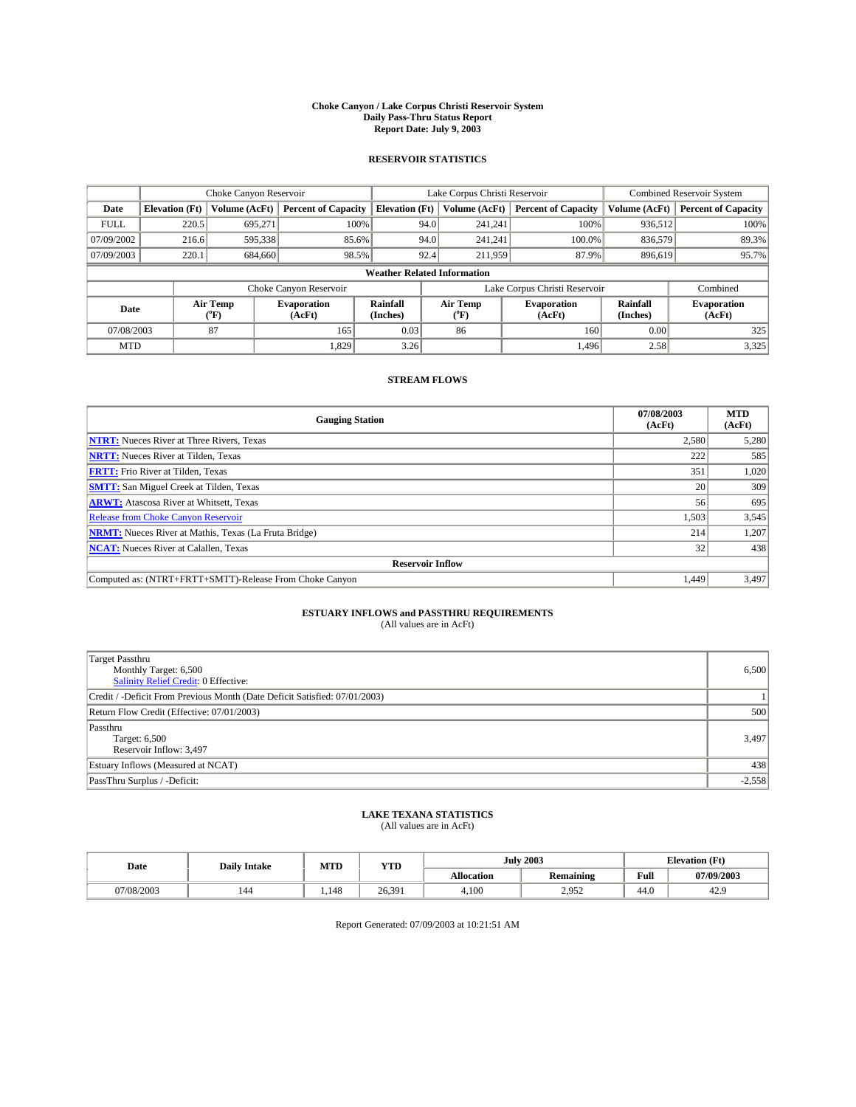#### **Choke Canyon / Lake Corpus Christi Reservoir System Daily Pass-Thru Status Report Report Date: July 9, 2003**

### **RESERVOIR STATISTICS**

|                                    | Choke Canyon Reservoir |                  | Lake Corpus Christi Reservoir |                             |                               |                  | <b>Combined Reservoir System</b> |                      |                              |
|------------------------------------|------------------------|------------------|-------------------------------|-----------------------------|-------------------------------|------------------|----------------------------------|----------------------|------------------------------|
| Date                               | <b>Elevation</b> (Ft)  | Volume (AcFt)    | <b>Percent of Capacity</b>    | <b>Elevation (Ft)</b>       |                               | Volume (AcFt)    | <b>Percent of Capacity</b>       | Volume (AcFt)        | <b>Percent of Capacity</b>   |
| <b>FULL</b>                        | 220.5                  | 695,271          |                               | 100%                        | 94.0                          | 241,241          | 100%                             | 936.512              | 100%                         |
| 07/09/2002                         | 216.6                  | 595,338          | 85.6%                         |                             | 94.0                          | 241.241          | $100.0\%$                        | 836,579              | 89.3%                        |
| 07/09/2003                         | 220.1                  | 684,660          | 98.5%                         |                             | 92.4                          | 211,959          | 87.9%                            | 896.619              | 95.7%                        |
| <b>Weather Related Information</b> |                        |                  |                               |                             |                               |                  |                                  |                      |                              |
|                                    |                        |                  | Choke Canyon Reservoir        |                             | Lake Corpus Christi Reservoir |                  |                                  |                      | Combined                     |
| Date                               |                        | Air Temp<br>(°F) | <b>Evaporation</b><br>(AcFt)  | <b>Rainfall</b><br>(Inches) |                               | Air Temp<br>("F) | <b>Evaporation</b><br>(AcFt)     | Rainfall<br>(Inches) | <b>Evaporation</b><br>(AcFt) |
| 07/08/2003                         |                        | 87               | 165                           | 0.03                        |                               | 86               | 160                              | 0.00                 | 325                          |
| <b>MTD</b>                         |                        |                  | 1,829                         | 3.26                        |                               |                  | 1,496                            | 2.58                 | 3,325                        |

## **STREAM FLOWS**

| <b>Gauging Station</b>                                       | 07/08/2003<br>(AcFt) | <b>MTD</b><br>(AcFt) |
|--------------------------------------------------------------|----------------------|----------------------|
| <b>NTRT:</b> Nueces River at Three Rivers, Texas             | 2,580                | 5,280                |
| <b>NRTT:</b> Nueces River at Tilden, Texas                   | 222                  | 585                  |
| <b>FRTT:</b> Frio River at Tilden, Texas                     | 351                  | 1,020                |
| <b>SMTT:</b> San Miguel Creek at Tilden, Texas               | <b>20</b>            | 309                  |
| <b>ARWT:</b> Atascosa River at Whitsett, Texas               | 56                   | 695                  |
| <b>Release from Choke Canyon Reservoir</b>                   | 1,503                | 3,545                |
| <b>NRMT:</b> Nueces River at Mathis, Texas (La Fruta Bridge) | 214                  | 1,207                |
| <b>NCAT:</b> Nueces River at Calallen, Texas                 | 32                   | 438                  |
| <b>Reservoir Inflow</b>                                      |                      |                      |
| Computed as: (NTRT+FRTT+SMTT)-Release From Choke Canyon      | 1.449                | 3,497                |

# **ESTUARY INFLOWS and PASSTHRU REQUIREMENTS**<br>(All values are in AcFt)

| <b>Target Passthru</b><br>Monthly Target: 6,500<br>Salinity Relief Credit: 0 Effective: | 6,500    |
|-----------------------------------------------------------------------------------------|----------|
| Credit / -Deficit From Previous Month (Date Deficit Satisfied: 07/01/2003)              |          |
| Return Flow Credit (Effective: 07/01/2003)                                              | 500      |
| Passthru<br>Target: 6,500<br>Reservoir Inflow: 3,497                                    | 3,497    |
| Estuary Inflows (Measured at NCAT)                                                      | 438      |
| PassThru Surplus / -Deficit:                                                            | $-2,558$ |

# **LAKE TEXANA STATISTICS** (All values are in AcFt)

| Date       | <b>Daily Intake</b> | MTD  | <b>VTD</b><br>1 I D |                   | <b>July 2003</b> | <b>Elevation</b> (Ft) |            |
|------------|---------------------|------|---------------------|-------------------|------------------|-----------------------|------------|
|            |                     |      |                     | <b>Allocation</b> | Remaining        | Full                  | 07/09/2003 |
| J7/08/2003 | 144                 | .148 | 26.391              | 4,100             | 2.952<br>ムココム    | 44.0                  | 42.9       |

Report Generated: 07/09/2003 at 10:21:51 AM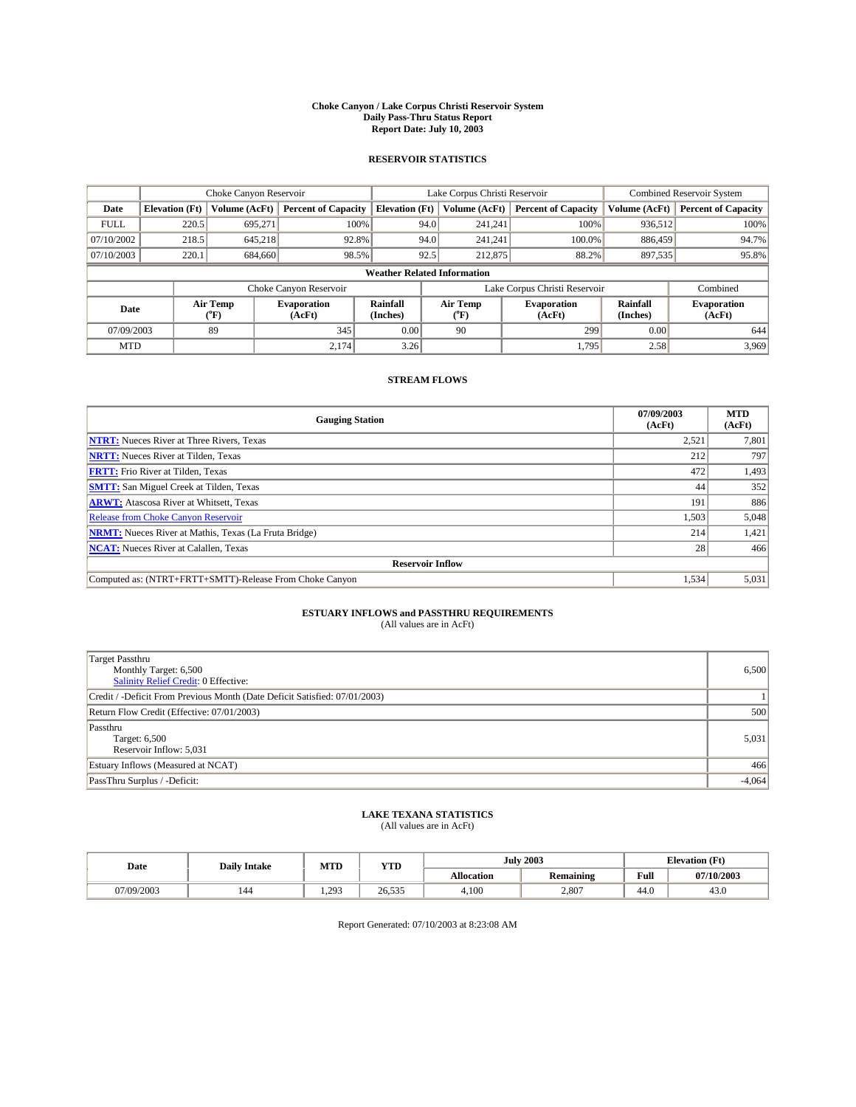#### **Choke Canyon / Lake Corpus Christi Reservoir System Daily Pass-Thru Status Report Report Date: July 10, 2003**

### **RESERVOIR STATISTICS**

|             | Choke Canyon Reservoir             |                  |                              |                             | Lake Corpus Christi Reservoir |                  |                              |                      | <b>Combined Reservoir System</b> |  |  |
|-------------|------------------------------------|------------------|------------------------------|-----------------------------|-------------------------------|------------------|------------------------------|----------------------|----------------------------------|--|--|
| Date        | <b>Elevation</b> (Ft)              | Volume (AcFt)    | <b>Percent of Capacity</b>   | <b>Elevation (Ft)</b>       |                               | Volume (AcFt)    | <b>Percent of Capacity</b>   | Volume (AcFt)        | <b>Percent of Capacity</b>       |  |  |
| <b>FULL</b> | 220.5                              | 695,271          | 100%                         |                             | 94.0                          | 241,241          | 100%                         | 936.512              | 100%                             |  |  |
| 07/10/2002  | 218.5                              | 645.218          | 92.8%                        |                             | 94.0                          | 241.241          | $100.0\%$                    | 886,459              | 94.7%                            |  |  |
| 07/10/2003  | 220.1                              | 684,660          | 98.5%                        |                             | 92.5                          | 212,875          | 88.2%                        | 897,535              | 95.8%                            |  |  |
|             | <b>Weather Related Information</b> |                  |                              |                             |                               |                  |                              |                      |                                  |  |  |
|             |                                    |                  | Choke Canyon Reservoir       |                             | Lake Corpus Christi Reservoir |                  |                              |                      | Combined                         |  |  |
| Date        |                                    | Air Temp<br>(°F) | <b>Evaporation</b><br>(AcFt) | <b>Rainfall</b><br>(Inches) |                               | Air Temp<br>("F) | <b>Evaporation</b><br>(AcFt) | Rainfall<br>(Inches) | <b>Evaporation</b><br>(AcFt)     |  |  |
| 07/09/2003  |                                    | 89               | 345                          | 0.00                        |                               | 90               | 299                          | 0.00                 | 644                              |  |  |
| <b>MTD</b>  |                                    |                  | 2,174                        | 3.26                        |                               |                  | 1,795                        | 2.58                 | 3,969                            |  |  |

## **STREAM FLOWS**

| <b>Gauging Station</b>                                       | 07/09/2003<br>(AcFt) | <b>MTD</b><br>(AcFt) |
|--------------------------------------------------------------|----------------------|----------------------|
| <b>NTRT:</b> Nueces River at Three Rivers, Texas             | 2,521                | 7,801                |
| <b>NRTT:</b> Nueces River at Tilden, Texas                   | 212                  | 797                  |
| <b>FRTT:</b> Frio River at Tilden, Texas                     | 472                  | 1,493                |
| <b>SMTT:</b> San Miguel Creek at Tilden, Texas               | 44                   | 352                  |
| <b>ARWT:</b> Atascosa River at Whitsett, Texas               | 191                  | 886                  |
| <b>Release from Choke Canyon Reservoir</b>                   | 1,503                | 5,048                |
| <b>NRMT:</b> Nueces River at Mathis, Texas (La Fruta Bridge) | 214                  | 1,421                |
| <b>NCAT:</b> Nueces River at Calallen, Texas                 | 28 <sub>1</sub>      | 466                  |
| <b>Reservoir Inflow</b>                                      |                      |                      |
| Computed as: (NTRT+FRTT+SMTT)-Release From Choke Canyon      | 1,534                | 5,031                |

# **ESTUARY INFLOWS and PASSTHRU REQUIREMENTS**<br>(All values are in AcFt)

| <b>Target Passthru</b><br>Monthly Target: 6,500<br>Salinity Relief Credit: 0 Effective: | 6,500    |
|-----------------------------------------------------------------------------------------|----------|
| Credit / -Deficit From Previous Month (Date Deficit Satisfied: 07/01/2003)              |          |
| Return Flow Credit (Effective: 07/01/2003)                                              | 500      |
| Passthru<br>Target: 6,500<br>Reservoir Inflow: 5,031                                    | 5,031    |
| Estuary Inflows (Measured at NCAT)                                                      | 466      |
| PassThru Surplus / -Deficit:                                                            | $-4,064$ |

# **LAKE TEXANA STATISTICS** (All values are in AcFt)

| Date      | <b>Daily Intake</b> | MTD               | <b>YTD</b>    |                   | <b>July 2003</b> | <b>Elevation</b> (Ft) |                |
|-----------|---------------------|-------------------|---------------|-------------------|------------------|-----------------------|----------------|
|           |                     |                   |               | <b>Allocation</b> | Remaining        | Full                  | 07/10/2003     |
| 7/09/2003 | 144                 | 293<br>. <i>.</i> | 26.535<br>525 | 4.100             | 2,807            | 44.0                  | $\sim$<br>43.U |

Report Generated: 07/10/2003 at 8:23:08 AM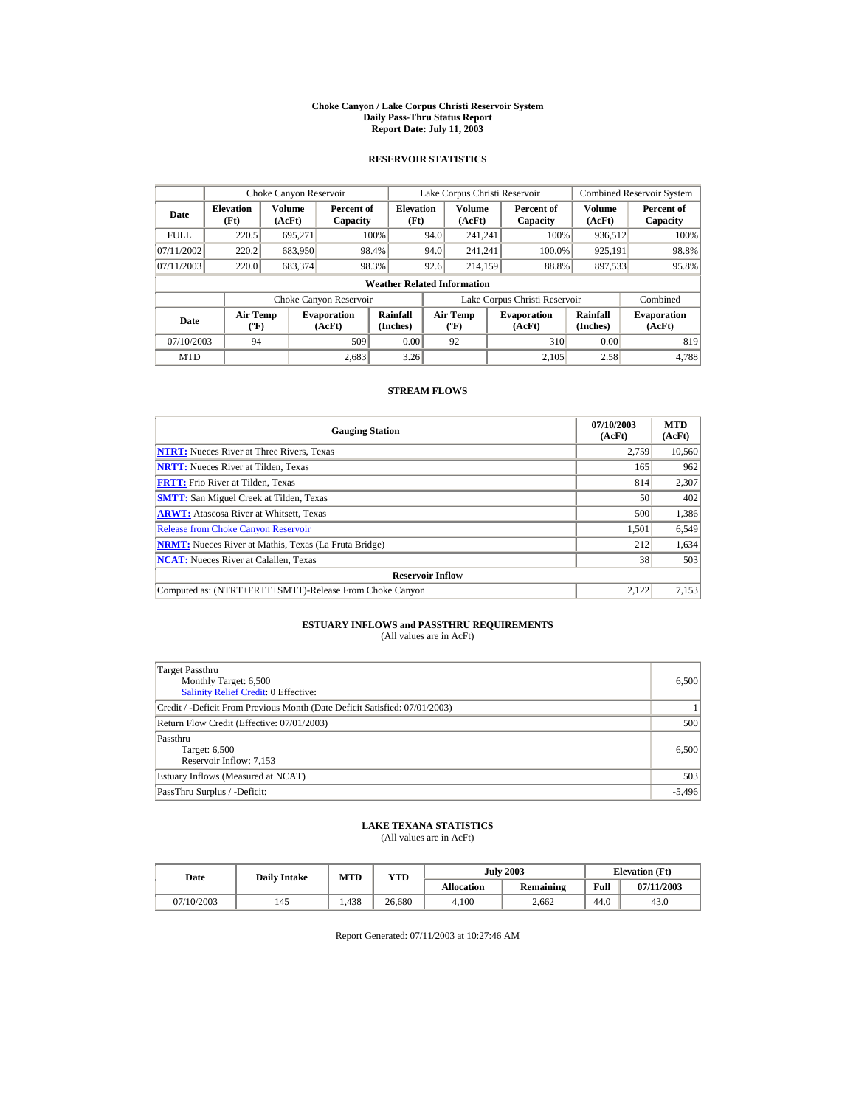#### **Choke Canyon / Lake Corpus Christi Reservoir System Daily Pass-Thru Status Report Report Date: July 11, 2003**

### **RESERVOIR STATISTICS**

|             | Choke Canyon Reservoir                      |                  |                              |                          | Lake Corpus Christi Reservoir            |                         |  |                               | <b>Combined Reservoir System</b> |                              |  |
|-------------|---------------------------------------------|------------------|------------------------------|--------------------------|------------------------------------------|-------------------------|--|-------------------------------|----------------------------------|------------------------------|--|
| Date        | <b>Elevation</b><br>(Ft)                    | Volume<br>(AcFt) | Percent of<br>Capacity       | <b>Elevation</b><br>(Ft) |                                          | <b>Volume</b><br>(AcFt) |  | Percent of<br>Capacity        | Volume<br>(AcFt)                 | Percent of<br>Capacity       |  |
| <b>FULL</b> | 220.5                                       | 695.271          |                              | 100%                     | 94.0                                     | 241.241                 |  | 100%                          | 936,512                          | 100%                         |  |
| 07/11/2002  | 220.2                                       | 683,950          |                              | 98.4%                    | 94.0                                     | 241.241                 |  | 100.0%                        | 925,191                          | 98.8%                        |  |
| 07/11/2003  | 220.0                                       | 683,374          |                              | 98.3%                    | 92.6                                     | 214.159                 |  | 88.8%                         | 897,533                          | 95.8%                        |  |
|             | <b>Weather Related Information</b>          |                  |                              |                          |                                          |                         |  |                               |                                  |                              |  |
|             |                                             |                  | Choke Canyon Reservoir       |                          |                                          |                         |  | Lake Corpus Christi Reservoir |                                  | Combined                     |  |
| Date        | <b>Air Temp</b><br>$({}^{\circ}\mathrm{F})$ |                  | <b>Evaporation</b><br>(AcFt) | Rainfall<br>(Inches)     | <b>Air Temp</b><br>$({}^{\circ}{\rm F})$ |                         |  | <b>Evaporation</b><br>(AcFt)  | Rainfall<br>(Inches)             | <b>Evaporation</b><br>(AcFt) |  |
| 07/10/2003  | 94                                          |                  | 509                          | 0.00                     |                                          | 92                      |  | 310                           | 0.00                             | 819                          |  |
| <b>MTD</b>  |                                             |                  | 2.683                        | 3.26                     |                                          |                         |  | 2.105                         | 2.58                             | 4.788                        |  |

### **STREAM FLOWS**

| <b>Gauging Station</b>                                       | 07/10/2003<br>(AcFt) | <b>MTD</b><br>(AcFt) |
|--------------------------------------------------------------|----------------------|----------------------|
| <b>NTRT:</b> Nueces River at Three Rivers, Texas             | 2.759                | 10,560               |
| <b>NRTT:</b> Nueces River at Tilden, Texas                   | 165                  | 962                  |
| <b>FRTT:</b> Frio River at Tilden, Texas                     | 814                  | 2,307                |
| <b>SMTT:</b> San Miguel Creek at Tilden, Texas               | 50                   | 402                  |
| <b>ARWT:</b> Atascosa River at Whitsett, Texas               | 500                  | 1,386                |
| <b>Release from Choke Canyon Reservoir</b>                   | 1,501                | 6,549                |
| <b>NRMT:</b> Nueces River at Mathis, Texas (La Fruta Bridge) | 212                  | 1,634                |
| <b>NCAT:</b> Nueces River at Calallen, Texas                 | 38                   | 503                  |
| <b>Reservoir Inflow</b>                                      |                      |                      |
| Computed as: (NTRT+FRTT+SMTT)-Release From Choke Canyon      | 2.122                | 7,153                |

## **ESTUARY INFLOWS and PASSTHRU REQUIREMENTS**<br>(All values are in AcFt)

| Target Passthru<br>Monthly Target: 6,500<br><b>Salinity Relief Credit: 0 Effective:</b> | 6.500    |
|-----------------------------------------------------------------------------------------|----------|
| Credit / -Deficit From Previous Month (Date Deficit Satisfied: 07/01/2003)              |          |
| Return Flow Credit (Effective: 07/01/2003)                                              | 500      |
| Passthru<br>Target: 6,500<br>Reservoir Inflow: 7,153                                    | 6,500    |
| Estuary Inflows (Measured at NCAT)                                                      | 503      |
| PassThru Surplus / -Deficit:                                                            | $-5,496$ |

## **LAKE TEXANA STATISTICS**

(All values are in AcFt)

| Date       | <b>Daily Intake</b> | MTD  | VTD    |            | <b>July 2003</b> | <b>Elevation</b> (Ft) |            |
|------------|---------------------|------|--------|------------|------------------|-----------------------|------------|
|            |                     |      |        | Allocation | Remaining        | Full                  | 07/11/2003 |
| 07/10/2003 | 145                 | .438 | 26.680 | 4.100      | 2.662            | 44.0                  | 43.0       |

Report Generated: 07/11/2003 at 10:27:46 AM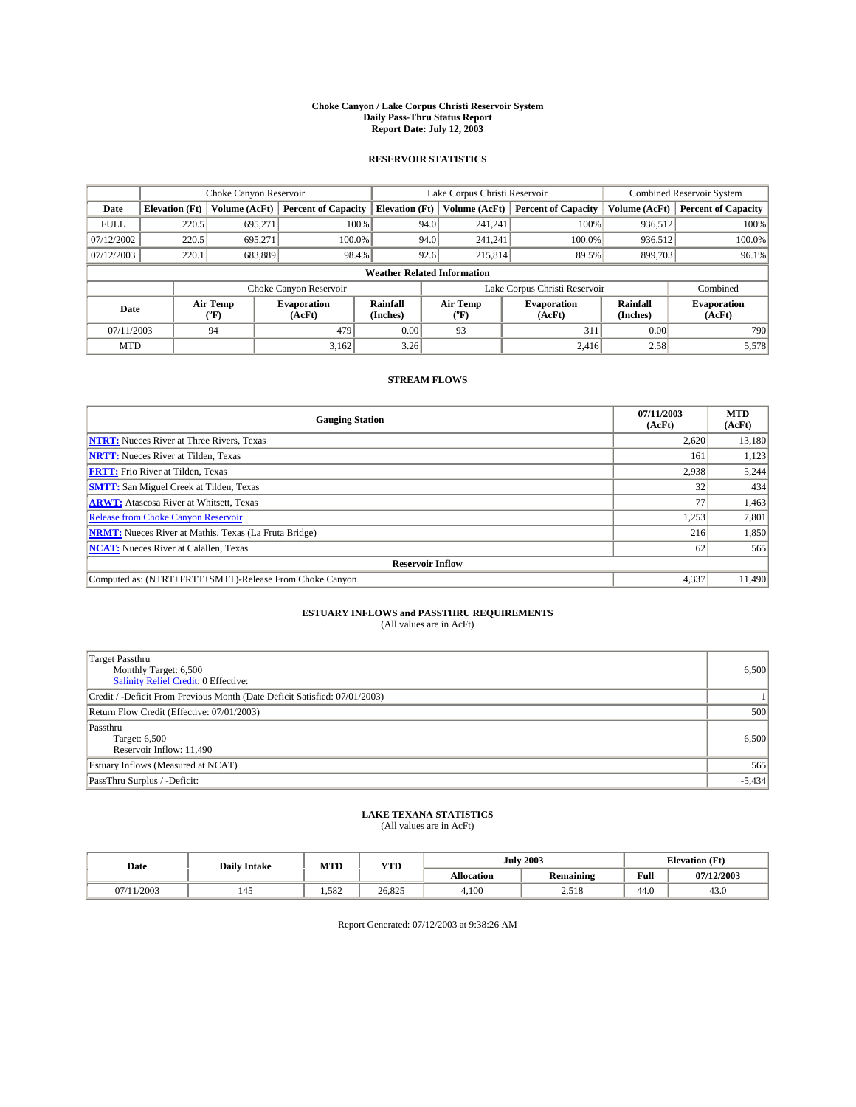#### **Choke Canyon / Lake Corpus Christi Reservoir System Daily Pass-Thru Status Report Report Date: July 12, 2003**

### **RESERVOIR STATISTICS**

|             | Choke Canyon Reservoir             |                  |                              |                             | Lake Corpus Christi Reservoir |                  |                              |                      | <b>Combined Reservoir System</b> |  |  |
|-------------|------------------------------------|------------------|------------------------------|-----------------------------|-------------------------------|------------------|------------------------------|----------------------|----------------------------------|--|--|
| Date        | <b>Elevation</b> (Ft)              | Volume (AcFt)    | <b>Percent of Capacity</b>   | <b>Elevation (Ft)</b>       |                               | Volume (AcFt)    | <b>Percent of Capacity</b>   | Volume (AcFt)        | <b>Percent of Capacity</b>       |  |  |
| <b>FULL</b> | 220.5                              | 695,271          |                              | 100%                        | 94.0                          | 241,241          | 100%                         | 936.512              | 100%                             |  |  |
| 07/12/2002  | 220.5                              | 695.271          | $100.0\%$                    |                             | 94.0                          | 241.241          | $100.0\%$                    | 936.512              | 100.0%                           |  |  |
| 07/12/2003  | 220.1                              | 683,889          | 98.4%                        |                             | 92.6                          | 215,814          | 89.5%                        | 899,703              | 96.1%                            |  |  |
|             | <b>Weather Related Information</b> |                  |                              |                             |                               |                  |                              |                      |                                  |  |  |
|             |                                    |                  | Choke Canyon Reservoir       |                             | Lake Corpus Christi Reservoir |                  |                              |                      | Combined                         |  |  |
| Date        |                                    | Air Temp<br>(°F) | <b>Evaporation</b><br>(AcFt) | <b>Rainfall</b><br>(Inches) |                               | Air Temp<br>("F) | <b>Evaporation</b><br>(AcFt) | Rainfall<br>(Inches) | <b>Evaporation</b><br>(AcFt)     |  |  |
| 07/11/2003  |                                    | 94               | 479                          | 0.00                        |                               | 93               | 311                          | 0.00                 | 790                              |  |  |
| <b>MTD</b>  |                                    |                  | 3,162                        | 3.26                        |                               |                  | 2,416                        | 2.58                 | 5,578                            |  |  |

## **STREAM FLOWS**

| <b>Gauging Station</b>                                       | 07/11/2003<br>(AcFt) | <b>MTD</b><br>(AcFt) |
|--------------------------------------------------------------|----------------------|----------------------|
| <b>NTRT:</b> Nueces River at Three Rivers, Texas             | 2,620                | 13,180               |
| <b>NRTT:</b> Nueces River at Tilden, Texas                   | 161                  | 1,123                |
| <b>FRTT:</b> Frio River at Tilden, Texas                     | 2,938                | 5,244                |
| <b>SMTT:</b> San Miguel Creek at Tilden, Texas               | 32                   | 434                  |
| <b>ARWT:</b> Atascosa River at Whitsett, Texas               | 77                   | 1,463                |
| <b>Release from Choke Canyon Reservoir</b>                   | 1,253                | 7,801                |
| <b>NRMT:</b> Nueces River at Mathis, Texas (La Fruta Bridge) | 216                  | 1,850                |
| <b>NCAT:</b> Nueces River at Calallen, Texas                 | 62                   | 565                  |
| <b>Reservoir Inflow</b>                                      |                      |                      |
| Computed as: (NTRT+FRTT+SMTT)-Release From Choke Canyon      | 4,337                | 11.490               |

# **ESTUARY INFLOWS and PASSTHRU REQUIREMENTS**<br>(All values are in AcFt)

| <b>Target Passthru</b><br>Monthly Target: 6,500<br>Salinity Relief Credit: 0 Effective: | 6,500    |
|-----------------------------------------------------------------------------------------|----------|
| Credit / -Deficit From Previous Month (Date Deficit Satisfied: 07/01/2003)              |          |
| Return Flow Credit (Effective: 07/01/2003)                                              | 500      |
| Passthru<br>Target: 6,500<br>Reservoir Inflow: 11,490                                   | 6,500    |
| Estuary Inflows (Measured at NCAT)                                                      | 565      |
| PassThru Surplus / -Deficit:                                                            | $-5,434$ |

# **LAKE TEXANA STATISTICS** (All values are in AcFt)

| Date   | <b>Daily Intake</b>             | MTD   | VTT<br>1. L.D |            | <b>July 2003</b> | <b>Elevation</b> (Ft) |            |
|--------|---------------------------------|-------|---------------|------------|------------------|-----------------------|------------|
|        |                                 |       |               | Allocation | Remaining        | Full                  | 07/12/2003 |
| 1/2003 | $\overline{\phantom{a}}$<br>145 | 1.582 | 26.825        | 4.100      | 250<br>2,310     | 44.0                  | 43.0       |

Report Generated: 07/12/2003 at 9:38:26 AM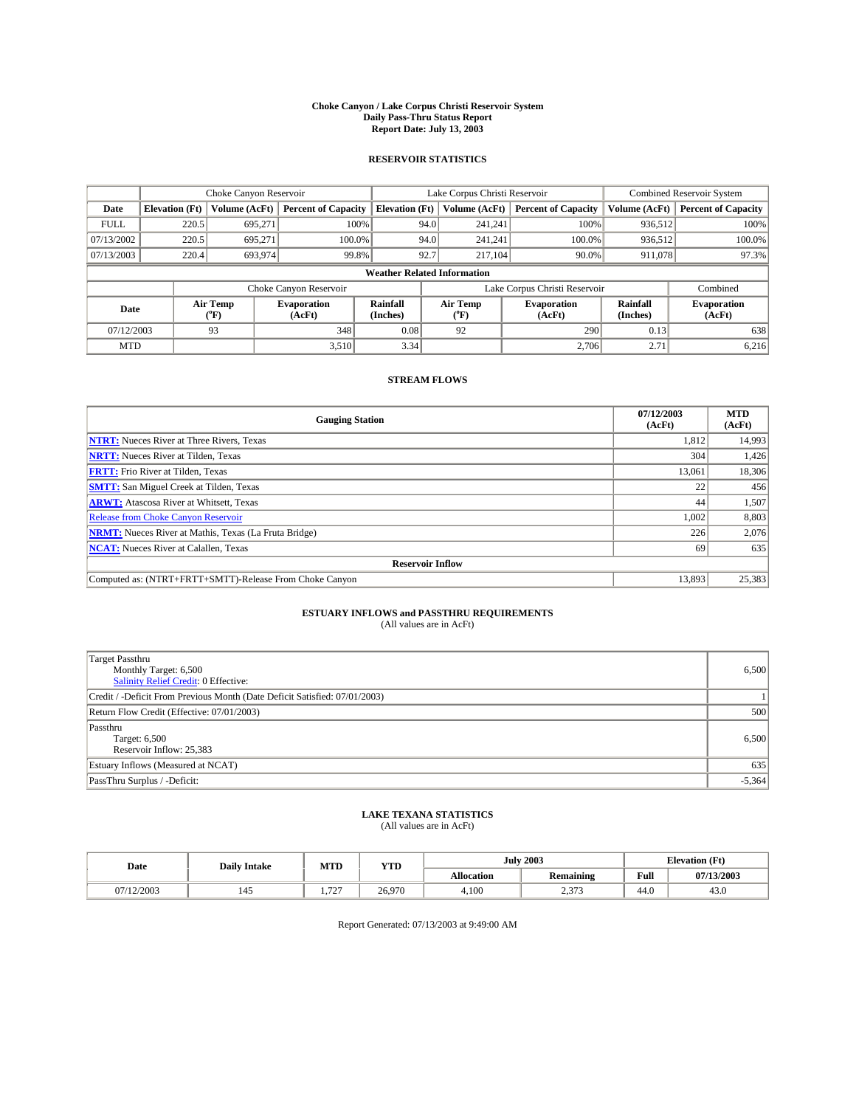#### **Choke Canyon / Lake Corpus Christi Reservoir System Daily Pass-Thru Status Report Report Date: July 13, 2003**

### **RESERVOIR STATISTICS**

|             | Choke Canyon Reservoir             |                  | Lake Corpus Christi Reservoir |                             |      |                  | <b>Combined Reservoir System</b> |                      |                              |  |
|-------------|------------------------------------|------------------|-------------------------------|-----------------------------|------|------------------|----------------------------------|----------------------|------------------------------|--|
| Date        | <b>Elevation</b> (Ft)              | Volume (AcFt)    | <b>Percent of Capacity</b>    | <b>Elevation (Ft)</b>       |      | Volume (AcFt)    | <b>Percent of Capacity</b>       | Volume (AcFt)        | <b>Percent of Capacity</b>   |  |
| <b>FULL</b> | 220.5                              | 695,271          |                               | 100%                        | 94.0 | 241,241          | 100%                             | 936.512              | 100%                         |  |
| 07/13/2002  | 220.5                              | 695.271          | $100.0\%$                     |                             | 94.0 | 241.241          | $100.0\%$                        | 936,512              | 100.0%                       |  |
| 07/13/2003  | 220.4                              | 693,974          | 99.8%                         |                             | 92.7 | 217,104          | 90.0%                            | 911,078              | 97.3%                        |  |
|             | <b>Weather Related Information</b> |                  |                               |                             |      |                  |                                  |                      |                              |  |
|             |                                    |                  | Choke Canyon Reservoir        |                             |      |                  | Lake Corpus Christi Reservoir    |                      | Combined                     |  |
| Date        |                                    | Air Temp<br>(°F) | <b>Evaporation</b><br>(AcFt)  | <b>Rainfall</b><br>(Inches) |      | Air Temp<br>("F) | <b>Evaporation</b><br>(AcFt)     | Rainfall<br>(Inches) | <b>Evaporation</b><br>(AcFt) |  |
| 07/12/2003  |                                    | 93               | 348                           | 0.08                        |      | 92               | 290                              | 0.13                 | 638                          |  |
| <b>MTD</b>  |                                    |                  | 3,510                         | 3.34                        |      |                  | 2,706                            | 2.71                 | 6,216                        |  |

## **STREAM FLOWS**

| <b>Gauging Station</b>                                       | 07/12/2003<br>(AcFt) | <b>MTD</b><br>(AcFt) |
|--------------------------------------------------------------|----------------------|----------------------|
| <b>NTRT:</b> Nueces River at Three Rivers, Texas             | 1,812                | 14,993               |
| <b>NRTT:</b> Nueces River at Tilden, Texas                   | 304                  | 1,426                |
| <b>FRTT:</b> Frio River at Tilden, Texas                     | 13.061               | 18,306               |
| <b>SMTT:</b> San Miguel Creek at Tilden, Texas               | 22                   | 456                  |
| <b>ARWT:</b> Atascosa River at Whitsett, Texas               | 44                   | 1,507                |
| <b>Release from Choke Canyon Reservoir</b>                   | 1,002                | 8,803                |
| <b>NRMT:</b> Nueces River at Mathis, Texas (La Fruta Bridge) | 226                  | 2,076                |
| <b>NCAT:</b> Nueces River at Calallen, Texas                 | -69                  | 635                  |
| <b>Reservoir Inflow</b>                                      |                      |                      |
| Computed as: (NTRT+FRTT+SMTT)-Release From Choke Canyon      | 13.893               | 25,383               |

# **ESTUARY INFLOWS and PASSTHRU REQUIREMENTS**<br>(All values are in AcFt)

| <b>Target Passthru</b><br>Monthly Target: 6,500<br>Salinity Relief Credit: 0 Effective: | 6,500    |
|-----------------------------------------------------------------------------------------|----------|
| Credit / -Deficit From Previous Month (Date Deficit Satisfied: 07/01/2003)              |          |
| Return Flow Credit (Effective: 07/01/2003)                                              | 500      |
| Passthru<br>Target: 6,500<br>Reservoir Inflow: 25,383                                   | 6,500    |
| Estuary Inflows (Measured at NCAT)                                                      | 635      |
| PassThru Surplus / -Deficit:                                                            | $-5,364$ |

# **LAKE TEXANA STATISTICS** (All values are in AcFt)

| Date      | <b>Daily Intake</b> | MTD         | YTD    |                   | <b>July 2003</b> | <b>Elevation</b> (Ft) |            |
|-----------|---------------------|-------------|--------|-------------------|------------------|-----------------------|------------|
|           |                     |             |        | <b>Allocation</b> | <b>Remaining</b> | Full                  | 07/13/2003 |
| (12/2003) | 145                 | $\sim$<br>. | 26.970 | 4,100             | 0.052<br>ر رہے۔  | $\sim$<br>44.V        | 43.0       |

Report Generated: 07/13/2003 at 9:49:00 AM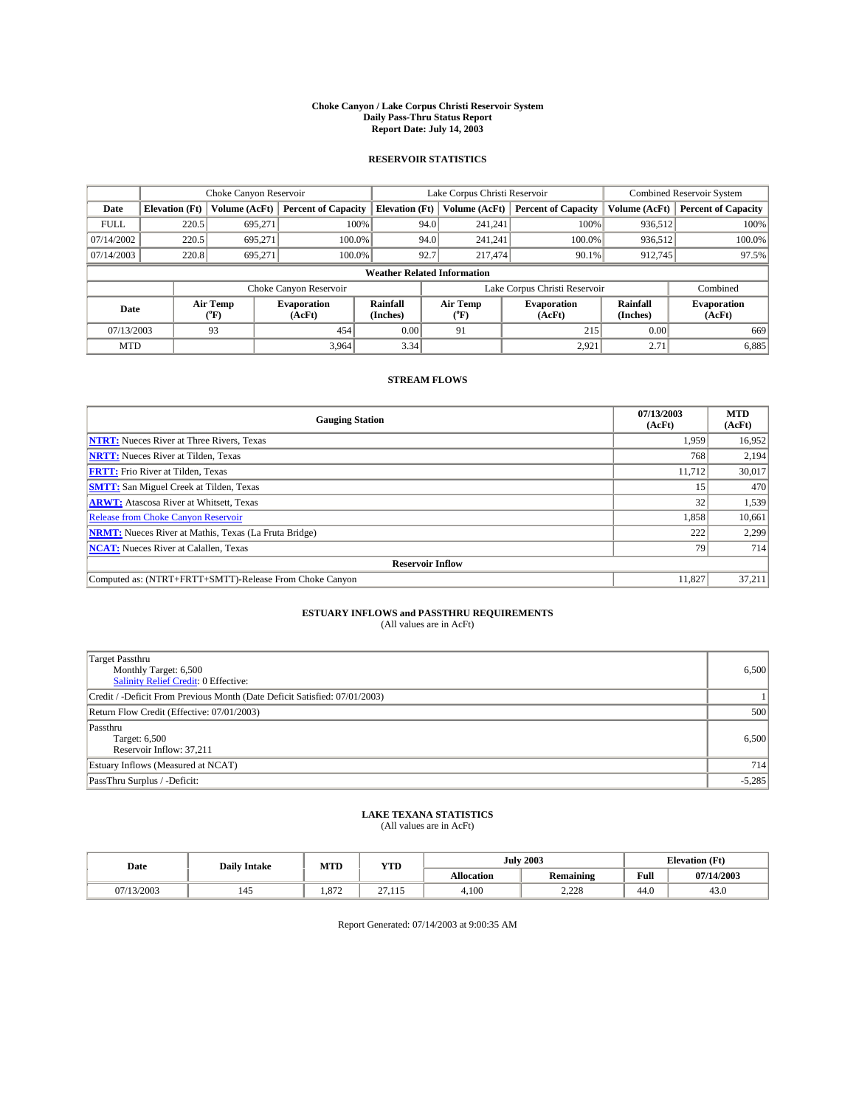#### **Choke Canyon / Lake Corpus Christi Reservoir System Daily Pass-Thru Status Report Report Date: July 14, 2003**

### **RESERVOIR STATISTICS**

|                                    | Choke Canyon Reservoir |                  |                              |                             | Lake Corpus Christi Reservoir |                  |                               |                      | <b>Combined Reservoir System</b> |  |  |
|------------------------------------|------------------------|------------------|------------------------------|-----------------------------|-------------------------------|------------------|-------------------------------|----------------------|----------------------------------|--|--|
| Date                               | <b>Elevation</b> (Ft)  | Volume (AcFt)    | <b>Percent of Capacity</b>   | <b>Elevation</b> (Ft)       |                               | Volume (AcFt)    | <b>Percent of Capacity</b>    | Volume (AcFt)        | <b>Percent of Capacity</b>       |  |  |
| <b>FULL</b>                        | 220.5                  | 695.271          | 100%                         |                             | 94.0                          | 241,241          | 100%                          | 936,512              | 100%                             |  |  |
| 07/14/2002                         | 220.5                  | 695,271          | $100.0\%$                    |                             | 94.0                          | 241.241          | 100.0%                        | 936.512              | 100.0%                           |  |  |
| 07/14/2003                         | 220.8                  | 695.271          | 100.0%                       |                             | 92.7                          | 217,474          | $90.1\%$                      | 912,745              | 97.5%                            |  |  |
| <b>Weather Related Information</b> |                        |                  |                              |                             |                               |                  |                               |                      |                                  |  |  |
|                                    |                        |                  | Choke Canyon Reservoir       |                             |                               |                  | Lake Corpus Christi Reservoir |                      | Combined                         |  |  |
| Date                               |                        | Air Temp<br>(°F) | <b>Evaporation</b><br>(AcFt) | <b>Rainfall</b><br>(Inches) |                               | Air Temp<br>("F) | <b>Evaporation</b><br>(AcFt)  | Rainfall<br>(Inches) | <b>Evaporation</b><br>(AcFt)     |  |  |
| 07/13/2003                         |                        | 93               | 454                          | 0.00                        |                               | 91               | 215                           | 0.00                 | 669                              |  |  |
| <b>MTD</b>                         |                        |                  | 3.964                        | 3.34                        |                               |                  | 2,921                         | 2.71                 | 6,885                            |  |  |

## **STREAM FLOWS**

| <b>Gauging Station</b>                                       | 07/13/2003<br>(AcFt) | <b>MTD</b><br>(AcFt) |
|--------------------------------------------------------------|----------------------|----------------------|
| <b>NTRT:</b> Nueces River at Three Rivers, Texas             | 1,959                | 16,952               |
| <b>NRTT:</b> Nueces River at Tilden, Texas                   | 768                  | 2,194                |
| <b>FRTT:</b> Frio River at Tilden, Texas                     | 11,712               | 30,017               |
| <b>SMTT:</b> San Miguel Creek at Tilden, Texas               | 15                   | 470                  |
| <b>ARWT:</b> Atascosa River at Whitsett, Texas               | 32 <sub>1</sub>      | 1,539                |
| <b>Release from Choke Canyon Reservoir</b>                   | 1,858                | 10,661               |
| <b>NRMT:</b> Nueces River at Mathis, Texas (La Fruta Bridge) | 222                  | 2,299                |
| <b>NCAT:</b> Nueces River at Calallen, Texas                 | 79                   | 714                  |
| <b>Reservoir Inflow</b>                                      |                      |                      |
| Computed as: (NTRT+FRTT+SMTT)-Release From Choke Canyon      | 11,827               | 37.211               |

# **ESTUARY INFLOWS and PASSTHRU REQUIREMENTS**<br>(All values are in AcFt)

| <b>Target Passthru</b><br>Monthly Target: 6,500<br>Salinity Relief Credit: 0 Effective: | 6,500    |
|-----------------------------------------------------------------------------------------|----------|
| Credit / -Deficit From Previous Month (Date Deficit Satisfied: 07/01/2003)              |          |
| Return Flow Credit (Effective: 07/01/2003)                                              | 500      |
| Passthru<br>Target: 6,500<br>Reservoir Inflow: 37,211                                   | 6,500    |
| Estuary Inflows (Measured at NCAT)                                                      | 714      |
| PassThru Surplus / -Deficit:                                                            | $-5,285$ |

# **LAKE TEXANA STATISTICS** (All values are in AcFt)

| Date    | <b>Daily Intake</b> | MTD   | <b>WITH</b><br>1 I.D            |            | <b>July 2003</b> | <b>Elevation</b> (Ft) |            |
|---------|---------------------|-------|---------------------------------|------------|------------------|-----------------------|------------|
|         |                     |       |                                 | Allocation | <b>Remaining</b> | T.<br>Full            | 07/14/2003 |
| 13/2003 | 145                 | 1.872 | $\sim$<br>$\sim$ $\sim$<br>---- | 4.100      | 220<br>2.220     | 44.0                  | 43.0       |

Report Generated: 07/14/2003 at 9:00:35 AM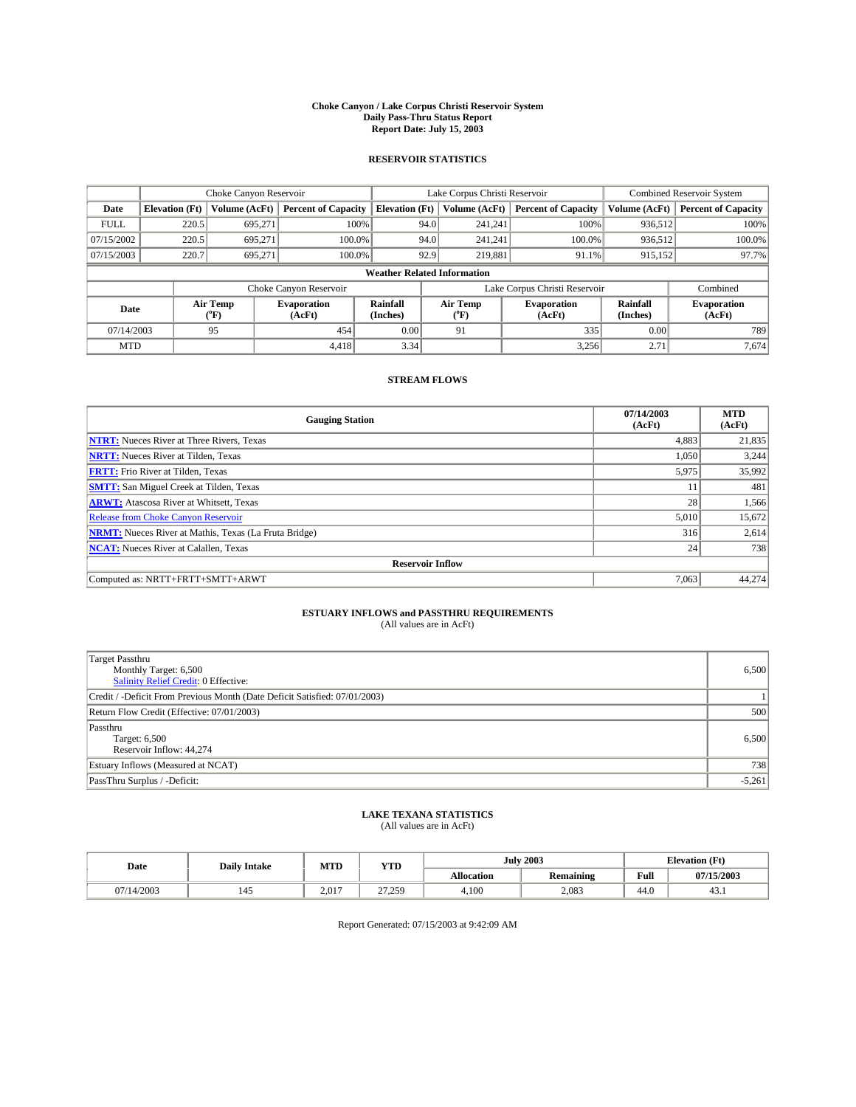#### **Choke Canyon / Lake Corpus Christi Reservoir System Daily Pass-Thru Status Report Report Date: July 15, 2003**

### **RESERVOIR STATISTICS**

|             | Choke Canyon Reservoir             |                  | Lake Corpus Christi Reservoir |                             |      |                         | Combined Reservoir System     |                             |                              |  |
|-------------|------------------------------------|------------------|-------------------------------|-----------------------------|------|-------------------------|-------------------------------|-----------------------------|------------------------------|--|
| Date        | <b>Elevation</b> (Ft)              | Volume (AcFt)    | <b>Percent of Capacity</b>    | <b>Elevation</b> (Ft)       |      | Volume (AcFt)           | <b>Percent of Capacity</b>    | Volume (AcFt)               | <b>Percent of Capacity</b>   |  |
| <b>FULL</b> | 220.5                              | 695,271          |                               | 100%                        | 94.0 | 241,241                 | 100%                          | 936,512                     | 100%                         |  |
| 07/15/2002  | 220.5                              | 695.271          | $100.0\%$                     |                             | 94.0 | 241,241                 | $100.0\%$                     | 936,512                     | 100.0%                       |  |
| 07/15/2003  | 220.7                              | 695,271          | 100.0%                        |                             | 92.9 | 219,881                 | 91.1%                         | 915,152                     | 97.7%                        |  |
|             | <b>Weather Related Information</b> |                  |                               |                             |      |                         |                               |                             |                              |  |
|             |                                    |                  | Choke Canyon Reservoir        |                             |      |                         | Lake Corpus Christi Reservoir |                             | Combined                     |  |
| Date        |                                    | Air Temp<br>(°F) | <b>Evaporation</b><br>(AcFt)  | <b>Rainfall</b><br>(Inches) |      | Air Temp<br>$\rm ^{op}$ | <b>Evaporation</b><br>(AcFt)  | <b>Rainfall</b><br>(Inches) | <b>Evaporation</b><br>(AcFt) |  |
| 07/14/2003  |                                    | 95               | 454                           | 0.00                        |      | 91                      | 335                           | 0.00                        | 789                          |  |
| <b>MTD</b>  |                                    |                  | 4.418                         | 3.34                        |      |                         | 3,256                         | 2.71                        | 7,674                        |  |

## **STREAM FLOWS**

| <b>Gauging Station</b>                                       | 07/14/2003<br>(AcFt) | <b>MTD</b><br>(AcFt) |  |  |  |  |
|--------------------------------------------------------------|----------------------|----------------------|--|--|--|--|
| <b>NTRT:</b> Nueces River at Three Rivers, Texas             | 4,883                | 21,835               |  |  |  |  |
| <b>NRTT:</b> Nueces River at Tilden, Texas                   | 1.050                | 3,244                |  |  |  |  |
| <b>FRTT:</b> Frio River at Tilden, Texas                     | 5,975                | 35,992               |  |  |  |  |
| <b>SMTT:</b> San Miguel Creek at Tilden, Texas               | 11                   | 481                  |  |  |  |  |
| <b>ARWT:</b> Atascosa River at Whitsett, Texas               | 28                   | 1,566                |  |  |  |  |
| <b>Release from Choke Canyon Reservoir</b>                   | 5,010                | 15,672               |  |  |  |  |
| <b>NRMT:</b> Nueces River at Mathis, Texas (La Fruta Bridge) | 316                  | 2,614                |  |  |  |  |
| <b>NCAT:</b> Nueces River at Calallen, Texas                 | 24                   | 738                  |  |  |  |  |
| <b>Reservoir Inflow</b>                                      |                      |                      |  |  |  |  |
| Computed as: NRTT+FRTT+SMTT+ARWT                             | 7,063                | 44,274               |  |  |  |  |

## **ESTUARY INFLOWS and PASSTHRU REQUIREMENTS**

(All values are in AcFt)

| <b>Target Passthru</b><br>Monthly Target: 6,500<br>Salinity Relief Credit: 0 Effective: | 6,500    |
|-----------------------------------------------------------------------------------------|----------|
| Credit / -Deficit From Previous Month (Date Deficit Satisfied: 07/01/2003)              |          |
| Return Flow Credit (Effective: 07/01/2003)                                              | 500      |
| Passthru<br>Target: 6,500<br>Reservoir Inflow: 44,274                                   | 6,500    |
| Estuary Inflows (Measured at NCAT)                                                      | 738      |
| PassThru Surplus / -Deficit:                                                            | $-5,261$ |

# **LAKE TEXANA STATISTICS** (All values are in AcFt)

| Date     | <b>Daily Intake</b> | MTD   | <b>YTD</b>          |                   | <b>July 2003</b> | <b>Elevation</b> (Ft) |            |
|----------|---------------------|-------|---------------------|-------------------|------------------|-----------------------|------------|
|          |                     |       |                     | <b>Allocation</b> | Remaining        | Full                  | 07/15/2003 |
| /14/2003 | 145                 | 2.017 | 27.250<br>ر رے ، اس | 4,100             | 2,083            | 44.0                  | 45.1       |

Report Generated: 07/15/2003 at 9:42:09 AM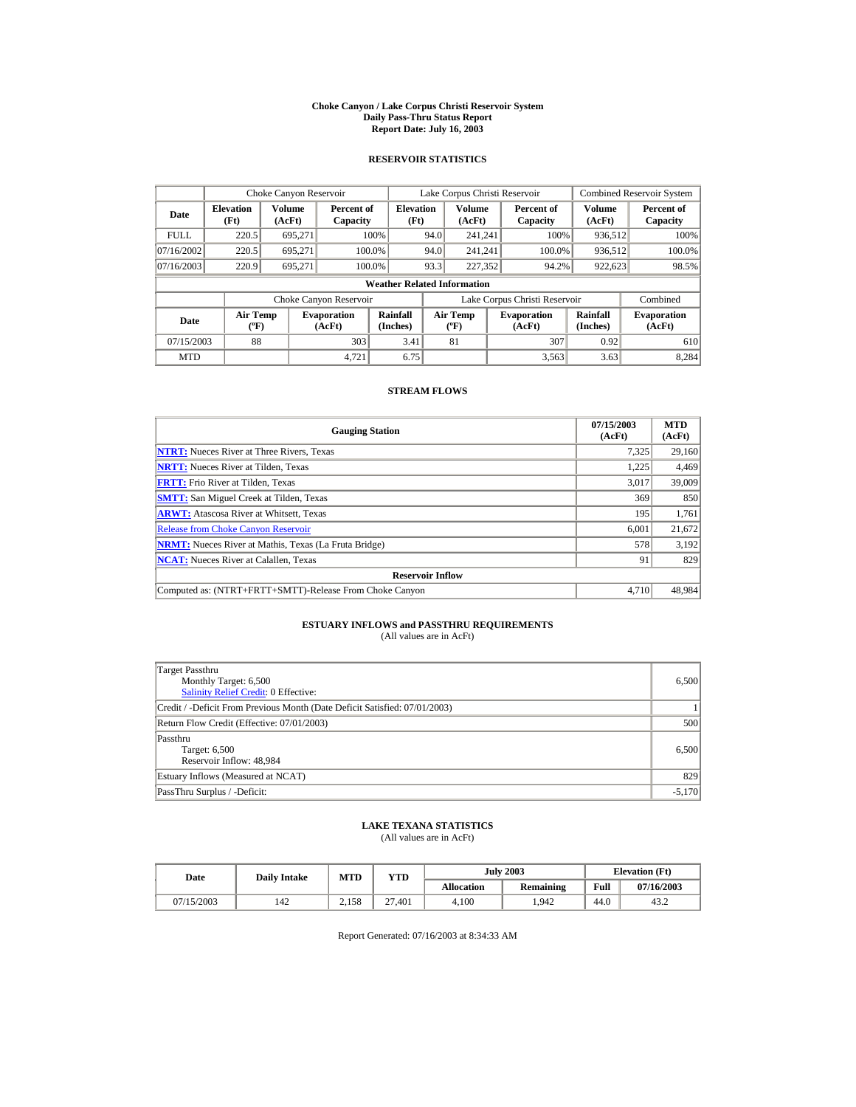#### **Choke Canyon / Lake Corpus Christi Reservoir System Daily Pass-Thru Status Report Report Date: July 16, 2003**

### **RESERVOIR STATISTICS**

|             | Choke Canyon Reservoir             |                  |                              |                          | Lake Corpus Christi Reservoir |                                          |  |                               |                         | <b>Combined Reservoir System</b> |  |  |
|-------------|------------------------------------|------------------|------------------------------|--------------------------|-------------------------------|------------------------------------------|--|-------------------------------|-------------------------|----------------------------------|--|--|
| Date        | <b>Elevation</b><br>(Ft)           | Volume<br>(AcFt) | Percent of<br>Capacity       | <b>Elevation</b><br>(Ft) |                               | <b>Volume</b><br>(AcFt)                  |  | Percent of<br>Capacity        | <b>Volume</b><br>(AcFt) | Percent of<br>Capacity           |  |  |
| <b>FULL</b> | 220.5                              | 695.271          |                              | 100%                     | 94.0                          | 241.241                                  |  | 100%                          | 936,512                 | 100%                             |  |  |
| 07/16/2002  | 220.5                              | 695.271          |                              | 100.0%                   | 94.0                          | 241.241                                  |  | 100.0%                        | 936,512                 | 100.0%                           |  |  |
| 07/16/2003  | 220.9                              | 695.271          |                              | 100.0%                   | 93.3                          | 227,352                                  |  | 94.2%                         | 922,623                 | 98.5%                            |  |  |
|             | <b>Weather Related Information</b> |                  |                              |                          |                               |                                          |  |                               |                         |                                  |  |  |
|             |                                    |                  | Choke Canyon Reservoir       |                          |                               |                                          |  | Lake Corpus Christi Reservoir |                         | Combined                         |  |  |
| Date        | Air Temp<br>$({}^o\mathrm{F})$     |                  | <b>Evaporation</b><br>(AcFt) | Rainfall<br>(Inches)     |                               | <b>Air Temp</b><br>$({}^{\circ}{\rm F})$ |  | <b>Evaporation</b><br>(AcFt)  | Rainfall<br>(Inches)    | <b>Evaporation</b><br>(AcFt)     |  |  |
| 07/15/2003  | 88                                 |                  | 303                          | 3.41                     |                               | 81                                       |  | 307                           | 0.92                    | 610                              |  |  |
| <b>MTD</b>  |                                    |                  | 4.721                        | 6.75                     |                               |                                          |  | 3.563                         | 3.63                    | 8.284                            |  |  |

### **STREAM FLOWS**

| <b>Gauging Station</b>                                       | 07/15/2003<br>(AcFt) | <b>MTD</b><br>(AcFt) |
|--------------------------------------------------------------|----------------------|----------------------|
| <b>NTRT:</b> Nueces River at Three Rivers, Texas             | 7,325                | 29,160               |
| <b>NRTT:</b> Nueces River at Tilden, Texas                   | 1.225                | 4,469                |
| <b>FRTT:</b> Frio River at Tilden, Texas                     | 3.017                | 39,009               |
| <b>SMTT:</b> San Miguel Creek at Tilden, Texas               | 369                  | 850                  |
| <b>ARWT:</b> Atascosa River at Whitsett, Texas               | 195                  | 1,761                |
| <b>Release from Choke Canyon Reservoir</b>                   | 6.001                | 21,672               |
| <b>NRMT:</b> Nueces River at Mathis, Texas (La Fruta Bridge) | 578                  | 3,192                |
| <b>NCAT:</b> Nueces River at Calallen, Texas                 | 91                   | 829                  |
| <b>Reservoir Inflow</b>                                      |                      |                      |
| Computed as: (NTRT+FRTT+SMTT)-Release From Choke Canyon      | 4.710                | 48,984               |

## **ESTUARY INFLOWS and PASSTHRU REQUIREMENTS**<br>(All values are in AcFt)

| Target Passthru<br>Monthly Target: 6,500<br><b>Salinity Relief Credit: 0 Effective:</b> | 6.500    |
|-----------------------------------------------------------------------------------------|----------|
| Credit / -Deficit From Previous Month (Date Deficit Satisfied: 07/01/2003)              |          |
| Return Flow Credit (Effective: 07/01/2003)                                              | 500      |
| Passthru<br>Target: 6,500<br>Reservoir Inflow: 48,984                                   | 6,500    |
| Estuary Inflows (Measured at NCAT)                                                      | 829      |
| PassThru Surplus / -Deficit:                                                            | $-5,170$ |

## **LAKE TEXANA STATISTICS**

(All values are in AcFt)

| Date       | <b>Daily Intake</b> | MTD   | $_{\rm VTD}$ |            | <b>July 2003</b> | <b>Elevation</b> (Ft) |            |
|------------|---------------------|-------|--------------|------------|------------------|-----------------------|------------|
|            |                     |       |              | Allocation | Remaining        | Full                  | 07/16/2003 |
| 07/15/2003 | 142                 | 2.158 | 27.401       | 4.100      | .942             | 44.0                  | 43.2       |

Report Generated: 07/16/2003 at 8:34:33 AM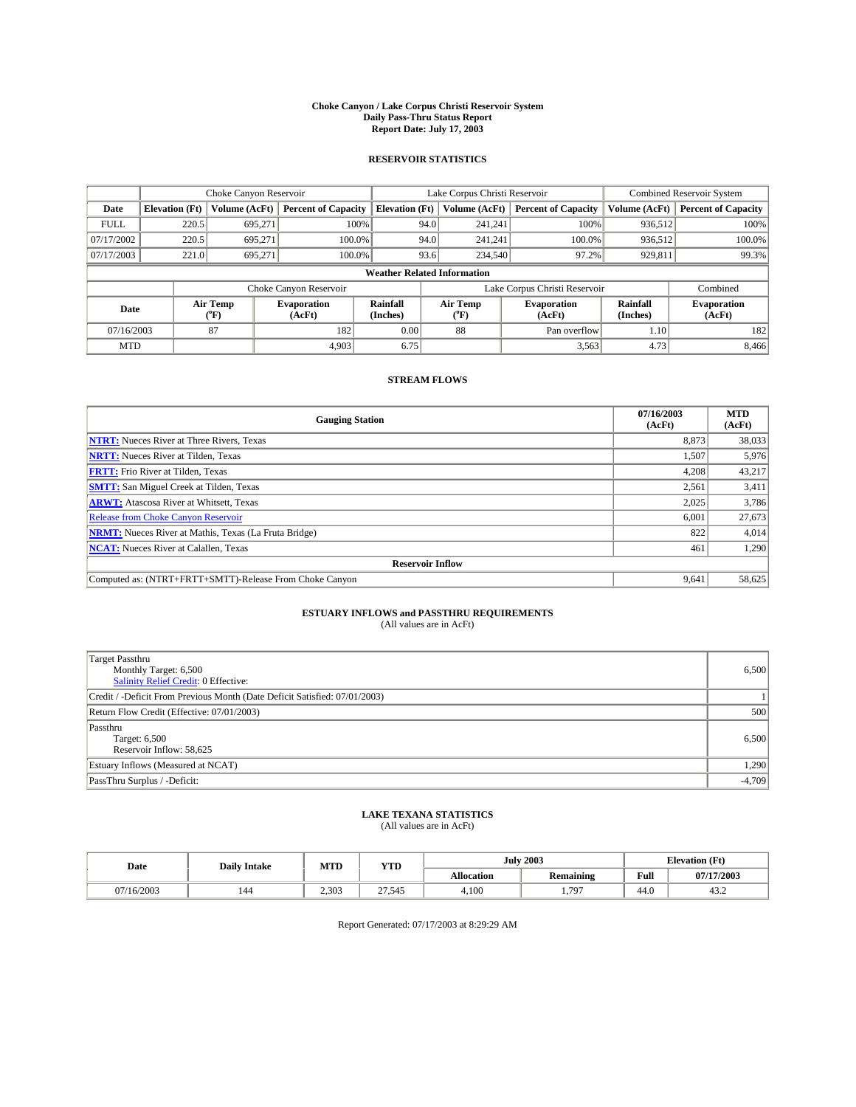#### **Choke Canyon / Lake Corpus Christi Reservoir System Daily Pass-Thru Status Report Report Date: July 17, 2003**

### **RESERVOIR STATISTICS**

|             | Choke Canyon Reservoir             |                  | Lake Corpus Christi Reservoir |                       |      |                          | Combined Reservoir System     |                      |                              |  |
|-------------|------------------------------------|------------------|-------------------------------|-----------------------|------|--------------------------|-------------------------------|----------------------|------------------------------|--|
| Date        | <b>Elevation</b> (Ft)              | Volume (AcFt)    | <b>Percent of Capacity</b>    | <b>Elevation</b> (Ft) |      | Volume (AcFt)            | <b>Percent of Capacity</b>    | Volume (AcFt)        | <b>Percent of Capacity</b>   |  |
| <b>FULL</b> | 220.5                              | 695.271          |                               | 100%                  | 94.0 | 241,241                  | 100%                          | 936.512              | 100%                         |  |
| 07/17/2002  | 220.5                              | 695.271          |                               | $100.0\%$             | 94.0 | 241,241                  | $100.0\%$                     | 936,512              | 100.0%                       |  |
| 07/17/2003  | 221.0                              | 695,271          | 100.0%                        |                       | 93.6 | 234,540                  | 97.2%                         | 929,811              | 99.3%                        |  |
|             | <b>Weather Related Information</b> |                  |                               |                       |      |                          |                               |                      |                              |  |
|             |                                    |                  | Choke Canyon Reservoir        |                       |      |                          | Lake Corpus Christi Reservoir |                      | Combined                     |  |
| Date        |                                    | Air Temp<br>(°F) | <b>Evaporation</b><br>(AcFt)  | Rainfall<br>(Inches)  |      | Air Temp<br>$\rm ^{o}F)$ | <b>Evaporation</b><br>(AcFt)  | Rainfall<br>(Inches) | <b>Evaporation</b><br>(AcFt) |  |
| 07/16/2003  |                                    | 87               | 182                           | 0.00                  |      | 88                       | Pan overflow                  | 1.10                 | 182                          |  |
| <b>MTD</b>  |                                    |                  | 4.903                         | 6.75                  |      |                          | 3,563                         | 4.73                 | 8,466                        |  |

## **STREAM FLOWS**

| <b>Gauging Station</b>                                       | 07/16/2003<br>(AcFt) | <b>MTD</b><br>(AcFt) |
|--------------------------------------------------------------|----------------------|----------------------|
| <b>NTRT:</b> Nueces River at Three Rivers, Texas             | 8,873                | 38,033               |
| <b>NRTT:</b> Nueces River at Tilden, Texas                   | 1,507                | 5,976                |
| <b>FRTT:</b> Frio River at Tilden, Texas                     | 4,208                | 43,217               |
| <b>SMTT:</b> San Miguel Creek at Tilden, Texas               | 2.561                | 3,411                |
| <b>ARWT:</b> Atascosa River at Whitsett, Texas               | 2,025                | 3,786                |
| Release from Choke Canyon Reservoir                          | 6,001                | 27,673               |
| <b>NRMT:</b> Nueces River at Mathis, Texas (La Fruta Bridge) | 822                  | 4,014                |
| <b>NCAT:</b> Nueces River at Calallen, Texas                 | 461                  | 1,290                |
| <b>Reservoir Inflow</b>                                      |                      |                      |
| Computed as: (NTRT+FRTT+SMTT)-Release From Choke Canyon      | 9.641                | 58,625               |

# **ESTUARY INFLOWS and PASSTHRU REQUIREMENTS**<br>(All values are in AcFt)

| Target Passthru<br>Monthly Target: 6,500<br>Salinity Relief Credit: 0 Effective: | 6,500    |
|----------------------------------------------------------------------------------|----------|
| Credit / -Deficit From Previous Month (Date Deficit Satisfied: 07/01/2003)       |          |
| Return Flow Credit (Effective: 07/01/2003)                                       | 500      |
| Passthru<br>Target: 6,500<br>Reservoir Inflow: 58,625                            | 6,500    |
| Estuary Inflows (Measured at NCAT)                                               | 1,290    |
| PassThru Surplus / -Deficit:                                                     | $-4,709$ |

# **LAKE TEXANA STATISTICS** (All values are in AcFt)

| Date       | <b>Daily Intake</b> | MTD   | YTD             | <b>July 2003</b>  |           | <b>Elevation (Ft)</b> |            |
|------------|---------------------|-------|-----------------|-------------------|-----------|-----------------------|------------|
|            |                     |       |                 | <b>Allocation</b> | Remaining | Full                  | 07/17/2003 |
| 07/16/2003 | 144                 | 2.303 | 27545<br>ر در ر | 4.100             | 1,797     | 44.0                  | 43.2       |

Report Generated: 07/17/2003 at 8:29:29 AM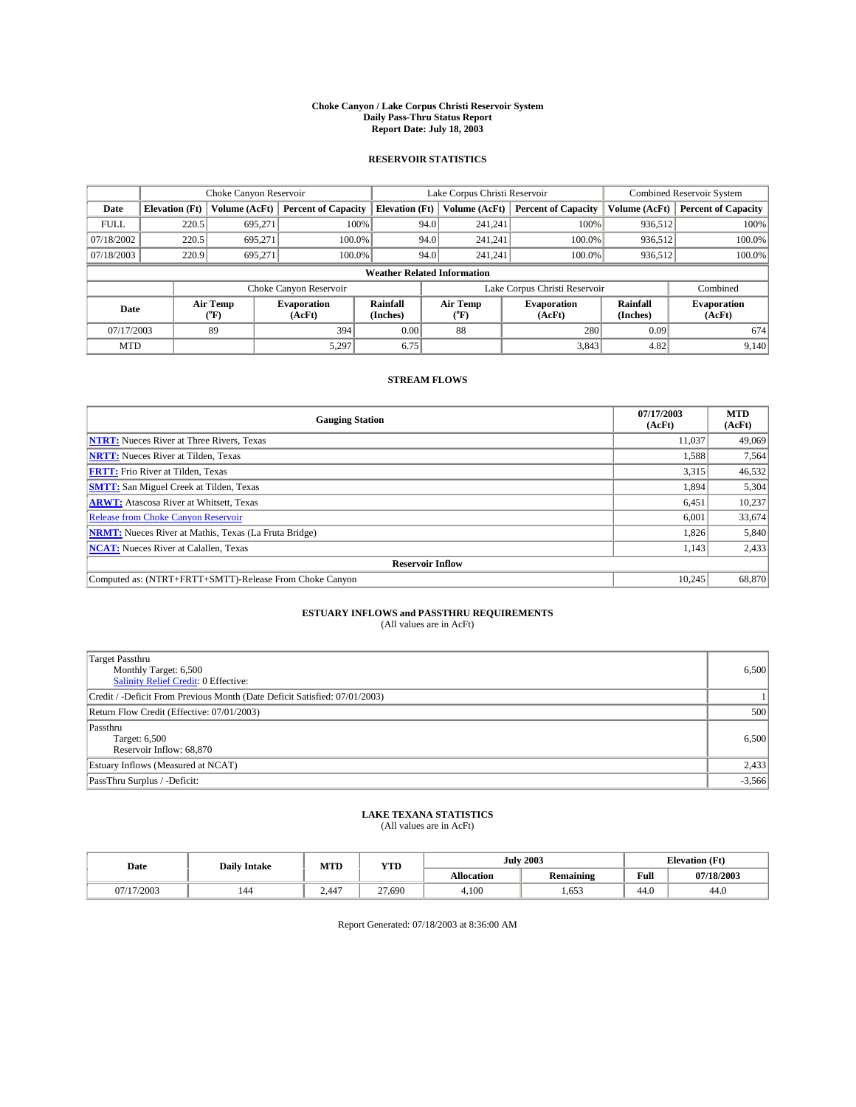#### **Choke Canyon / Lake Corpus Christi Reservoir System Daily Pass-Thru Status Report Report Date: July 18, 2003**

### **RESERVOIR STATISTICS**

|             | Choke Canyon Reservoir             |                  |                              |                             |      | Lake Corpus Christi Reservoir | Combined Reservoir System     |                             |                              |  |
|-------------|------------------------------------|------------------|------------------------------|-----------------------------|------|-------------------------------|-------------------------------|-----------------------------|------------------------------|--|
| Date        | <b>Elevation</b> (Ft)              | Volume (AcFt)    | <b>Percent of Capacity</b>   | <b>Elevation</b> (Ft)       |      | Volume (AcFt)                 | <b>Percent of Capacity</b>    | Volume (AcFt)               | <b>Percent of Capacity</b>   |  |
| <b>FULL</b> | 220.5                              | 695,271          |                              | 100%                        | 94.0 | 241,241                       | 100%                          | 936.512                     | 100%                         |  |
| 07/18/2002  | 220.5                              | 695.271          | $100.0\%$                    |                             | 94.0 | 241.241                       | $100.0\%$                     | 936.512                     | 100.0%                       |  |
| 07/18/2003  | 220.9                              | 695.271          | 100.0%                       |                             | 94.0 | 241.241                       | $100.0\%$                     | 936,512                     | 100.0%                       |  |
|             | <b>Weather Related Information</b> |                  |                              |                             |      |                               |                               |                             |                              |  |
|             |                                    |                  | Choke Canyon Reservoir       |                             |      |                               | Lake Corpus Christi Reservoir |                             | Combined                     |  |
| Date        |                                    | Air Temp<br>(°F) | <b>Evaporation</b><br>(AcFt) | <b>Rainfall</b><br>(Inches) |      | Air Temp<br>("F)              | <b>Evaporation</b><br>(AcFt)  | <b>Rainfall</b><br>(Inches) | <b>Evaporation</b><br>(AcFt) |  |
| 07/17/2003  |                                    | 89               | 394                          | 0.00                        |      | 88                            | 280                           | 0.09                        | 674                          |  |
| <b>MTD</b>  |                                    |                  | 5,297                        | 6.75                        |      |                               | 3,843                         | 4.82                        | 9,140                        |  |

## **STREAM FLOWS**

| <b>Gauging Station</b>                                       | 07/17/2003<br>(AcFt) | <b>MTD</b><br>(AcFt) |
|--------------------------------------------------------------|----------------------|----------------------|
| <b>NTRT:</b> Nueces River at Three Rivers, Texas             | 11,037               | 49,069               |
| <b>NRTT:</b> Nueces River at Tilden, Texas                   | 1,588                | 7,564                |
| <b>FRTT:</b> Frio River at Tilden, Texas                     | 3,315                | 46,532               |
| <b>SMTT:</b> San Miguel Creek at Tilden, Texas               | 1,894                | 5,304                |
| <b>ARWT:</b> Atascosa River at Whitsett, Texas               | 6,451                | 10,237               |
| <b>Release from Choke Canyon Reservoir</b>                   | 6,001                | 33,674               |
| <b>NRMT:</b> Nueces River at Mathis, Texas (La Fruta Bridge) | 1,826                | 5,840                |
| <b>NCAT:</b> Nueces River at Calallen, Texas                 | 1,143                | 2,433                |
| <b>Reservoir Inflow</b>                                      |                      |                      |
| Computed as: (NTRT+FRTT+SMTT)-Release From Choke Canyon      | 10.245               | 68,870               |

# **ESTUARY INFLOWS and PASSTHRU REQUIREMENTS**<br>(All values are in AcFt)

| <b>Target Passthru</b><br>Monthly Target: 6,500<br>Salinity Relief Credit: 0 Effective: | 6,500    |
|-----------------------------------------------------------------------------------------|----------|
| Credit / -Deficit From Previous Month (Date Deficit Satisfied: 07/01/2003)              |          |
| Return Flow Credit (Effective: 07/01/2003)                                              | 500      |
| Passthru<br>Target: 6,500<br>Reservoir Inflow: 68,870                                   | 6,500    |
| Estuary Inflows (Measured at NCAT)                                                      | 2,433    |
| PassThru Surplus / -Deficit:                                                            | $-3,566$ |

# **LAKE TEXANA STATISTICS** (All values are in AcFt)

| Date    | <b>Daily Intake</b> | MTD   | <b>WITH</b><br>1 I.D |            | <b>July 2003</b> | <b>Elevation</b> (Ft)<br><b>1979.</b> |            |
|---------|---------------------|-------|----------------------|------------|------------------|---------------------------------------|------------|
|         |                     |       |                      | Allocation | <b>Remaining</b> | Full                                  | 07/18/2003 |
| 17/2003 | 144                 | 2.447 | 21,690               | 4.100      | 1,653            | 44.0                                  | 44.0       |

Report Generated: 07/18/2003 at 8:36:00 AM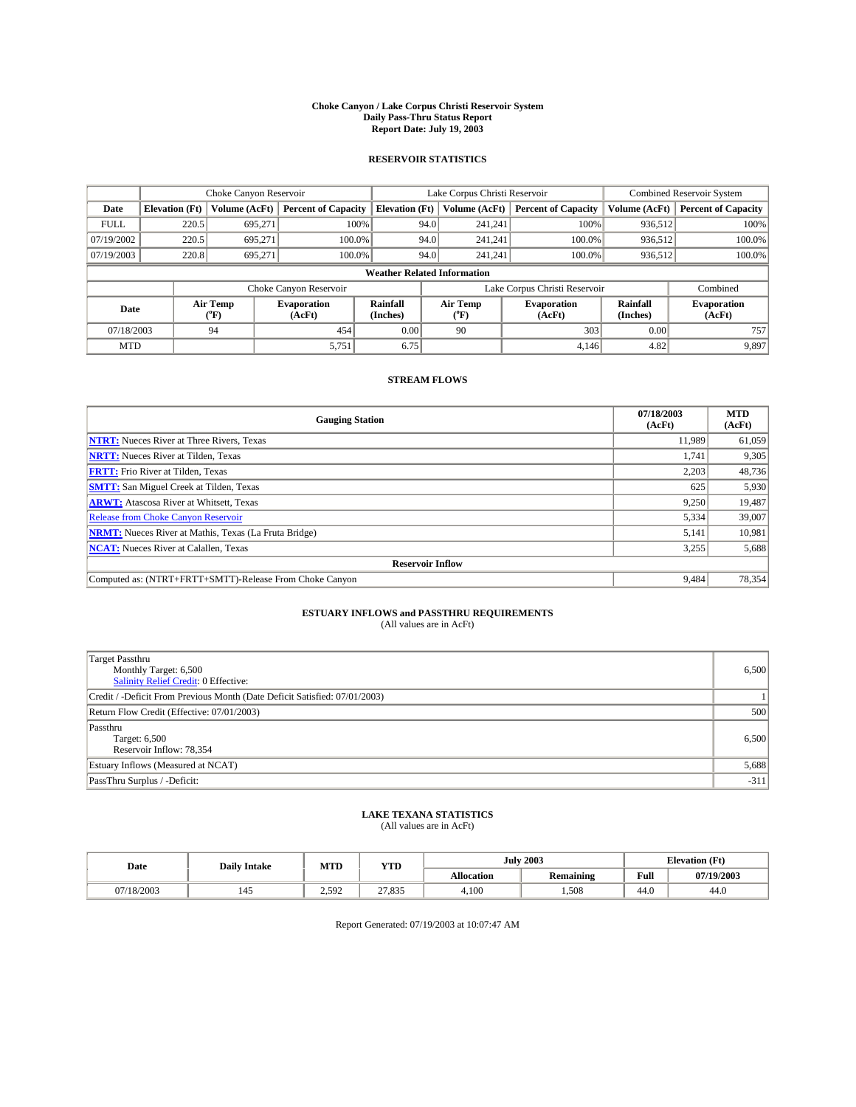#### **Choke Canyon / Lake Corpus Christi Reservoir System Daily Pass-Thru Status Report Report Date: July 19, 2003**

### **RESERVOIR STATISTICS**

|             | Choke Canyon Reservoir             |                  | Lake Corpus Christi Reservoir |                       |      |                  | <b>Combined Reservoir System</b> |                      |                              |  |
|-------------|------------------------------------|------------------|-------------------------------|-----------------------|------|------------------|----------------------------------|----------------------|------------------------------|--|
| Date        | <b>Elevation</b> (Ft)              | Volume (AcFt)    | <b>Percent of Capacity</b>    | <b>Elevation (Ft)</b> |      | Volume (AcFt)    | <b>Percent of Capacity</b>       | Volume (AcFt)        | <b>Percent of Capacity</b>   |  |
| <b>FULL</b> | 220.5                              | 695,271          | 100%                          |                       | 94.0 | 241,241          | 100%                             | 936.512              | 100%                         |  |
| 07/19/2002  | 220.5                              | 695.271          | $100.0\%$                     |                       | 94.0 | 241.241          | $100.0\%$                        | 936.512              | 100.0%                       |  |
| 07/19/2003  | 220.8                              | 695.271          | 100.0%                        |                       | 94.0 | 241,241          | $100.0\%$                        | 936,512              | 100.0%                       |  |
|             | <b>Weather Related Information</b> |                  |                               |                       |      |                  |                                  |                      |                              |  |
|             |                                    |                  | Choke Canyon Reservoir        |                       |      |                  | Lake Corpus Christi Reservoir    |                      | Combined                     |  |
| Date        |                                    | Air Temp<br>(°F) | <b>Evaporation</b><br>(AcFt)  | Rainfall<br>(Inches)  |      | Air Temp<br>("F) | <b>Evaporation</b><br>(AcFt)     | Rainfall<br>(Inches) | <b>Evaporation</b><br>(AcFt) |  |
| 07/18/2003  |                                    | 94               | 454                           | 0.00                  |      | 90               | 303                              | 0.00                 | 757                          |  |
| <b>MTD</b>  |                                    |                  | 5,751                         | 6.75                  |      |                  | 4,146                            | 4.82                 | 9,897                        |  |

## **STREAM FLOWS**

| <b>Gauging Station</b>                                       | 07/18/2003<br>(AcFt) | <b>MTD</b><br>(AcFt) |
|--------------------------------------------------------------|----------------------|----------------------|
| <b>NTRT:</b> Nueces River at Three Rivers, Texas             | 11.989               | 61,059               |
| <b>NRTT:</b> Nueces River at Tilden, Texas                   | 1.741                | 9,305                |
| <b>FRTT:</b> Frio River at Tilden, Texas                     | 2,203                | 48,736               |
| <b>SMTT:</b> San Miguel Creek at Tilden, Texas               | 625                  | 5,930                |
| <b>ARWT:</b> Atascosa River at Whitsett, Texas               | 9,250                | 19,487               |
| <b>Release from Choke Canyon Reservoir</b>                   | 5,334                | 39,007               |
| <b>NRMT:</b> Nueces River at Mathis, Texas (La Fruta Bridge) | 5,141                | 10,981               |
| <b>NCAT:</b> Nueces River at Calallen, Texas                 | 3,255                | 5,688                |
| <b>Reservoir Inflow</b>                                      |                      |                      |
| Computed as: (NTRT+FRTT+SMTT)-Release From Choke Canyon      | 9.484                | 78,354               |

# **ESTUARY INFLOWS and PASSTHRU REQUIREMENTS**<br>(All values are in AcFt)

| Target Passthru<br>Monthly Target: 6,500<br>Salinity Relief Credit: 0 Effective: | 6,500  |
|----------------------------------------------------------------------------------|--------|
| Credit / -Deficit From Previous Month (Date Deficit Satisfied: 07/01/2003)       |        |
| Return Flow Credit (Effective: 07/01/2003)                                       | 500    |
| Passthru<br>Target: 6,500<br>Reservoir Inflow: 78,354                            | 6,500  |
| Estuary Inflows (Measured at NCAT)                                               | 5,688  |
| PassThru Surplus / -Deficit:                                                     | $-311$ |

# **LAKE TEXANA STATISTICS** (All values are in AcFt)

| Date       | <b>Daily Intake</b>             | MTD   | <b>YTD</b>      |                   | <b>July 2003</b> | <b>Elevation</b> (Ft) |            |
|------------|---------------------------------|-------|-----------------|-------------------|------------------|-----------------------|------------|
|            |                                 |       |                 | <b>Allocation</b> | <b>Remaining</b> | Full                  | 07/19/2003 |
| 07/18/2003 | $\overline{\phantom{a}}$<br>145 | 2.592 | 27025<br>21.833 | 4,100             | .508             | $\sim$<br>44.U        | 44.0       |

Report Generated: 07/19/2003 at 10:07:47 AM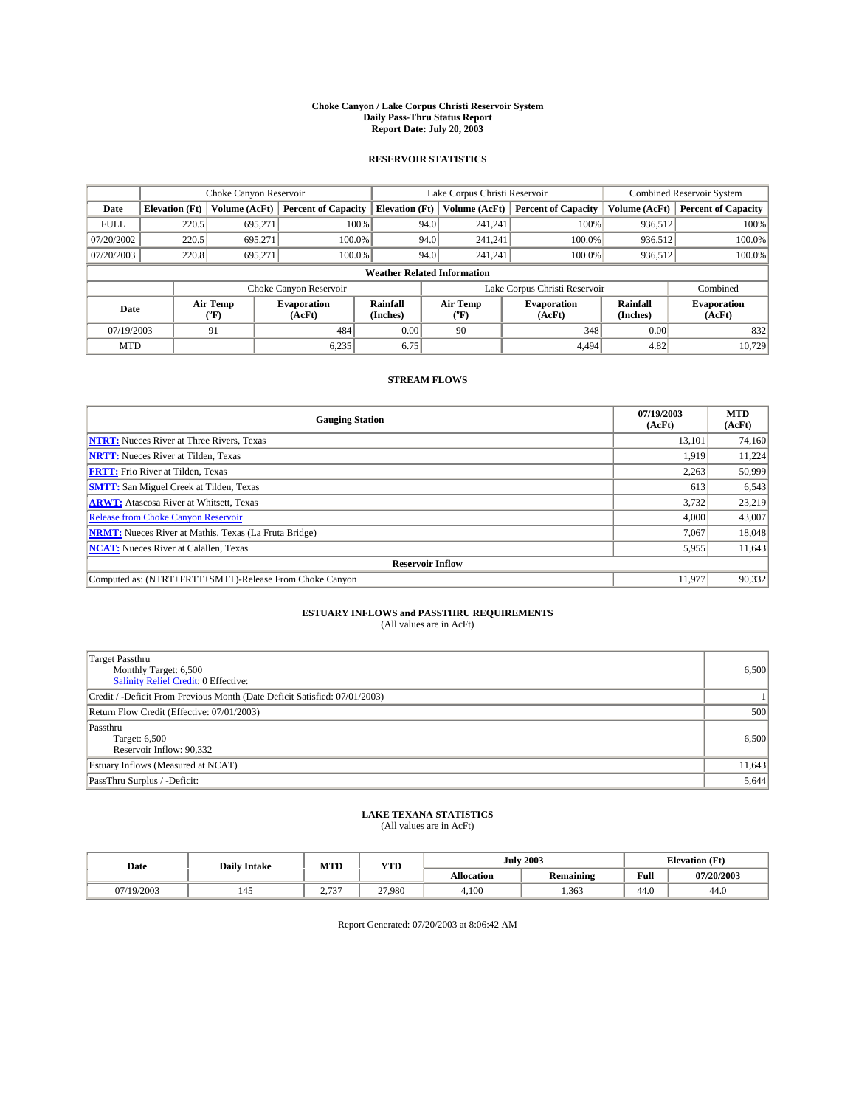#### **Choke Canyon / Lake Corpus Christi Reservoir System Daily Pass-Thru Status Report Report Date: July 20, 2003**

### **RESERVOIR STATISTICS**

|                                    | Choke Canyon Reservoir |                  | Lake Corpus Christi Reservoir |                       |      |                  | <b>Combined Reservoir System</b> |                      |                              |
|------------------------------------|------------------------|------------------|-------------------------------|-----------------------|------|------------------|----------------------------------|----------------------|------------------------------|
| Date                               | <b>Elevation</b> (Ft)  | Volume (AcFt)    | <b>Percent of Capacity</b>    | <b>Elevation (Ft)</b> |      | Volume (AcFt)    | <b>Percent of Capacity</b>       | Volume (AcFt)        | <b>Percent of Capacity</b>   |
| <b>FULL</b>                        | 220.5                  | 695,271          |                               | 100%                  | 94.0 | 241,241          | 100%                             | 936.512              | 100%                         |
| 07/20/2002                         | 220.5                  | 695.271          | $100.0\%$                     |                       | 94.0 | 241.241          | $100.0\%$                        | 936.512              | 100.0%                       |
| 07/20/2003                         | 220.8                  | 695.271          | 100.0%                        |                       | 94.0 | 241,241          | $100.0\%$                        | 936,512              | 100.0%                       |
| <b>Weather Related Information</b> |                        |                  |                               |                       |      |                  |                                  |                      |                              |
|                                    |                        |                  | Choke Canyon Reservoir        |                       |      |                  | Lake Corpus Christi Reservoir    |                      | Combined                     |
| Date                               |                        | Air Temp<br>(°F) | <b>Evaporation</b><br>(AcFt)  | Rainfall<br>(Inches)  |      | Air Temp<br>("F) | <b>Evaporation</b><br>(AcFt)     | Rainfall<br>(Inches) | <b>Evaporation</b><br>(AcFt) |
| 07/19/2003                         |                        | 91               | 484                           | 0.00                  |      | 90               | 348                              | 0.00                 | 832                          |
| <b>MTD</b>                         |                        |                  | 6,235                         | 6.75                  |      |                  | 4.494                            | 4.82                 | 10,729                       |

## **STREAM FLOWS**

| <b>Gauging Station</b>                                       | 07/19/2003<br>(AcFt) | <b>MTD</b><br>(AcFt) |
|--------------------------------------------------------------|----------------------|----------------------|
| <b>NTRT:</b> Nueces River at Three Rivers, Texas             | 13,101               | 74,160               |
| <b>NRTT:</b> Nueces River at Tilden, Texas                   | 1.919                | 11.224               |
| <b>FRTT:</b> Frio River at Tilden, Texas                     | 2,263                | 50,999               |
| <b>SMTT:</b> San Miguel Creek at Tilden, Texas               | 613                  | 6,543                |
| <b>ARWT:</b> Atascosa River at Whitsett, Texas               | 3,732                | 23,219               |
| <b>Release from Choke Canyon Reservoir</b>                   | 4,000                | 43,007               |
| <b>NRMT:</b> Nueces River at Mathis, Texas (La Fruta Bridge) | 7,067                | 18,048               |
| <b>NCAT:</b> Nueces River at Calallen, Texas                 | 5,955                | 11,643               |
| <b>Reservoir Inflow</b>                                      |                      |                      |
| Computed as: (NTRT+FRTT+SMTT)-Release From Choke Canyon      | 11,977               | 90,332               |

# **ESTUARY INFLOWS and PASSTHRU REQUIREMENTS**<br>(All values are in AcFt)

| <b>Target Passthru</b><br>Monthly Target: 6,500<br>Salinity Relief Credit: 0 Effective: | 6,500  |
|-----------------------------------------------------------------------------------------|--------|
| Credit / -Deficit From Previous Month (Date Deficit Satisfied: 07/01/2003)              |        |
| Return Flow Credit (Effective: 07/01/2003)                                              | 500    |
| Passthru<br>Target: 6,500<br>Reservoir Inflow: 90,332                                   | 6,500  |
| Estuary Inflows (Measured at NCAT)                                                      | 11,643 |
| PassThru Surplus / -Deficit:                                                            | 5,644  |

# **LAKE TEXANA STATISTICS** (All values are in AcFt)

| Date    | <b>Daily Intake</b> | MTD                                | <b>WITH</b><br>1 I.D |            | <b>July 2003</b> | <b>Elevation (Ft)</b><br>$\mathbf{r}$ |            |
|---------|---------------------|------------------------------------|----------------------|------------|------------------|---------------------------------------|------------|
|         |                     |                                    |                      | Allocation | Remaining        | T.<br>Full                            | 07/20/2003 |
| 19/2003 | 145                 | $. \n- -$<br>÷.<br>, J<br><u>.</u> | 27.980               | 4.100      | 1,363            | 44.0                                  | 44.0       |

Report Generated: 07/20/2003 at 8:06:42 AM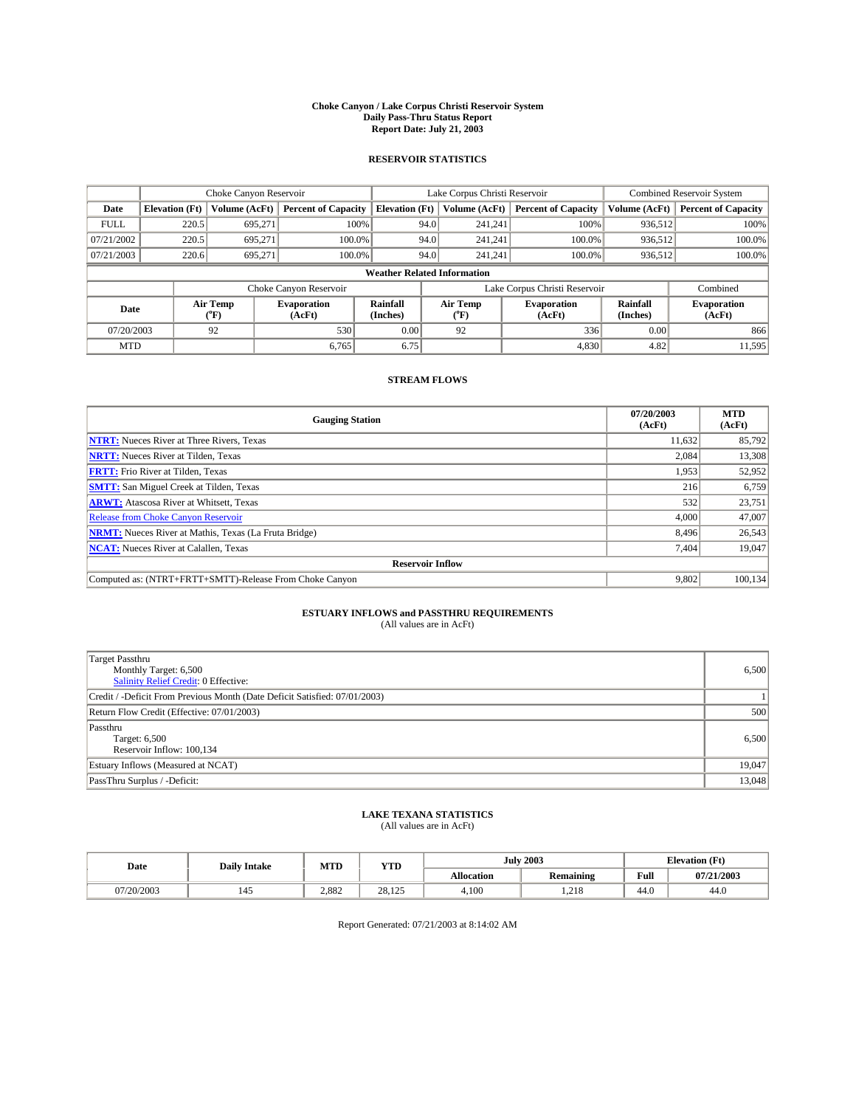#### **Choke Canyon / Lake Corpus Christi Reservoir System Daily Pass-Thru Status Report Report Date: July 21, 2003**

### **RESERVOIR STATISTICS**

|             | Choke Canyon Reservoir             |                  | Lake Corpus Christi Reservoir |                             |      |                  | Combined Reservoir System     |                             |                              |  |
|-------------|------------------------------------|------------------|-------------------------------|-----------------------------|------|------------------|-------------------------------|-----------------------------|------------------------------|--|
| Date        | <b>Elevation</b> (Ft)              | Volume (AcFt)    | <b>Percent of Capacity</b>    | <b>Elevation</b> (Ft)       |      | Volume (AcFt)    | <b>Percent of Capacity</b>    | Volume (AcFt)               | <b>Percent of Capacity</b>   |  |
| <b>FULL</b> | 220.5                              | 695,271          |                               | 100%                        | 94.0 | 241,241          | 100%                          | 936.512                     | 100%                         |  |
| 07/21/2002  | 220.5                              | 695.271          | $100.0\%$                     |                             | 94.0 | 241.241          | $100.0\%$                     | 936.512                     | 100.0%                       |  |
| 07/21/2003  | 220.6                              | 695.271          | 100.0%                        |                             | 94.0 | 241.241          | $100.0\%$                     | 936,512                     | 100.0%                       |  |
|             | <b>Weather Related Information</b> |                  |                               |                             |      |                  |                               |                             |                              |  |
|             |                                    |                  | Choke Canyon Reservoir        |                             |      |                  | Lake Corpus Christi Reservoir |                             | Combined                     |  |
| Date        |                                    | Air Temp<br>(°F) | <b>Evaporation</b><br>(AcFt)  | <b>Rainfall</b><br>(Inches) |      | Air Temp<br>("F) | <b>Evaporation</b><br>(AcFt)  | <b>Rainfall</b><br>(Inches) | <b>Evaporation</b><br>(AcFt) |  |
| 07/20/2003  |                                    | 92               | 530                           | 0.00                        |      | 92               | 336                           | 0.00                        | 866                          |  |
| <b>MTD</b>  |                                    |                  | 6,765                         | 6.75                        |      |                  | 4,830                         | 4.82                        | 11,595                       |  |

## **STREAM FLOWS**

| <b>Gauging Station</b>                                       | 07/20/2003<br>(AcFt) | <b>MTD</b><br>(AcFt) |
|--------------------------------------------------------------|----------------------|----------------------|
| <b>NTRT:</b> Nueces River at Three Rivers, Texas             | 11.632               | 85,792               |
| <b>NRTT:</b> Nueces River at Tilden, Texas                   | 2.084                | 13,308               |
| <b>FRTT:</b> Frio River at Tilden, Texas                     | 1,953                | 52,952               |
| <b>SMTT:</b> San Miguel Creek at Tilden, Texas               | 216                  | 6,759                |
| <b>ARWT:</b> Atascosa River at Whitsett, Texas               | 532                  | 23,751               |
| <b>Release from Choke Canyon Reservoir</b>                   | 4.000                | 47,007               |
| <b>NRMT:</b> Nueces River at Mathis, Texas (La Fruta Bridge) | 8.496                | 26,543               |
| <b>NCAT:</b> Nueces River at Calallen, Texas                 | 7,404                | 19,047               |
| <b>Reservoir Inflow</b>                                      |                      |                      |
| Computed as: (NTRT+FRTT+SMTT)-Release From Choke Canyon      | 9,802                | 100, 134             |

# **ESTUARY INFLOWS and PASSTHRU REQUIREMENTS**<br>(All values are in AcFt)

| <b>Target Passthru</b><br>Monthly Target: 6,500<br>Salinity Relief Credit: 0 Effective: | 6,500  |
|-----------------------------------------------------------------------------------------|--------|
| Credit / -Deficit From Previous Month (Date Deficit Satisfied: 07/01/2003)              |        |
| Return Flow Credit (Effective: 07/01/2003)                                              | 500    |
| Passthru<br>Target: 6,500<br>Reservoir Inflow: 100,134                                  | 6,500  |
| Estuary Inflows (Measured at NCAT)                                                      | 19,047 |
| PassThru Surplus / -Deficit:                                                            | 13,048 |

# **LAKE TEXANA STATISTICS** (All values are in AcFt)

| Date       | <b>Daily Intake</b> | MTD   | <b>YTD</b>    |                   | <b>July 2003</b> | <b>Elevation</b> (Ft) |            |
|------------|---------------------|-------|---------------|-------------------|------------------|-----------------------|------------|
|            |                     |       |               | <b>Allocation</b> | Remaining        | Full                  | 07/21/2003 |
| 07/20/2003 | 145                 | 2.882 | 28.125<br>125 | 4,100             | 1.218            | 44.0                  | 44.0       |

Report Generated: 07/21/2003 at 8:14:02 AM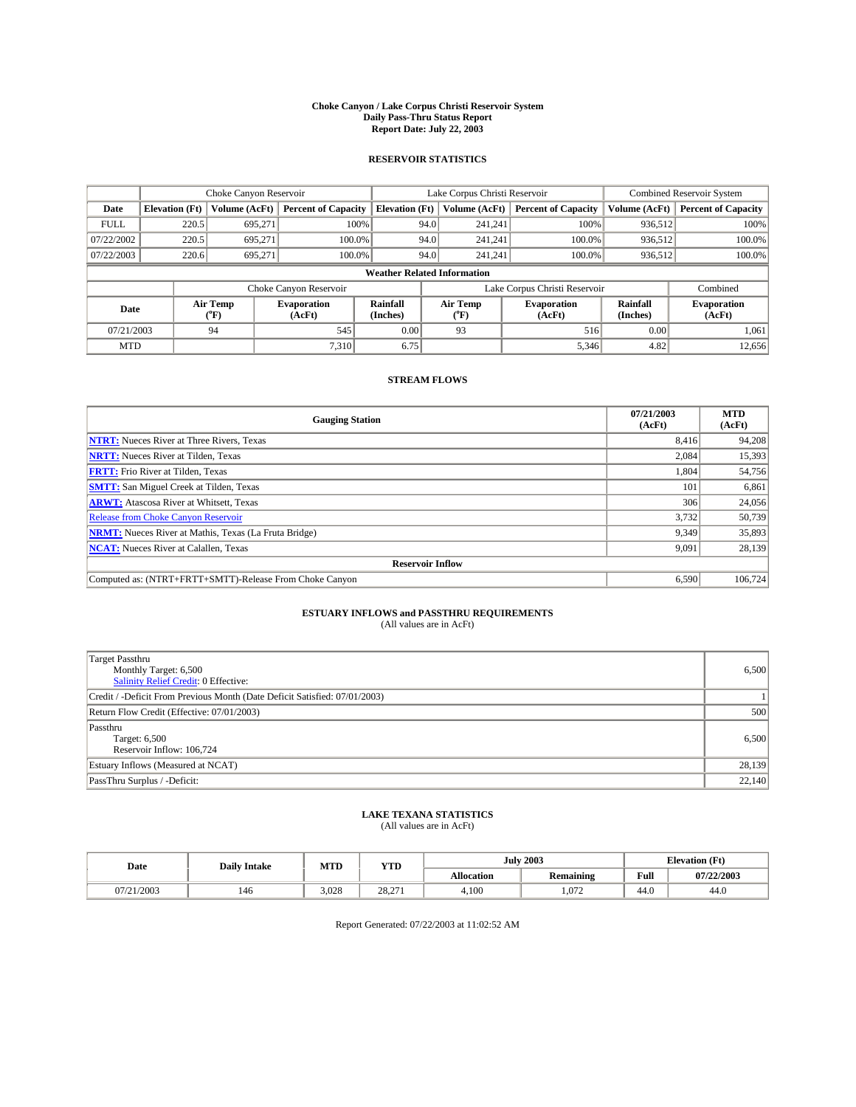#### **Choke Canyon / Lake Corpus Christi Reservoir System Daily Pass-Thru Status Report Report Date: July 22, 2003**

### **RESERVOIR STATISTICS**

|             | Choke Canyon Reservoir             |                  | Lake Corpus Christi Reservoir |                       |      |                  | <b>Combined Reservoir System</b> |                      |                              |  |  |
|-------------|------------------------------------|------------------|-------------------------------|-----------------------|------|------------------|----------------------------------|----------------------|------------------------------|--|--|
| Date        | <b>Elevation</b> (Ft)              | Volume (AcFt)    | <b>Percent of Capacity</b>    | <b>Elevation (Ft)</b> |      | Volume (AcFt)    | <b>Percent of Capacity</b>       | Volume (AcFt)        | <b>Percent of Capacity</b>   |  |  |
| <b>FULL</b> | 220.5                              | 695,271          |                               | 100%                  | 94.0 | 241,241          | 100%                             | 936.512              | 100%                         |  |  |
| 07/22/2002  | 220.5                              | 695.271          | $100.0\%$                     |                       | 94.0 | 241.241          | $100.0\%$                        | 936,512              | 100.0%                       |  |  |
| 07/22/2003  | 220.6                              | 695.271          | 100.0%                        |                       | 94.0 | 241,241          | $100.0\%$                        | 936,512              | 100.0%                       |  |  |
|             | <b>Weather Related Information</b> |                  |                               |                       |      |                  |                                  |                      |                              |  |  |
|             |                                    |                  | Choke Canyon Reservoir        |                       |      |                  | Lake Corpus Christi Reservoir    |                      | Combined                     |  |  |
| Date        |                                    | Air Temp<br>(°F) | <b>Evaporation</b><br>(AcFt)  | Rainfall<br>(Inches)  |      | Air Temp<br>("F) | <b>Evaporation</b><br>(AcFt)     | Rainfall<br>(Inches) | <b>Evaporation</b><br>(AcFt) |  |  |
| 07/21/2003  |                                    | 94               | 545                           | 0.00                  |      | 93               | 516                              | 0.00                 | 1,061                        |  |  |
| <b>MTD</b>  |                                    |                  | 7,310                         | 6.75                  |      |                  | 5,346                            | 4.82                 | 12,656                       |  |  |

## **STREAM FLOWS**

| <b>Gauging Station</b>                                       | 07/21/2003<br>(AcFt) | <b>MTD</b><br>(AcFt) |
|--------------------------------------------------------------|----------------------|----------------------|
| <b>NTRT:</b> Nueces River at Three Rivers, Texas             | 8,416                | 94,208               |
| <b>NRTT:</b> Nueces River at Tilden, Texas                   | 2.084                | 15,393               |
| <b>FRTT:</b> Frio River at Tilden, Texas                     | 1.804                | 54,756               |
| <b>SMTT:</b> San Miguel Creek at Tilden, Texas               | 101                  | 6,861                |
| <b>ARWT:</b> Atascosa River at Whitsett, Texas               | 306                  | 24,056               |
| <b>Release from Choke Canyon Reservoir</b>                   | 3.732                | 50,739               |
| <b>NRMT:</b> Nueces River at Mathis, Texas (La Fruta Bridge) | 9,349                | 35,893               |
| <b>NCAT:</b> Nueces River at Calallen, Texas                 | 9,091                | 28,139               |
| <b>Reservoir Inflow</b>                                      |                      |                      |
| Computed as: (NTRT+FRTT+SMTT)-Release From Choke Canyon      | 6.590                | 106.724              |

# **ESTUARY INFLOWS and PASSTHRU REQUIREMENTS**<br>(All values are in AcFt)

| <b>Target Passthru</b><br>Monthly Target: 6,500<br>Salinity Relief Credit: 0 Effective: | 6,500  |
|-----------------------------------------------------------------------------------------|--------|
| Credit / -Deficit From Previous Month (Date Deficit Satisfied: 07/01/2003)              |        |
| Return Flow Credit (Effective: 07/01/2003)                                              | 500    |
| Passthru<br>Target: 6,500<br>Reservoir Inflow: 106,724                                  | 6,500  |
| Estuary Inflows (Measured at NCAT)                                                      | 28,139 |
| PassThru Surplus / -Deficit:                                                            | 22,140 |

# **LAKE TEXANA STATISTICS** (All values are in AcFt)

| Date       | <b>Daily Intake</b> | MTD   | <b>YTD</b> |                   | <b>July 2003</b> | <b>Elevation</b> (Ft) |            |
|------------|---------------------|-------|------------|-------------------|------------------|-----------------------|------------|
|            |                     |       |            | <b>Allocation</b> | Remaining        | Full                  | 07/22/2003 |
| 07/21/2003 | 146                 | 3.028 | 28.271     | 4,100             | 1.072            | 44.0                  | 44.0       |

Report Generated: 07/22/2003 at 11:02:52 AM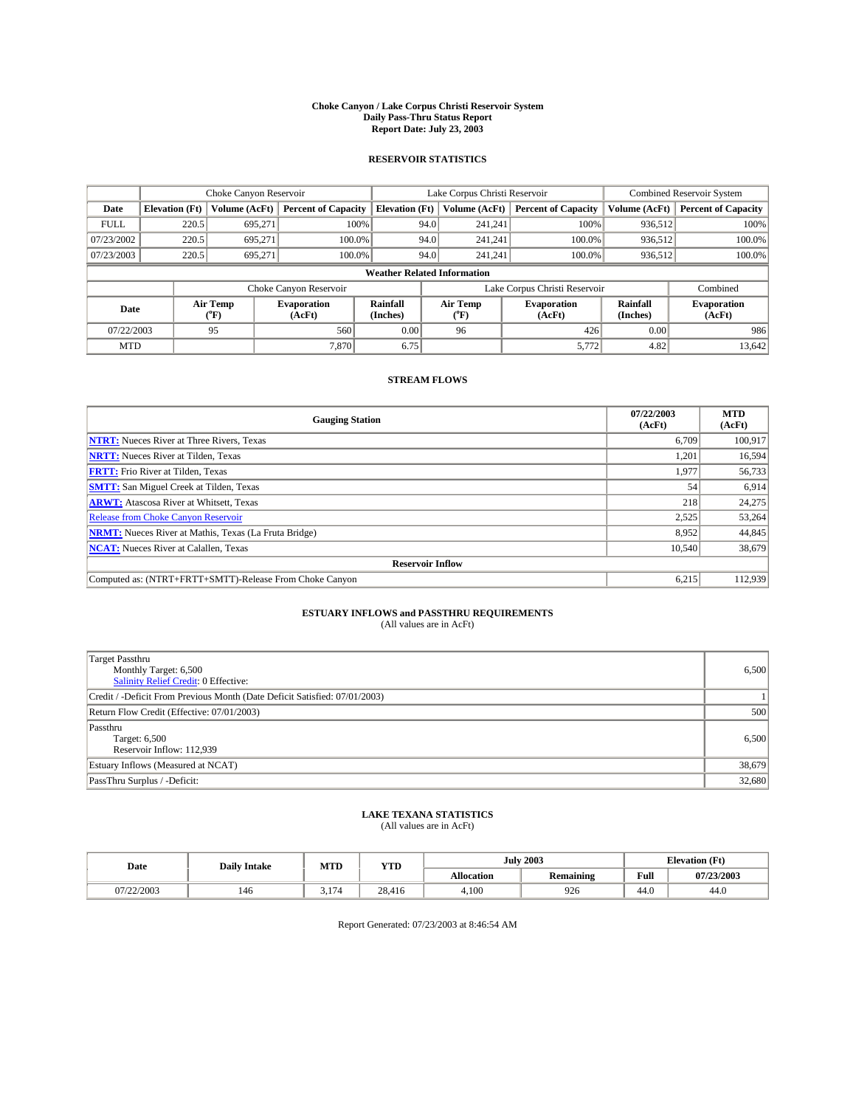#### **Choke Canyon / Lake Corpus Christi Reservoir System Daily Pass-Thru Status Report Report Date: July 23, 2003**

### **RESERVOIR STATISTICS**

|             | Choke Canyon Reservoir             |                  |                              |                             | Lake Corpus Christi Reservoir |                  |                               |                             | Combined Reservoir System    |  |  |
|-------------|------------------------------------|------------------|------------------------------|-----------------------------|-------------------------------|------------------|-------------------------------|-----------------------------|------------------------------|--|--|
| Date        | <b>Elevation</b> (Ft)              | Volume (AcFt)    | <b>Percent of Capacity</b>   | <b>Elevation</b> (Ft)       |                               | Volume (AcFt)    | <b>Percent of Capacity</b>    | Volume (AcFt)               | <b>Percent of Capacity</b>   |  |  |
| <b>FULL</b> | 220.5                              | 695,271          | 100%                         |                             | 94.0                          | 241,241          | 100%                          | 936.512                     | 100%                         |  |  |
| 07/23/2002  | 220.5                              | 695.271          | $100.0\%$                    |                             | 94.0                          | 241.241          | $100.0\%$                     | 936.512                     | 100.0%                       |  |  |
| 07/23/2003  | 220.5                              | 695.271          | 100.0%                       |                             | 94.0                          | 241.241          | $100.0\%$                     | 936,512                     | 100.0%                       |  |  |
|             | <b>Weather Related Information</b> |                  |                              |                             |                               |                  |                               |                             |                              |  |  |
|             |                                    |                  | Choke Canyon Reservoir       |                             |                               |                  | Lake Corpus Christi Reservoir |                             | Combined                     |  |  |
| Date        |                                    | Air Temp<br>(°F) | <b>Evaporation</b><br>(AcFt) | <b>Rainfall</b><br>(Inches) |                               | Air Temp<br>("F) | <b>Evaporation</b><br>(AcFt)  | <b>Rainfall</b><br>(Inches) | <b>Evaporation</b><br>(AcFt) |  |  |
| 07/22/2003  |                                    | 95               | 560                          | 0.00                        |                               | 96               | 426                           | 0.00                        | 986                          |  |  |
| <b>MTD</b>  |                                    |                  | 7,870                        | 6.75                        |                               |                  | 5,772                         | 4.82                        | 13,642                       |  |  |

## **STREAM FLOWS**

| <b>Gauging Station</b>                                       | 07/22/2003<br>(AcFt) | <b>MTD</b><br>(AcFt) |
|--------------------------------------------------------------|----------------------|----------------------|
| <b>NTRT:</b> Nueces River at Three Rivers, Texas             | 6.709                | 100.917              |
| <b>NRTT:</b> Nueces River at Tilden, Texas                   | 1.201                | 16,594               |
| <b>FRTT:</b> Frio River at Tilden, Texas                     | 1,977                | 56,733               |
| <b>SMTT:</b> San Miguel Creek at Tilden, Texas               | 54                   | 6,914                |
| <b>ARWT:</b> Atascosa River at Whitsett, Texas               | 218                  | 24,275               |
| Release from Choke Canyon Reservoir                          | 2,525                | 53,264               |
| <b>NRMT:</b> Nueces River at Mathis, Texas (La Fruta Bridge) | 8,952                | 44,845               |
| <b>NCAT:</b> Nueces River at Calallen, Texas                 | 10.540               | 38,679               |
| <b>Reservoir Inflow</b>                                      |                      |                      |
| Computed as: (NTRT+FRTT+SMTT)-Release From Choke Canyon      | 6.215                | 112.939              |

# **ESTUARY INFLOWS and PASSTHRU REQUIREMENTS**<br>(All values are in AcFt)

| Target Passthru<br>Monthly Target: 6,500<br>Salinity Relief Credit: 0 Effective: | 6,500  |
|----------------------------------------------------------------------------------|--------|
| Credit / -Deficit From Previous Month (Date Deficit Satisfied: 07/01/2003)       |        |
| Return Flow Credit (Effective: 07/01/2003)                                       | 500    |
| Passthru<br>Target: 6,500<br>Reservoir Inflow: 112,939                           | 6,500  |
| Estuary Inflows (Measured at NCAT)                                               | 38,679 |
| PassThru Surplus / -Deficit:                                                     | 32,680 |

# **LAKE TEXANA STATISTICS** (All values are in AcFt)

| Date       | <b>Daily Intake</b> | MTD | <b>WITH</b><br>1 I.D | <b>July 2003</b> |           | $E$ Levation $(F^+)$ |            |
|------------|---------------------|-----|----------------------|------------------|-----------|----------------------|------------|
|            |                     |     |                      | Allocation       | Remaining | Full                 | 07/23/2003 |
| 07/22/2003 | 146                 | 174 | 28.416               | 4.100            | 926       | 44.0                 | 44.0       |

Report Generated: 07/23/2003 at 8:46:54 AM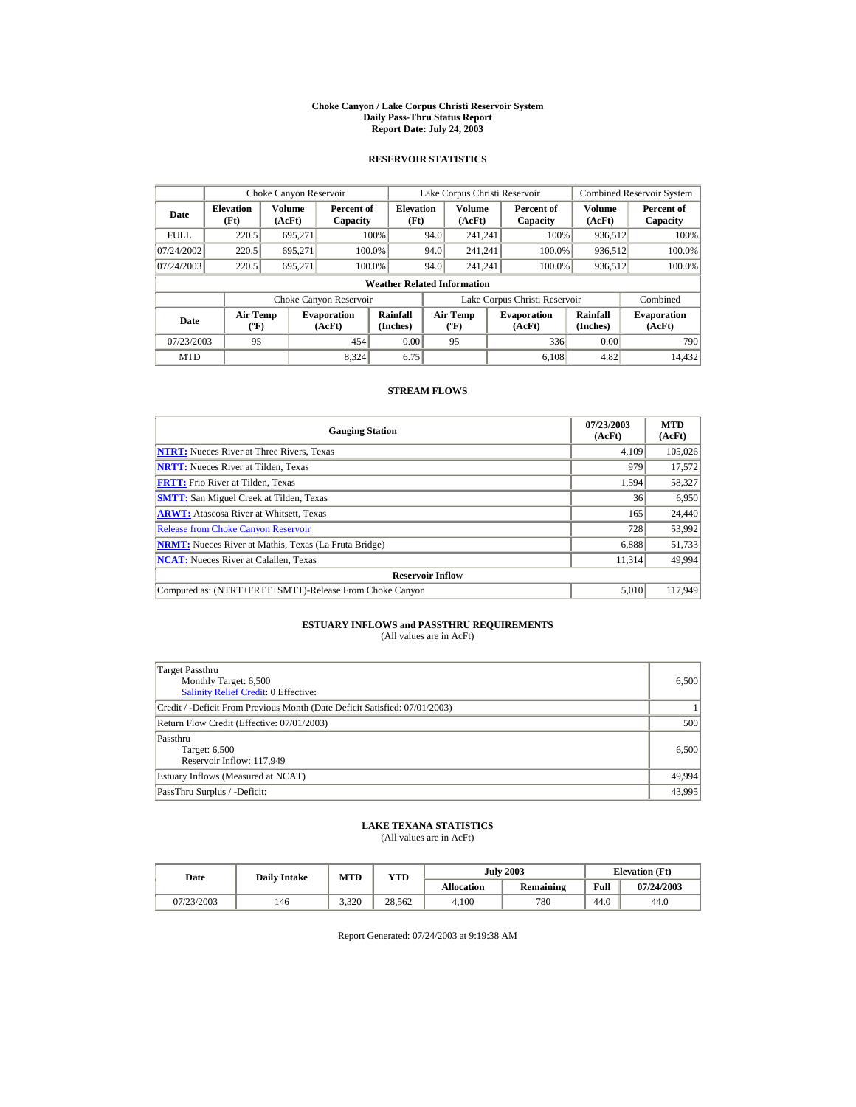#### **Choke Canyon / Lake Corpus Christi Reservoir System Daily Pass-Thru Status Report Report Date: July 24, 2003**

### **RESERVOIR STATISTICS**

|             | Choke Canyon Reservoir                      |                  |                              |                          | Lake Corpus Christi Reservoir |                                          |  |                               | <b>Combined Reservoir System</b> |                              |  |
|-------------|---------------------------------------------|------------------|------------------------------|--------------------------|-------------------------------|------------------------------------------|--|-------------------------------|----------------------------------|------------------------------|--|
| Date        | <b>Elevation</b><br>(Ft)                    | Volume<br>(AcFt) | Percent of<br>Capacity       | <b>Elevation</b><br>(Ft) |                               | <b>Volume</b><br>(AcFt)                  |  | Percent of<br>Capacity        | Volume<br>(AcFt)                 | Percent of<br>Capacity       |  |
| <b>FULL</b> | 220.5                                       | 695.271          |                              | 100%                     | 94.0                          | 241.241                                  |  | 100%                          | 936,512                          | 100%                         |  |
| 07/24/2002  | 220.5                                       | 695.271          |                              | 100.0%                   | 94.0                          | 241.241                                  |  | 100.0%                        | 936,512                          | 100.0%                       |  |
| 07/24/2003  | 220.5                                       | 695,271          |                              | 100.0%                   | 94.0                          | 241.241                                  |  | 100.0%                        | 936,512                          | 100.0%                       |  |
|             | <b>Weather Related Information</b>          |                  |                              |                          |                               |                                          |  |                               |                                  |                              |  |
|             |                                             |                  | Choke Canyon Reservoir       |                          |                               |                                          |  | Lake Corpus Christi Reservoir |                                  | Combined                     |  |
| Date        | <b>Air Temp</b><br>$({}^{\circ}\mathrm{F})$ |                  | <b>Evaporation</b><br>(AcFt) | Rainfall<br>(Inches)     |                               | <b>Air Temp</b><br>$({}^{\circ}{\rm F})$ |  | <b>Evaporation</b><br>(AcFt)  | Rainfall<br>(Inches)             | <b>Evaporation</b><br>(AcFt) |  |
| 07/23/2003  | 95                                          |                  | 454                          | 0.00                     |                               | 95                                       |  | 336                           | 0.00                             | 790                          |  |
| <b>MTD</b>  |                                             |                  | 8.324                        | 6.75                     |                               |                                          |  | 6.108                         | 4.82                             | 14.432                       |  |

### **STREAM FLOWS**

| <b>Gauging Station</b>                                       | 07/23/2003<br>(AcFt) | <b>MTD</b><br>(AcFt) |
|--------------------------------------------------------------|----------------------|----------------------|
| <b>NTRT:</b> Nueces River at Three Rivers, Texas             | 4.109                | 105,026              |
| <b>NRTT:</b> Nueces River at Tilden, Texas                   | 979                  | 17,572               |
| <b>FRTT:</b> Frio River at Tilden, Texas                     | 1,594                | 58,327               |
| <b>SMTT:</b> San Miguel Creek at Tilden, Texas               | 36                   | 6,950                |
| <b>ARWT:</b> Atascosa River at Whitsett, Texas               | 165                  | 24,440               |
| <b>Release from Choke Canvon Reservoir</b>                   | 728                  | 53.992               |
| <b>NRMT:</b> Nueces River at Mathis, Texas (La Fruta Bridge) | 6,888                | 51,733               |
| <b>NCAT:</b> Nueces River at Calallen, Texas                 | 11,314               | 49,994               |
| <b>Reservoir Inflow</b>                                      |                      |                      |
| Computed as: (NTRT+FRTT+SMTT)-Release From Choke Canyon      | 5.010                | 117,949              |

# **ESTUARY INFLOWS and PASSTHRU REQUIREMENTS**<br>(All values are in AcFt)

| Target Passthru<br>Monthly Target: 6,500<br><b>Salinity Relief Credit: 0 Effective:</b> | 6.500  |
|-----------------------------------------------------------------------------------------|--------|
| Credit / -Deficit From Previous Month (Date Deficit Satisfied: 07/01/2003)              |        |
| Return Flow Credit (Effective: 07/01/2003)                                              | 500    |
| Passthru<br>Target: 6,500<br>Reservoir Inflow: 117,949                                  | 6,500  |
| Estuary Inflows (Measured at NCAT)                                                      | 49,994 |
| PassThru Surplus / -Deficit:                                                            | 43,995 |

## **LAKE TEXANA STATISTICS**

(All values are in AcFt)

| Date       | <b>Daily Intake</b> | <b>MTD</b> | <b>VTD</b> |            | <b>July 2003</b> | <b>Elevation</b> (Ft) |            |
|------------|---------------------|------------|------------|------------|------------------|-----------------------|------------|
|            |                     |            |            | Allocation | Remaining        | Full                  | 07/24/2003 |
| 07/23/2003 | 146                 | 3.320      | 28.562     | 4.100      | 780              | 44.0                  | 44.0       |

Report Generated: 07/24/2003 at 9:19:38 AM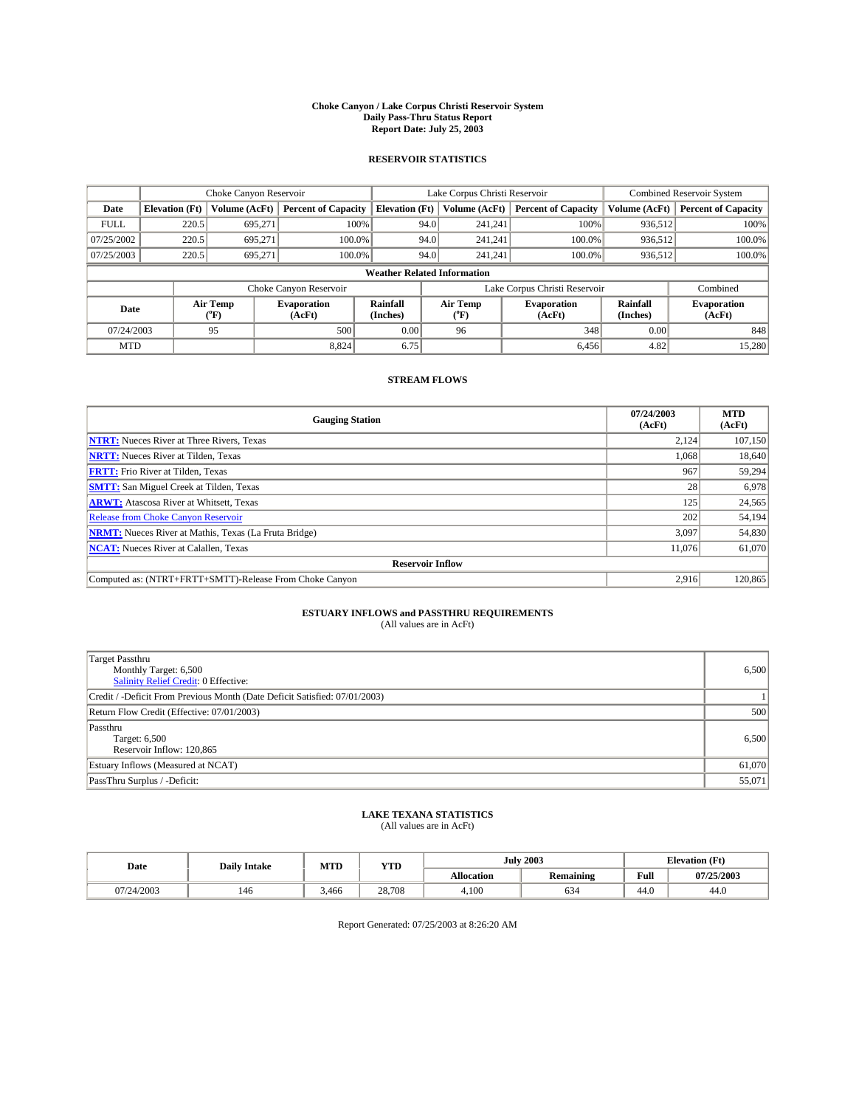#### **Choke Canyon / Lake Corpus Christi Reservoir System Daily Pass-Thru Status Report Report Date: July 25, 2003**

### **RESERVOIR STATISTICS**

|                                    | Choke Canyon Reservoir |                  |                              | Lake Corpus Christi Reservoir | Combined Reservoir System |                  |                               |                             |                              |
|------------------------------------|------------------------|------------------|------------------------------|-------------------------------|---------------------------|------------------|-------------------------------|-----------------------------|------------------------------|
| Date                               | <b>Elevation</b> (Ft)  | Volume (AcFt)    | <b>Percent of Capacity</b>   | <b>Elevation</b> (Ft)         |                           | Volume (AcFt)    | <b>Percent of Capacity</b>    | Volume (AcFt)               | <b>Percent of Capacity</b>   |
| <b>FULL</b>                        | 220.5                  | 695,271          |                              | 100%                          | 94.0                      | 241,241          | 100%                          | 936.512                     | 100%                         |
| 07/25/2002                         | 220.5                  | 695.271          | $100.0\%$                    |                               | 94.0                      | 241.241          | $100.0\%$                     | 936.512                     | 100.0%                       |
| 07/25/2003                         | 220.5                  | 695.271          | 100.0%                       |                               | 94.0                      | 241.241          | $100.0\%$                     | 936,512                     | 100.0%                       |
| <b>Weather Related Information</b> |                        |                  |                              |                               |                           |                  |                               |                             |                              |
|                                    |                        |                  | Choke Canyon Reservoir       |                               |                           |                  | Lake Corpus Christi Reservoir |                             | Combined                     |
| Date                               |                        | Air Temp<br>(°F) | <b>Evaporation</b><br>(AcFt) | <b>Rainfall</b><br>(Inches)   |                           | Air Temp<br>("F) | <b>Evaporation</b><br>(AcFt)  | <b>Rainfall</b><br>(Inches) | <b>Evaporation</b><br>(AcFt) |
| 07/24/2003                         |                        | 95               | 500                          | 0.00                          |                           | 96               | 348                           | 0.00                        | 848                          |
| <b>MTD</b>                         |                        |                  | 8,824                        | 6.75                          |                           |                  | 6,456                         | 4.82                        | 15,280                       |

## **STREAM FLOWS**

| <b>Gauging Station</b>                                       | 07/24/2003<br>(AcFt) | <b>MTD</b><br>(AcFt) |
|--------------------------------------------------------------|----------------------|----------------------|
| <b>NTRT:</b> Nueces River at Three Rivers, Texas             | 2.124                | 107.150              |
| <b>NRTT:</b> Nueces River at Tilden, Texas                   | 1.068                | 18.640               |
| <b>FRTT:</b> Frio River at Tilden, Texas                     | 967                  | 59,294               |
| <b>SMTT:</b> San Miguel Creek at Tilden, Texas               | 28                   | 6,978                |
| <b>ARWT:</b> Atascosa River at Whitsett, Texas               | 125                  | 24,565               |
| Release from Choke Canyon Reservoir                          | 202                  | 54,194               |
| <b>NRMT:</b> Nueces River at Mathis, Texas (La Fruta Bridge) | 3,097                | 54,830               |
| <b>NCAT:</b> Nueces River at Calallen, Texas                 | 11,076               | 61,070               |
| <b>Reservoir Inflow</b>                                      |                      |                      |
| Computed as: (NTRT+FRTT+SMTT)-Release From Choke Canyon      | 2.916                | 120,865              |

# **ESTUARY INFLOWS and PASSTHRU REQUIREMENTS**<br>(All values are in AcFt)

| <b>Target Passthru</b><br>Monthly Target: 6,500<br>Salinity Relief Credit: 0 Effective: | 6,500  |
|-----------------------------------------------------------------------------------------|--------|
| Credit / -Deficit From Previous Month (Date Deficit Satisfied: 07/01/2003)              |        |
| Return Flow Credit (Effective: 07/01/2003)                                              | 500    |
| Passthru<br>Target: 6,500<br>Reservoir Inflow: 120,865                                  | 6,500  |
| Estuary Inflows (Measured at NCAT)                                                      | 61,070 |
| PassThru Surplus / -Deficit:                                                            | 55,071 |

# **LAKE TEXANA STATISTICS** (All values are in AcFt)

| Date       | <b>Daily Intake</b> | MTD   | <b>YTD</b> |                   | <b>July 2003</b> | <b>Elevation</b> (Ft) |            |
|------------|---------------------|-------|------------|-------------------|------------------|-----------------------|------------|
|            |                     |       |            | <b>Allocation</b> | Remaining        | Full                  | 07/25/2003 |
| 07/24/2003 | 146                 | 3,466 | 28.708     | 4.100             | 634              | 44.0                  | 44.0       |

Report Generated: 07/25/2003 at 8:26:20 AM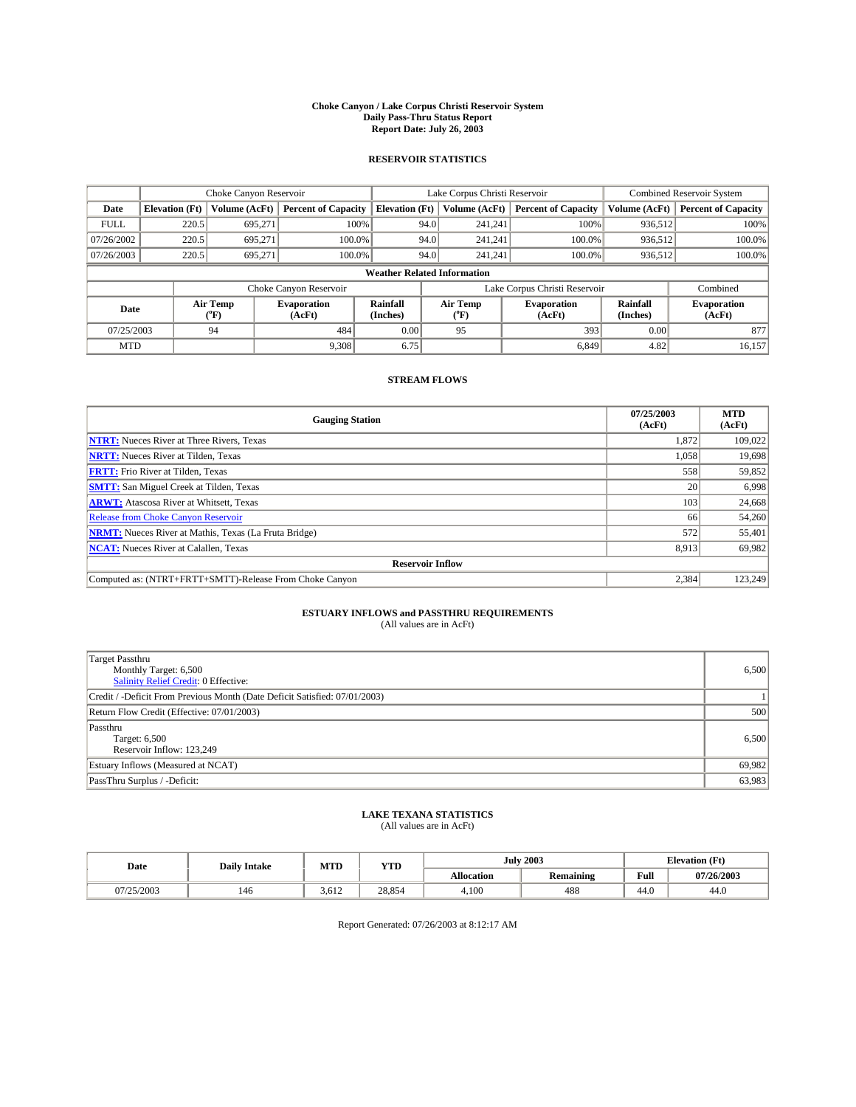#### **Choke Canyon / Lake Corpus Christi Reservoir System Daily Pass-Thru Status Report Report Date: July 26, 2003**

### **RESERVOIR STATISTICS**

|                                    | Choke Canyon Reservoir |                             |                              | Lake Corpus Christi Reservoir | Combined Reservoir System |                  |                               |                             |                              |
|------------------------------------|------------------------|-----------------------------|------------------------------|-------------------------------|---------------------------|------------------|-------------------------------|-----------------------------|------------------------------|
| Date                               | <b>Elevation</b> (Ft)  | Volume (AcFt)               | <b>Percent of Capacity</b>   | <b>Elevation</b> (Ft)         |                           | Volume (AcFt)    | <b>Percent of Capacity</b>    | Volume (AcFt)               | <b>Percent of Capacity</b>   |
| <b>FULL</b>                        | 220.5                  | 695,271                     |                              | 100%                          | 94.0                      | 241,241          | 100%                          | 936.512                     | 100%                         |
| 07/26/2002                         | 220.5                  | 695.271                     | $100.0\%$                    |                               | 94.0                      | 241.241          | $100.0\%$                     | 936.512                     | 100.0%                       |
| 07/26/2003                         | 220.5                  | 695.271                     | 100.0%                       |                               | 94.0                      | 241.241          | $100.0\%$                     | 936,512                     | 100.0%                       |
| <b>Weather Related Information</b> |                        |                             |                              |                               |                           |                  |                               |                             |                              |
|                                    |                        |                             | Choke Canyon Reservoir       |                               |                           |                  | Lake Corpus Christi Reservoir |                             | Combined                     |
| Date                               |                        | Air Temp<br>${}^{\circ}$ F) | <b>Evaporation</b><br>(AcFt) | <b>Rainfall</b><br>(Inches)   |                           | Air Temp<br>("F) | <b>Evaporation</b><br>(AcFt)  | <b>Rainfall</b><br>(Inches) | <b>Evaporation</b><br>(AcFt) |
| 07/25/2003                         |                        | 94                          | 484                          | 0.00                          |                           | 95               | 393                           | 0.00                        | 877                          |
| <b>MTD</b>                         |                        |                             | 9,308                        | 6.75                          |                           |                  | 6,849                         | 4.82                        | 16,157                       |

## **STREAM FLOWS**

| <b>Gauging Station</b>                                       | 07/25/2003<br>(AcFt) | <b>MTD</b><br>(AcFt) |  |  |  |  |
|--------------------------------------------------------------|----------------------|----------------------|--|--|--|--|
| <b>NTRT:</b> Nueces River at Three Rivers, Texas             | 1,872                | 109.022              |  |  |  |  |
| <b>NRTT:</b> Nueces River at Tilden, Texas                   | 1.058                | 19,698               |  |  |  |  |
| <b>FRTT:</b> Frio River at Tilden, Texas                     | 558                  | 59,852               |  |  |  |  |
| <b>SMTT:</b> San Miguel Creek at Tilden, Texas               | 20                   | 6,998                |  |  |  |  |
| <b>ARWT:</b> Atascosa River at Whitsett, Texas               | 103                  | 24,668               |  |  |  |  |
| Release from Choke Canyon Reservoir                          | 66                   | 54,260               |  |  |  |  |
| <b>NRMT:</b> Nueces River at Mathis, Texas (La Fruta Bridge) | 572                  | 55,401               |  |  |  |  |
| <b>NCAT:</b> Nueces River at Calallen, Texas                 | 8,913                | 69,982               |  |  |  |  |
| <b>Reservoir Inflow</b>                                      |                      |                      |  |  |  |  |
| Computed as: (NTRT+FRTT+SMTT)-Release From Choke Canyon      | 2,384                | 123,249              |  |  |  |  |

# **ESTUARY INFLOWS and PASSTHRU REQUIREMENTS**<br>(All values are in AcFt)

| <b>Target Passthru</b><br>Monthly Target: 6,500<br>Salinity Relief Credit: 0 Effective: | 6,500  |
|-----------------------------------------------------------------------------------------|--------|
| Credit / -Deficit From Previous Month (Date Deficit Satisfied: 07/01/2003)              |        |
| Return Flow Credit (Effective: 07/01/2003)                                              | 500    |
| Passthru<br>Target: 6,500<br>Reservoir Inflow: 123,249                                  | 6,500  |
| Estuary Inflows (Measured at NCAT)                                                      | 69,982 |
| PassThru Surplus / -Deficit:                                                            | 63,983 |

# **LAKE TEXANA STATISTICS** (All values are in AcFt)

| Date     | <b>Daily Intake</b> | MTD   | <b>YTD</b> |                   | <b>July 2003</b> | <b>Elevation</b> (Ft) |            |
|----------|---------------------|-------|------------|-------------------|------------------|-----------------------|------------|
|          |                     |       |            | <b>Allocation</b> | <b>Remaining</b> | Full                  | 07/26/2003 |
| /25/2003 | 146                 | 3.612 | 28.854     | 4.100             | 488              | 44.0                  | 44.0       |

Report Generated: 07/26/2003 at 8:12:17 AM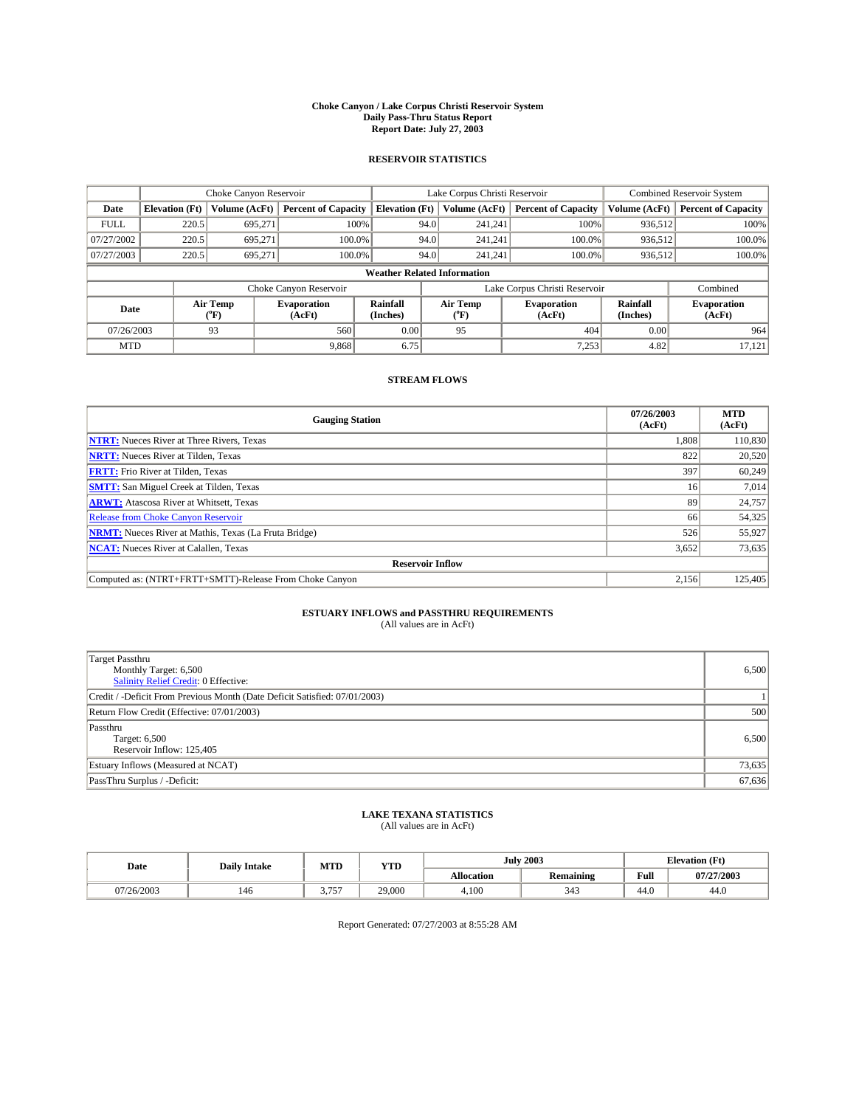#### **Choke Canyon / Lake Corpus Christi Reservoir System Daily Pass-Thru Status Report Report Date: July 27, 2003**

### **RESERVOIR STATISTICS**

|                                    | Choke Canyon Reservoir |                  | Lake Corpus Christi Reservoir |                             |      |                  | Combined Reservoir System     |                      |                              |
|------------------------------------|------------------------|------------------|-------------------------------|-----------------------------|------|------------------|-------------------------------|----------------------|------------------------------|
| Date                               | <b>Elevation</b> (Ft)  | Volume (AcFt)    | <b>Percent of Capacity</b>    | <b>Elevation</b> (Ft)       |      | Volume (AcFt)    | <b>Percent of Capacity</b>    | Volume (AcFt)        | <b>Percent of Capacity</b>   |
| <b>FULL</b>                        | 220.5                  | 695,271          | 100%                          |                             | 94.0 | 241,241          | 100%                          | 936.512              | 100%                         |
| 07/27/2002                         | 220.5                  | 695.271          | 100.0%                        |                             | 94.0 | 241.241          | 100.0%                        | 936.512              | 100.0%                       |
| 07/27/2003                         | 220.5                  | 695.271          | 100.0%                        |                             | 94.0 | 241.241          | 100.0%                        | 936,512              | 100.0%                       |
| <b>Weather Related Information</b> |                        |                  |                               |                             |      |                  |                               |                      |                              |
|                                    |                        |                  | Choke Canyon Reservoir        |                             |      |                  | Lake Corpus Christi Reservoir |                      | Combined                     |
| Date                               |                        | Air Temp<br>(°F) | <b>Evaporation</b><br>(AcFt)  | <b>Rainfall</b><br>(Inches) |      | Air Temp<br>("F) | <b>Evaporation</b><br>(AcFt)  | Rainfall<br>(Inches) | <b>Evaporation</b><br>(AcFt) |
| 07/26/2003                         |                        | 93               | 560                           | 0.00                        |      | 95               | 404                           | 0.00                 | 964                          |
| <b>MTD</b>                         |                        |                  | 9,868                         | 6.75                        |      |                  | 7,253                         | 4.82                 | 17,121                       |

### **STREAM FLOWS**

| <b>Gauging Station</b>                                       | 07/26/2003<br>(AcFt) | <b>MTD</b><br>(AcFt) |  |  |  |  |
|--------------------------------------------------------------|----------------------|----------------------|--|--|--|--|
| <b>NTRT:</b> Nueces River at Three Rivers, Texas             | 1.808                | 110,830              |  |  |  |  |
| <b>NRTT:</b> Nueces River at Tilden, Texas                   | 822                  | 20,520               |  |  |  |  |
| <b>FRTT:</b> Frio River at Tilden, Texas                     | 397                  | 60,249               |  |  |  |  |
| <b>SMTT:</b> San Miguel Creek at Tilden, Texas               | 16 <sup>1</sup>      | 7,014                |  |  |  |  |
| <b>ARWT:</b> Atascosa River at Whitsett, Texas               | 89                   | 24,757               |  |  |  |  |
| Release from Choke Canyon Reservoir                          | 66                   | 54,325               |  |  |  |  |
| <b>NRMT:</b> Nueces River at Mathis, Texas (La Fruta Bridge) | 526                  | 55,927               |  |  |  |  |
| <b>NCAT:</b> Nueces River at Calallen, Texas                 | 3,652                | 73,635               |  |  |  |  |
| <b>Reservoir Inflow</b>                                      |                      |                      |  |  |  |  |
| Computed as: (NTRT+FRTT+SMTT)-Release From Choke Canyon      | 2.156                | 125,405              |  |  |  |  |

## **ESTUARY INFLOWS and PASSTHRU REQUIREMENTS**

(All values are in AcFt)

| <b>Target Passthru</b><br>Monthly Target: 6,500<br>Salinity Relief Credit: 0 Effective: | 6,500  |
|-----------------------------------------------------------------------------------------|--------|
| Credit / -Deficit From Previous Month (Date Deficit Satisfied: 07/01/2003)              |        |
| Return Flow Credit (Effective: 07/01/2003)                                              | 500    |
| Passthru<br>Target: 6,500<br>Reservoir Inflow: 125,405                                  | 6,500  |
| Estuary Inflows (Measured at NCAT)                                                      | 73,635 |
| PassThru Surplus / -Deficit:                                                            | 67,636 |

# **LAKE TEXANA STATISTICS** (All values are in AcFt)

| Date       | <b>Daily Intake</b> | MTD             | <b>YTD</b> |                   | <b>July 2003</b> | <b>Elevation</b> (Ft) |            |
|------------|---------------------|-----------------|------------|-------------------|------------------|-----------------------|------------|
|            |                     |                 |            | <b>Allocation</b> | <b>Remaining</b> | Full                  | 07/27/2003 |
| 07/26/2003 | 146                 | 757<br><u>.</u> | 29,000     | 4.100             | 343              | 44.0                  | 44.0       |

Report Generated: 07/27/2003 at 8:55:28 AM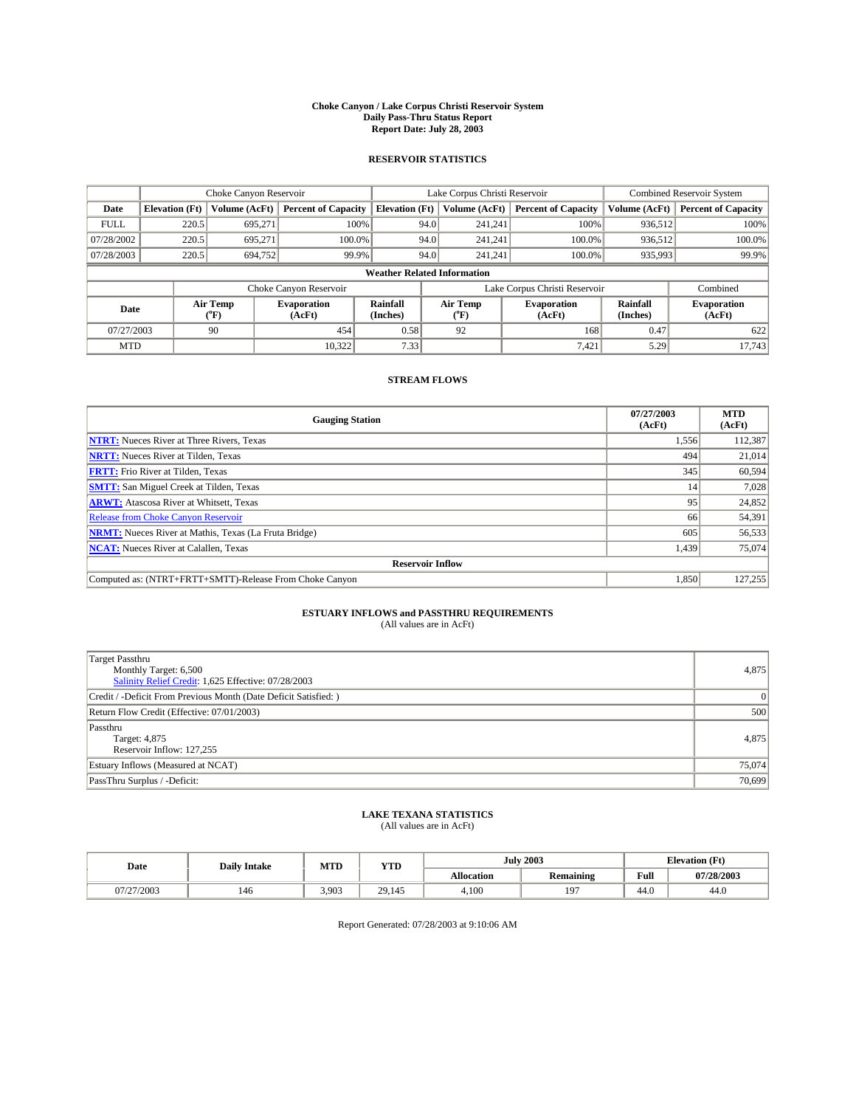#### **Choke Canyon / Lake Corpus Christi Reservoir System Daily Pass-Thru Status Report Report Date: July 28, 2003**

### **RESERVOIR STATISTICS**

|                                    | Choke Canyon Reservoir |                  |                              |                             |                               | Lake Corpus Christi Reservoir | <b>Combined Reservoir System</b> |                             |                              |
|------------------------------------|------------------------|------------------|------------------------------|-----------------------------|-------------------------------|-------------------------------|----------------------------------|-----------------------------|------------------------------|
| Date                               | <b>Elevation</b> (Ft)  | Volume (AcFt)    | <b>Percent of Capacity</b>   | <b>Elevation</b> (Ft)       |                               | Volume (AcFt)                 | <b>Percent of Capacity</b>       | Volume (AcFt)               | <b>Percent of Capacity</b>   |
| <b>FULL</b>                        | 220.5                  | 695,271          |                              | 100%                        | 94.0                          | 241,241                       | 100%                             | 936.512                     | 100%                         |
| 07/28/2002                         | 220.5                  | 695.271          | $100.0\%$                    |                             | 94.0                          | 241.241                       | $100.0\%$                        | 936.512                     | 100.0%                       |
| 07/28/2003                         | 220.5                  | 694,752          | 99.9%                        |                             | 94.0                          | 241.241                       | $100.0\%$                        | 935,993                     | 99.9%                        |
| <b>Weather Related Information</b> |                        |                  |                              |                             |                               |                               |                                  |                             |                              |
|                                    |                        |                  | Choke Canyon Reservoir       |                             | Lake Corpus Christi Reservoir |                               |                                  |                             | Combined                     |
| Date                               |                        | Air Temp<br>(°F) | <b>Evaporation</b><br>(AcFt) | <b>Rainfall</b><br>(Inches) |                               | Air Temp<br>("F)              | <b>Evaporation</b><br>(AcFt)     | <b>Rainfall</b><br>(Inches) | <b>Evaporation</b><br>(AcFt) |
| 07/27/2003                         |                        | 90               | 454                          | 0.58                        |                               | 92                            | 168                              | 0.47                        | 622                          |
| <b>MTD</b>                         |                        |                  | 10.322                       | 7.33                        |                               |                               | 7,421                            | 5.29                        | 17,743                       |

## **STREAM FLOWS**

| <b>Gauging Station</b>                                       | 07/27/2003<br>(AcFt) | <b>MTD</b><br>(AcFt) |  |  |  |  |  |
|--------------------------------------------------------------|----------------------|----------------------|--|--|--|--|--|
| <b>NTRT:</b> Nueces River at Three Rivers, Texas             | 1,556                | 112,387              |  |  |  |  |  |
| <b>NRTT:</b> Nueces River at Tilden, Texas                   | 494                  | 21,014               |  |  |  |  |  |
| <b>FRTT:</b> Frio River at Tilden, Texas                     | 345                  | 60,594               |  |  |  |  |  |
| <b>SMTT:</b> San Miguel Creek at Tilden, Texas               | 14                   | 7,028                |  |  |  |  |  |
| <b>ARWT:</b> Atascosa River at Whitsett, Texas               | 95                   | 24,852               |  |  |  |  |  |
| <b>Release from Choke Canyon Reservoir</b>                   | 66                   | 54,391               |  |  |  |  |  |
| <b>NRMT:</b> Nueces River at Mathis, Texas (La Fruta Bridge) | 605                  | 56,533               |  |  |  |  |  |
| <b>NCAT:</b> Nueces River at Calallen, Texas                 | 1,439                | 75,074               |  |  |  |  |  |
| <b>Reservoir Inflow</b>                                      |                      |                      |  |  |  |  |  |
| Computed as: (NTRT+FRTT+SMTT)-Release From Choke Canyon      | 1,850                | 127,255              |  |  |  |  |  |

# **ESTUARY INFLOWS and PASSTHRU REQUIREMENTS**<br>(All values are in AcFt)

| Target Passthru<br>Monthly Target: 6,500<br>Salinity Relief Credit: 1,625 Effective: 07/28/2003 | 4,875    |
|-------------------------------------------------------------------------------------------------|----------|
| Credit / -Deficit From Previous Month (Date Deficit Satisfied: )                                | $\Omega$ |
| Return Flow Credit (Effective: 07/01/2003)                                                      | 500      |
| Passthru<br>Target: 4,875<br>Reservoir Inflow: 127,255                                          | 4,875    |
| Estuary Inflows (Measured at NCAT)                                                              | 75,074   |
| PassThru Surplus / -Deficit:                                                                    | 70,699   |

# **LAKE TEXANA STATISTICS** (All values are in AcFt)

| Date       | <b>Daily Intake</b> | MTD   | YTD    | <b>July 2003</b>  |                  | <b>Elevation</b> (Ft) |            |
|------------|---------------------|-------|--------|-------------------|------------------|-----------------------|------------|
|            |                     |       |        | <b>Allocation</b> | <b>Remaining</b> | Full                  | 07/28/2003 |
| 07/27/2003 | 146                 | 3.903 | 29.145 | 4.100             | Q7               | 44.0                  | 44.0       |

Report Generated: 07/28/2003 at 9:10:06 AM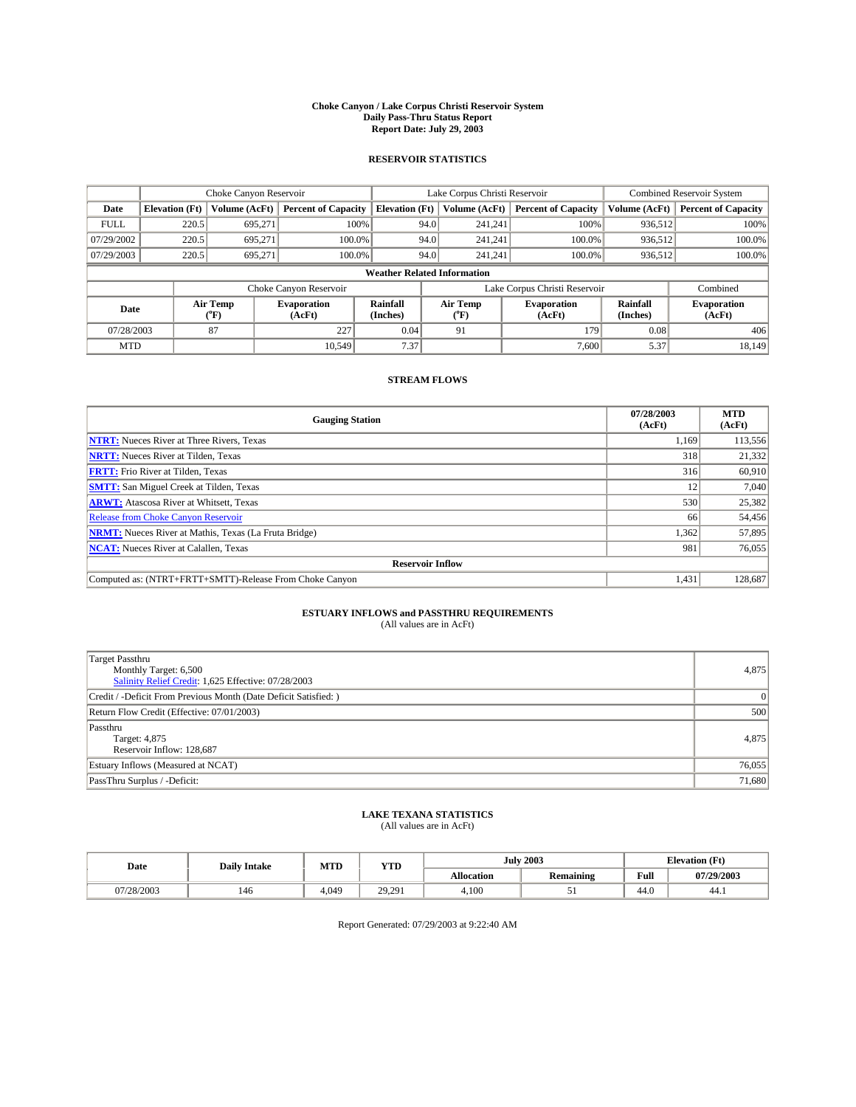#### **Choke Canyon / Lake Corpus Christi Reservoir System Daily Pass-Thru Status Report Report Date: July 29, 2003**

### **RESERVOIR STATISTICS**

|             | Choke Canyon Reservoir             |                  | Lake Corpus Christi Reservoir |                             |                               |                  | Combined Reservoir System    |                             |                              |  |
|-------------|------------------------------------|------------------|-------------------------------|-----------------------------|-------------------------------|------------------|------------------------------|-----------------------------|------------------------------|--|
| Date        | <b>Elevation</b> (Ft)              | Volume (AcFt)    | <b>Percent of Capacity</b>    | <b>Elevation</b> (Ft)       |                               | Volume (AcFt)    | <b>Percent of Capacity</b>   | Volume (AcFt)               | <b>Percent of Capacity</b>   |  |
| <b>FULL</b> | 220.5                              | 695,271          | 100%                          |                             | 94.0                          | 241,241          | 100%                         | 936.512                     | 100%                         |  |
| 07/29/2002  | 220.5                              | 695.271          | $100.0\%$                     |                             | 94.0                          | 241.241          | $100.0\%$                    | 936.512                     | 100.0%                       |  |
| 07/29/2003  | 220.5                              | 695.271          | 100.0%                        |                             | 94.0                          | 241.241          | $100.0\%$                    | 936,512                     | 100.0%                       |  |
|             | <b>Weather Related Information</b> |                  |                               |                             |                               |                  |                              |                             |                              |  |
|             |                                    |                  | Choke Canyon Reservoir        |                             | Lake Corpus Christi Reservoir |                  |                              |                             | Combined                     |  |
| Date        |                                    | Air Temp<br>(°F) | <b>Evaporation</b><br>(AcFt)  | <b>Rainfall</b><br>(Inches) |                               | Air Temp<br>("F) | <b>Evaporation</b><br>(AcFt) | <b>Rainfall</b><br>(Inches) | <b>Evaporation</b><br>(AcFt) |  |
| 07/28/2003  |                                    | 87               | 227                           | 0.04                        |                               | 91               | 179                          | 0.08                        | 406                          |  |
| <b>MTD</b>  |                                    |                  | 10.549                        | 7.37                        |                               |                  | 7,600                        | 5.37                        | 18.149                       |  |

## **STREAM FLOWS**

| <b>Gauging Station</b>                                       | 07/28/2003<br>(AcFt) | <b>MTD</b><br>(AcFt) |
|--------------------------------------------------------------|----------------------|----------------------|
| <b>NTRT:</b> Nueces River at Three Rivers, Texas             | 1.169                | 113,556              |
| <b>NRTT:</b> Nueces River at Tilden, Texas                   | 318                  | 21,332               |
| <b>FRTT:</b> Frio River at Tilden, Texas                     | 316                  | 60,910               |
| <b>SMTT:</b> San Miguel Creek at Tilden, Texas               | 12                   | 7.040                |
| <b>ARWT:</b> Atascosa River at Whitsett, Texas               | 530                  | 25,382               |
| Release from Choke Canyon Reservoir                          | 66                   | 54,456               |
| <b>NRMT:</b> Nueces River at Mathis, Texas (La Fruta Bridge) | 1,362                | 57,895               |
| <b>NCAT:</b> Nueces River at Calallen, Texas                 | 981                  | 76,055               |
| <b>Reservoir Inflow</b>                                      |                      |                      |
| Computed as: (NTRT+FRTT+SMTT)-Release From Choke Canyon      | 1,431                | 128,687              |

# **ESTUARY INFLOWS and PASSTHRU REQUIREMENTS**<br>(All values are in AcFt)

| Target Passthru<br>Monthly Target: 6,500<br>Salinity Relief Credit: 1,625 Effective: 07/28/2003 | 4,875    |
|-------------------------------------------------------------------------------------------------|----------|
| Credit / -Deficit From Previous Month (Date Deficit Satisfied: )                                | $\Omega$ |
| Return Flow Credit (Effective: 07/01/2003)                                                      | 500      |
| Passthru<br>Target: 4,875<br>Reservoir Inflow: 128,687                                          | 4,875    |
| Estuary Inflows (Measured at NCAT)                                                              | 76,055   |
| PassThru Surplus / -Deficit:                                                                    | 71,680   |

# **LAKE TEXANA STATISTICS** (All values are in AcFt)

| Date       | <b>Daily Intake</b> | MTD   | <b>YTD</b> |                   | <b>July 2003</b> | <b>Elevation</b> (Ft) |            |
|------------|---------------------|-------|------------|-------------------|------------------|-----------------------|------------|
|            |                     |       |            | <b>Allocation</b> | <b>Remaining</b> | Full                  | 07/29/2003 |
| 07/28/2003 | 146                 | 4.049 | 29.291     | 4.100             | ◡                | $\sim$<br>44.U        | 44.1       |

Report Generated: 07/29/2003 at 9:22:40 AM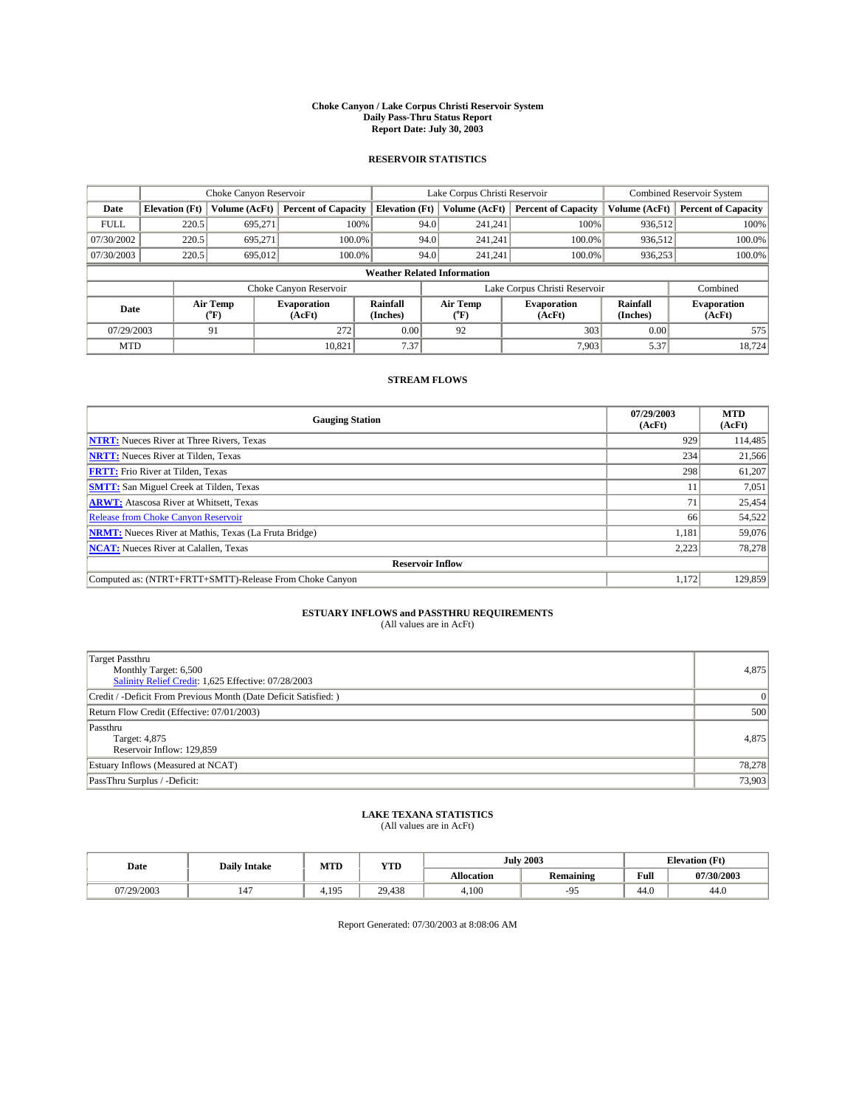#### **Choke Canyon / Lake Corpus Christi Reservoir System Daily Pass-Thru Status Report Report Date: July 30, 2003**

### **RESERVOIR STATISTICS**

|             | Choke Canyon Reservoir             |                  |                              | Lake Corpus Christi Reservoir | Combined Reservoir System     |                  |                              |                             |                              |  |
|-------------|------------------------------------|------------------|------------------------------|-------------------------------|-------------------------------|------------------|------------------------------|-----------------------------|------------------------------|--|
| Date        | <b>Elevation</b> (Ft)              | Volume (AcFt)    | <b>Percent of Capacity</b>   | <b>Elevation</b> (Ft)         |                               | Volume (AcFt)    | <b>Percent of Capacity</b>   | Volume (AcFt)               | <b>Percent of Capacity</b>   |  |
| <b>FULL</b> | 220.5                              | 695,271          |                              | 100%                          | 94.0                          | 241,241          | 100%                         | 936.512                     | 100%                         |  |
| 07/30/2002  | 220.5                              | 695.271          | $100.0\%$                    |                               | 94.0                          | 241.241          | $100.0\%$                    | 936.512                     | 100.0%                       |  |
| 07/30/2003  | 220.5                              | 695,012          | 100.0%                       |                               | 94.0                          | 241.241          | $100.0\%$                    | 936,253                     | 100.0%                       |  |
|             | <b>Weather Related Information</b> |                  |                              |                               |                               |                  |                              |                             |                              |  |
|             |                                    |                  | Choke Canyon Reservoir       |                               | Lake Corpus Christi Reservoir |                  |                              |                             | Combined                     |  |
| Date        |                                    | Air Temp<br>(°F) | <b>Evaporation</b><br>(AcFt) | <b>Rainfall</b><br>(Inches)   |                               | Air Temp<br>("F) | <b>Evaporation</b><br>(AcFt) | <b>Rainfall</b><br>(Inches) | <b>Evaporation</b><br>(AcFt) |  |
| 07/29/2003  |                                    | 91               | 272                          | 0.00                          |                               | 92               | 303                          | 0.00                        | 575                          |  |
| <b>MTD</b>  |                                    |                  | 10.821                       | 7.37                          |                               |                  | 7.903                        | 5.37                        | 18,724                       |  |

## **STREAM FLOWS**

| <b>Gauging Station</b>                                       | 07/29/2003<br>(AcFt) | <b>MTD</b><br>(AcFt) |  |  |  |  |  |
|--------------------------------------------------------------|----------------------|----------------------|--|--|--|--|--|
| <b>NTRT:</b> Nueces River at Three Rivers, Texas             | 929                  | 114,485              |  |  |  |  |  |
| <b>NRTT:</b> Nueces River at Tilden, Texas                   | 234                  | 21,566               |  |  |  |  |  |
| <b>FRTT:</b> Frio River at Tilden, Texas                     | 298                  | 61,207               |  |  |  |  |  |
| <b>SMTT:</b> San Miguel Creek at Tilden, Texas               | 11                   | 7,051                |  |  |  |  |  |
| <b>ARWT:</b> Atascosa River at Whitsett, Texas               | 71                   | 25,454               |  |  |  |  |  |
| <b>Release from Choke Canyon Reservoir</b>                   | 66                   | 54,522               |  |  |  |  |  |
| <b>NRMT:</b> Nueces River at Mathis, Texas (La Fruta Bridge) | 1.181                | 59,076               |  |  |  |  |  |
| <b>NCAT:</b> Nueces River at Calallen, Texas                 | 2,223                | 78,278               |  |  |  |  |  |
| <b>Reservoir Inflow</b>                                      |                      |                      |  |  |  |  |  |
| Computed as: (NTRT+FRTT+SMTT)-Release From Choke Canyon      | 1.172                | 129,859              |  |  |  |  |  |

# **ESTUARY INFLOWS and PASSTHRU REQUIREMENTS**<br>(All values are in AcFt)

| Target Passthru<br>Monthly Target: 6,500<br>Salinity Relief Credit: 1,625 Effective: 07/28/2003 | 4,875    |
|-------------------------------------------------------------------------------------------------|----------|
| Credit / -Deficit From Previous Month (Date Deficit Satisfied: )                                | $\Omega$ |
| Return Flow Credit (Effective: 07/01/2003)                                                      | 500      |
| Passthru<br>Target: 4,875<br>Reservoir Inflow: 129,859                                          | 4,875    |
| Estuary Inflows (Measured at NCAT)                                                              | 78,278   |
| PassThru Surplus / -Deficit:                                                                    | 73,903   |

# **LAKE TEXANA STATISTICS** (All values are in AcFt)

| Date       | <b>Daily Intake</b>   | MTD   | YTD    |                   | <b>July 2003</b> | <b>Elevation</b> (Ft) |            |  |
|------------|-----------------------|-------|--------|-------------------|------------------|-----------------------|------------|--|
|            |                       |       |        | <b>Allocation</b> | <b>Remaining</b> | Full                  | 07/30/2003 |  |
| 07/29/2003 | $\overline{1}$<br>147 | 4.195 | 29.438 | 4.100             |                  | 44.0                  | 44.0       |  |

Report Generated: 07/30/2003 at 8:08:06 AM